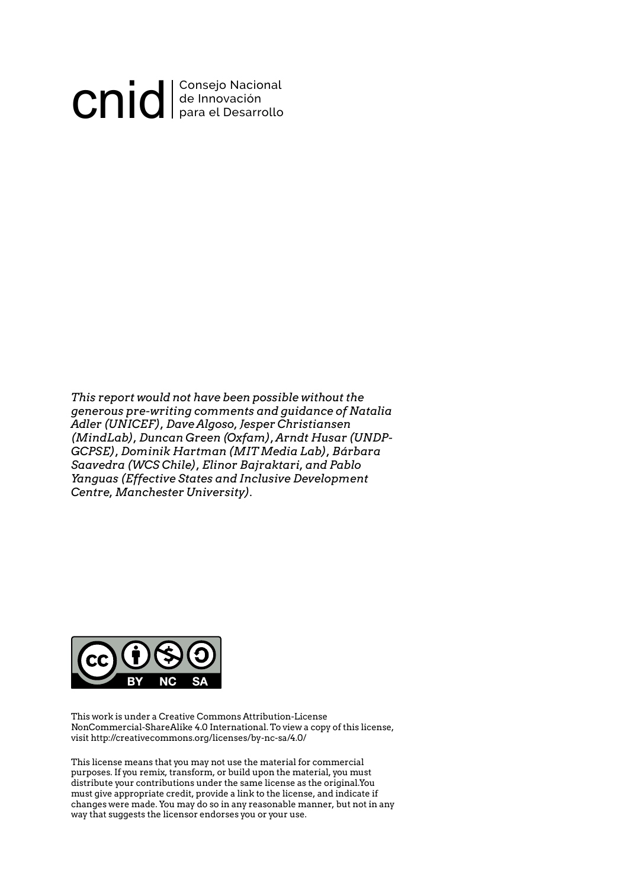

*This report would not have been possible without the generous pre-writing comments and guidance of Natalia Adler (UNICEF), Dave Algoso, Jesper Christiansen (MindLab), Duncan Green (Oxfam), Arndt Husar (UNDP-GCPSE), Dominik Hartman (MIT Media Lab), Bárbara Saavedra (WCS Chile), Elinor Bajraktari, and Pablo Yanguas (Effective States and Inclusive Development Centre, Manchester University).*



This work is under a Creative Commons Attribution-License NonCommercial-ShareAlike 4.0 International. To view a copy of this license, visit http://creativecommons.org/licenses/by-nc-sa/4.0/

This license means that you may not use the material for commercial purposes. If you remix, transform, or build upon the material, you must distribute your contributions under the same license as the original.You must give appropriate credit, provide a link to the license, and indicate if changes were made. You may do so in any reasonable manner, but not in any way that suggests the licensor endorses you or your use.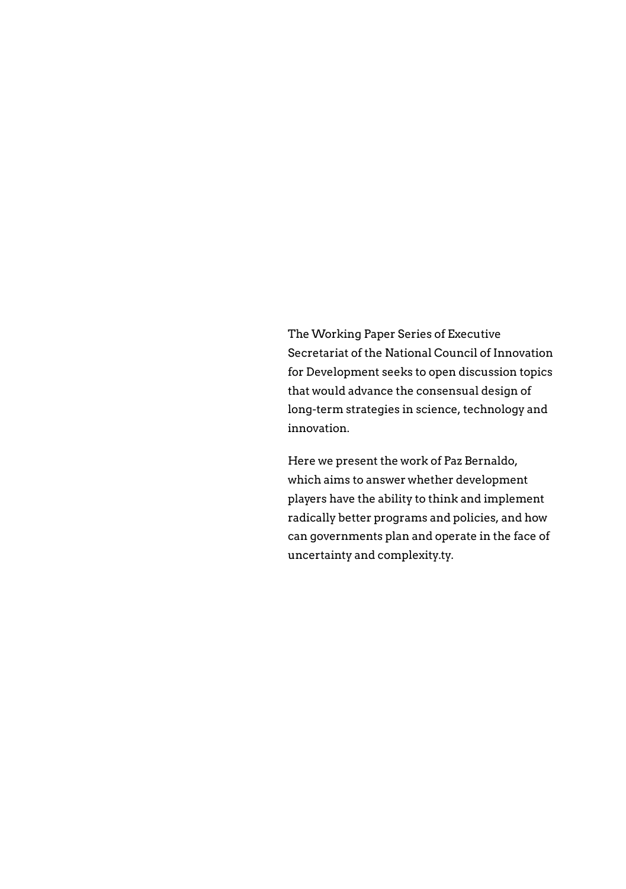The Working Paper Series of Executive Secretariat of the National Council of Innovation for Development seeks to open discussion topics that would advance the consensual design of long-term strategies in science, technology and innovation.

Here we present the work of Paz Bernaldo, which aims to answer whether development players have the ability to think and implement radically better programs and policies, and how can governments plan and operate in the face of uncertainty and complexity.ty.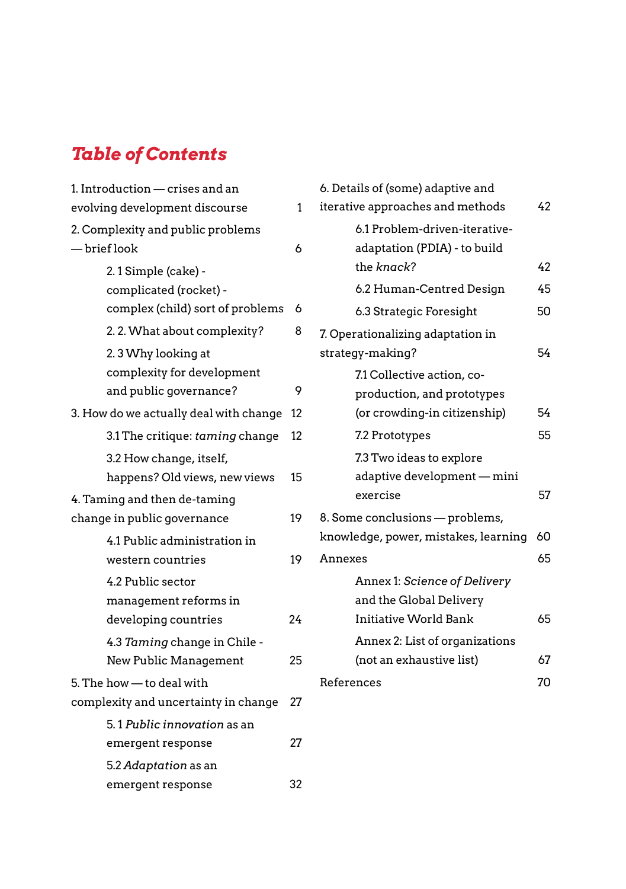# *Table of Contents*

| 1. Introduction — crises and an        |    |
|----------------------------------------|----|
| evolving development discourse         | 1  |
| 2. Complexity and public problems      |    |
| — brief look                           | 6  |
| 2.1 Simple (cake) -                    |    |
| complicated (rocket) -                 |    |
| complex (child) sort of problems       | 6  |
| 2.2. What about complexity?            | 8  |
| 2.3 Why looking at                     |    |
| complexity for development             |    |
| and public governance?                 | 9  |
| 3. How do we actually deal with change | 12 |
| 3.1 The critique: taming change        | 12 |
| 3.2 How change, itself,                |    |
| happens? Old views, new views          | 15 |
| 4. Taming and then de-taming           |    |
| change in public governance            | 19 |
| 4.1 Public administration in           |    |
| western countries                      | 19 |
| 4.2 Public sector                      |    |
| management reforms in                  |    |
| developing countries                   | 24 |
| 4.3 Taming change in Chile -           |    |
| New Public Management                  | 25 |
| 5. The how — to deal with              |    |
| complexity and uncertainty in change   | 27 |
| 5.1 Public innovation as an            |    |
| emergent response                      | 27 |
| 5.2 <i>Adaptation</i> as an            |    |
| emergent response                      | 32 |

| 6. Details of (some) adaptive and    |    |
|--------------------------------------|----|
| iterative approaches and methods     | 42 |
| 6.1 Problem-driven-iterative-        |    |
| adaptation (PDIA) - to build         |    |
| the knack?                           | 42 |
| 6.2 Human-Centred Design             | 45 |
| 6.3 Strategic Foresight              | 50 |
| 7. Operationalizing adaptation in    |    |
| strategy-making?                     | 54 |
| 7.1 Collective action, co-           |    |
| production, and prototypes           |    |
| (or crowding-in citizenship)         | 54 |
| 7.2 Prototypes                       | 55 |
| 7.3 Two ideas to explore             |    |
| adaptive development - mini          |    |
| exercise                             | 57 |
| 8. Some conclusions - problems,      |    |
| knowledge, power, mistakes, learning | 60 |
| Annexes                              | 65 |
| Annex 1: Science of Delivery         |    |
| and the Global Delivery              |    |
| Initiative World Bank                | 65 |
| Annex 2: List of organizations       |    |
| (not an exhaustive list)             | 67 |
| References                           | 70 |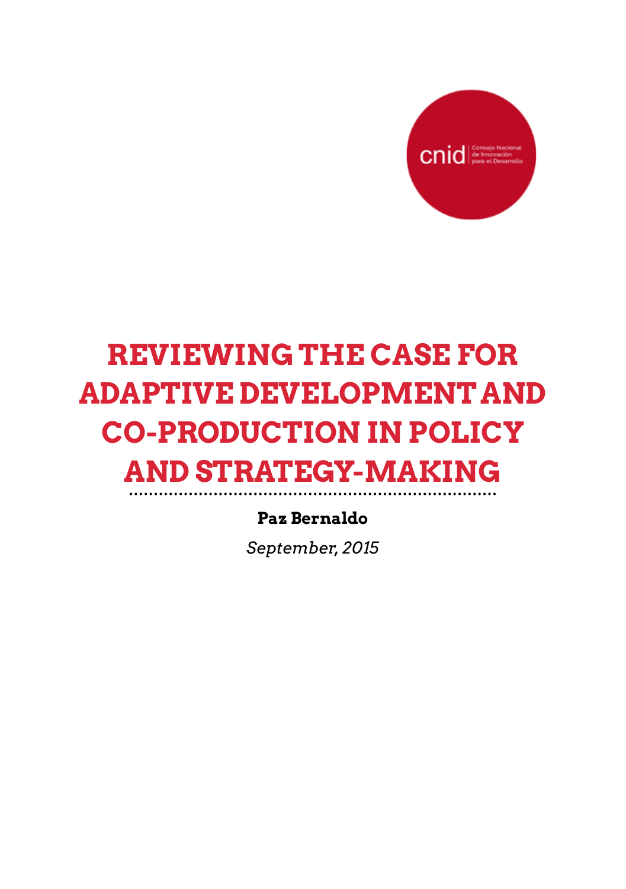

# **REVIEWING THE CASE FOR ADAPTIVE DEVELOPMENT AND CO-PRODUCTION IN POLICY AND STRATEGY-MAKING**

**Paz Bernaldo**

*September, 2015*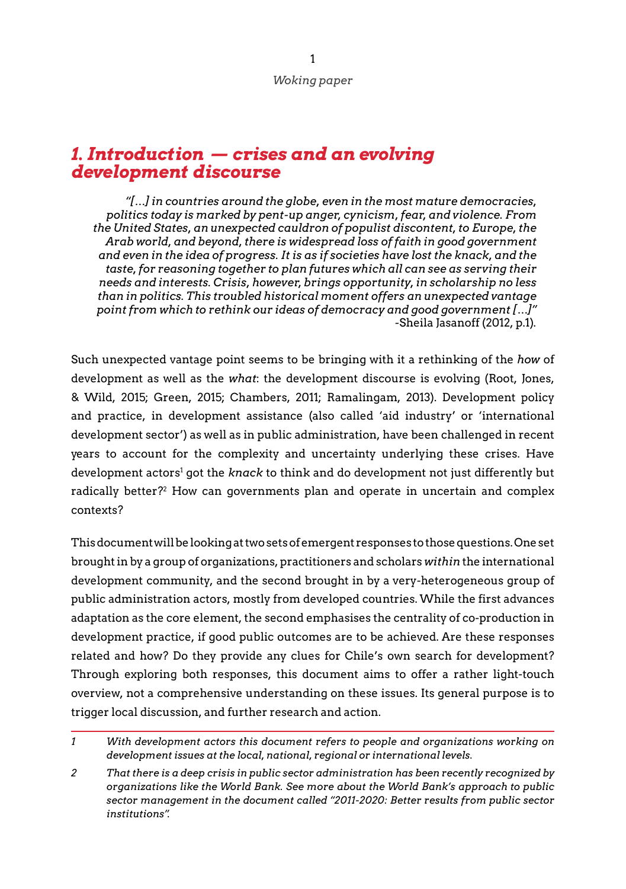# *1. Introduction — crises and an evolving development discourse*

*"[…] in countries around the globe, even in the most mature democracies, politics today is marked by pent-up anger, cynicism, fear, and violence. From the United States, an unexpected cauldron of populist discontent, to Europe, the Arab world, and beyond, there is widespread loss of faith in good government and even in the idea of progress. It is as if societies have lost the knack, and the taste, for reasoning together to plan futures which all can see as serving their needs and interests. Crisis, however, brings opportunity, in scholarship no less than in politics. This troubled historical moment offers an unexpected vantage point from which to rethink our ideas of democracy and good government […]" -*Sheila Jasanoff (2012, p.1)*.*

Such unexpected vantage point seems to be bringing with it a rethinking of the *how* of development as well as the *what*: the development discourse is evolving (Root, Jones, & Wild, 2015; Green, 2015; Chambers, 2011; Ramalingam, 2013). Development policy and practice, in development assistance (also called 'aid industry' or 'international development sector') as well as in public administration, have been challenged in recent years to account for the complexity and uncertainty underlying these crises. Have development actors<sup>1</sup> got the *knack* to think and do development not just differently but radically better?2 How can governments plan and operate in uncertain and complex contexts?

This document will be looking at two sets of emergent responses to those questions. One set brought in by a group of organizations, practitioners and scholars *within* the international development community, and the second brought in by a very-heterogeneous group of public administration actors, mostly from developed countries. While the first advances adaptation as the core element, the second emphasises the centrality of co-production in development practice, if good public outcomes are to be achieved. Are these responses related and how? Do they provide any clues for Chile's own search for development? Through exploring both responses, this document aims to offer a rather light-touch overview, not a comprehensive understanding on these issues. Its general purpose is to trigger local discussion, and further research and action.

*<sup>1</sup> With development actors this document refers to people and organizations working on development issues at the local, national, regional or international levels.*

*<sup>2</sup> That there is a deep crisis in public sector administration has been recently recognized by organizations like the World Bank. See more about the World Bank's approach to public sector management in the document called "2011-2020: Better results from public sector institutions".*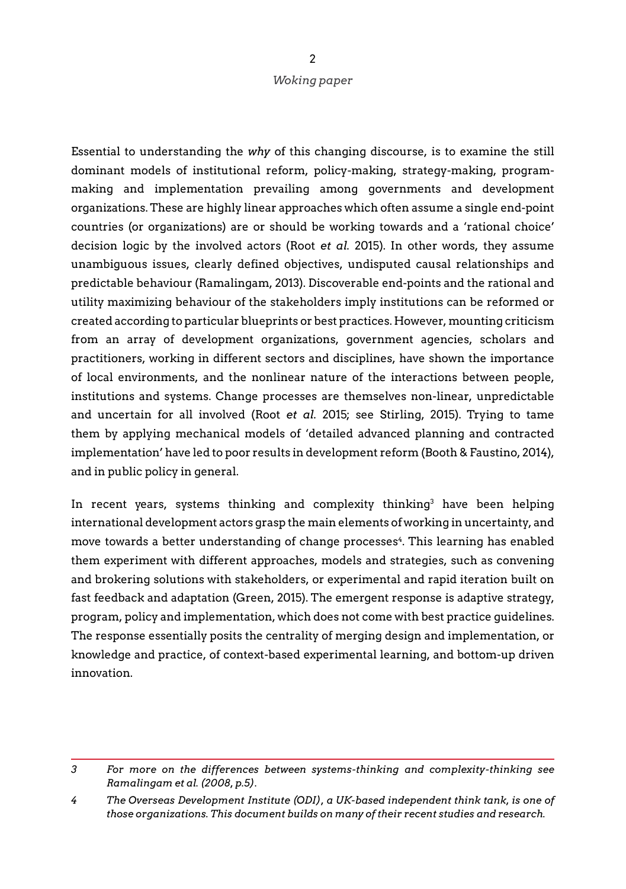Essential to understanding the *why* of this changing discourse, is to examine the still dominant models of institutional reform, policy-making, strategy-making, programmaking and implementation prevailing among governments and development organizations. These are highly linear approaches which often assume a single end-point countries (or organizations) are or should be working towards and a 'rational choice' decision logic by the involved actors (Root *et al.* 2015). In other words, they assume unambiguous issues, clearly defined objectives, undisputed causal relationships and predictable behaviour (Ramalingam, 2013). Discoverable end-points and the rational and utility maximizing behaviour of the stakeholders imply institutions can be reformed or created according to particular blueprints or best practices. However, mounting criticism from an array of development organizations, government agencies, scholars and practitioners, working in different sectors and disciplines, have shown the importance of local environments, and the nonlinear nature of the interactions between people, institutions and systems. Change processes are themselves non-linear, unpredictable and uncertain for all involved (Root *et al.* 2015; see Stirling, 2015). Trying to tame them by applying mechanical models of 'detailed advanced planning and contracted implementation' have led to poor results in development reform (Booth & Faustino, 2014), and in public policy in general.

In recent years, systems thinking and complexity thinking3 have been helping international development actors grasp the main elements of working in uncertainty, and move towards a better understanding of change processes<sup>4</sup>. This learning has enabled them experiment with different approaches, models and strategies, such as convening and brokering solutions with stakeholders, or experimental and rapid iteration built on fast feedback and adaptation (Green, 2015). The emergent response is adaptive strategy, program, policy and implementation, which does not come with best practice guidelines. The response essentially posits the centrality of merging design and implementation, or knowledge and practice, of context-based experimental learning, and bottom-up driven innovation.

*<sup>3</sup> For more on the differences between systems-thinking and complexity-thinking see Ramalingam et al. (2008, p.5).*

*<sup>4</sup> The Overseas Development Institute (ODI), a UK-based independent think tank, is one of those organizations. This document builds on many of their recent studies and research.*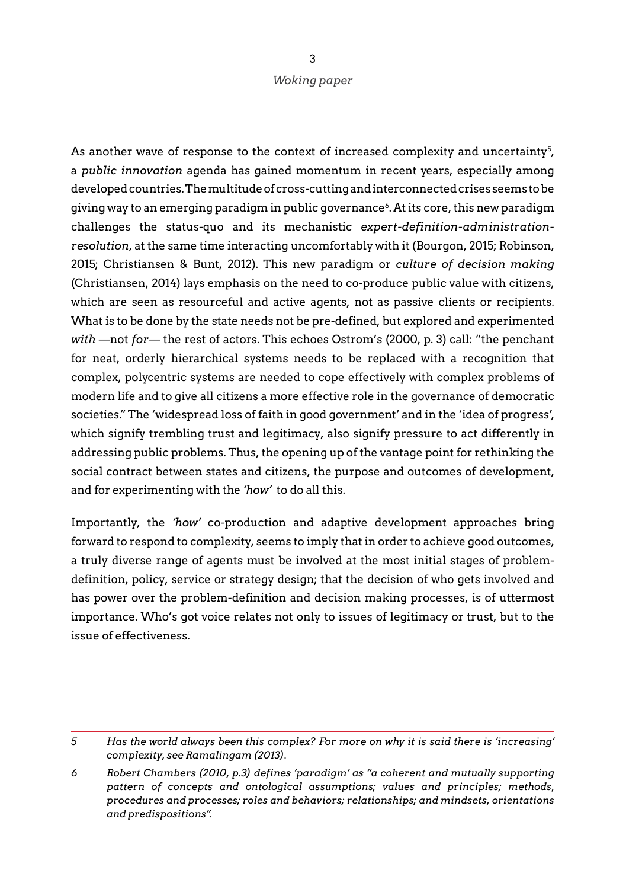As another wave of response to the context of increased complexity and uncertainty $^5\!$ , a *public innovation* agenda has gained momentum in recent years, especially among developed countries. The multitude of cross-cutting and interconnected crises seems to be giving way to an emerging paradigm in public governance6. At its core, this new paradigm challenges the status-quo and its mechanistic *expert-definition-administrationresolution*, at the same time interacting uncomfortably with it (Bourgon, 2015; Robinson, 2015; Christiansen & Bunt, 2012). This new paradigm or *culture of decision making*  (Christiansen, 2014) lays emphasis on the need to co-produce public value with citizens, which are seen as resourceful and active agents, not as passive clients or recipients. What is to be done by the state needs not be pre-defined, but explored and experimented *with* —not *for*— the rest of actors. This echoes Ostrom's (2000, p. 3) call: "the penchant for neat, orderly hierarchical systems needs to be replaced with a recognition that complex, polycentric systems are needed to cope effectively with complex problems of modern life and to give all citizens a more effective role in the governance of democratic societies." The 'widespread loss of faith in good government' and in the 'idea of progress', which signify trembling trust and legitimacy, also signify pressure to act differently in addressing public problems. Thus, the opening up of the vantage point for rethinking the social contract between states and citizens, the purpose and outcomes of development, and for experimenting with the *'how'* to do all this.

Importantly, the *'how'* co-production and adaptive development approaches bring forward to respond to complexity, seems to imply that in order to achieve good outcomes, a truly diverse range of agents must be involved at the most initial stages of problemdefinition, policy, service or strategy design; that the decision of who gets involved and has power over the problem-definition and decision making processes, is of uttermost importance. Who's got voice relates not only to issues of legitimacy or trust, but to the issue of effectiveness.

*<sup>5</sup> Has the world always been this complex? For more on why it is said there is 'increasing' complexity, see Ramalingam (2013).*

*<sup>6</sup> Robert Chambers (2010, p.3) defines 'paradigm' as "a coherent and mutually supporting pattern of concepts and ontological assumptions; values and principles; methods, procedures and processes; roles and behaviors; relationships; and mindsets, orientations and predispositions".*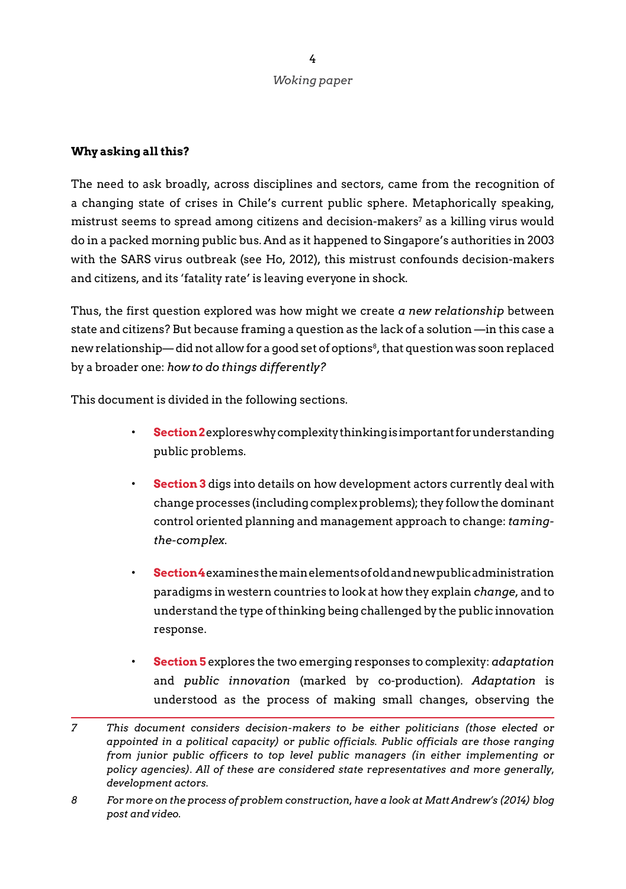### **Why asking all this?**

The need to ask broadly, across disciplines and sectors, came from the recognition of a changing state of crises in Chile's current public sphere. Metaphorically speaking, mistrust seems to spread among citizens and decision-makers<sup>7</sup> as a killing virus would do in a packed morning public bus. And as it happened to Singapore's authorities in 2003 with the SARS virus outbreak (see Ho, 2012), this mistrust confounds decision-makers and citizens, and its 'fatality rate' is leaving everyone in shock.

Thus, the first question explored was how might we create *a new relationship* between state and citizens? But because framing a question as the lack of a solution —in this case a new relationship— did not allow for a good set of options<sup>8</sup>, that question was soon replaced by a broader one: *how to do things differently?*

This document is divided in the following sections.

- **Section 2** explores why complexity thinking is important for understanding public problems.
- **Section 3** digs into details on how development actors currently deal with change processes (including complex problems); they follow the dominant control oriented planning and management approach to change: *tamingthe-complex*.
- **Section 4** examines the main elements of old and new public administration paradigms in western countries to look at how they explain *change*, and to understand the type of thinking being challenged by the public innovation response.
- **Section 5** explores the two emerging responses to complexity: *adaptation* and *public innovation* (marked by co-production). *Adaptation* is understood as the process of making small changes, observing the

*<sup>7</sup> This document considers decision-makers to be either politicians (those elected or appointed in a political capacity) or public officials. Public officials are those ranging from junior public officers to top level public managers (in either implementing or policy agencies). All of these are considered state representatives and more generally, development actors.*

*<sup>8</sup> For more on the process of problem construction, have a look at Matt Andrew's (2014) blog post and video.*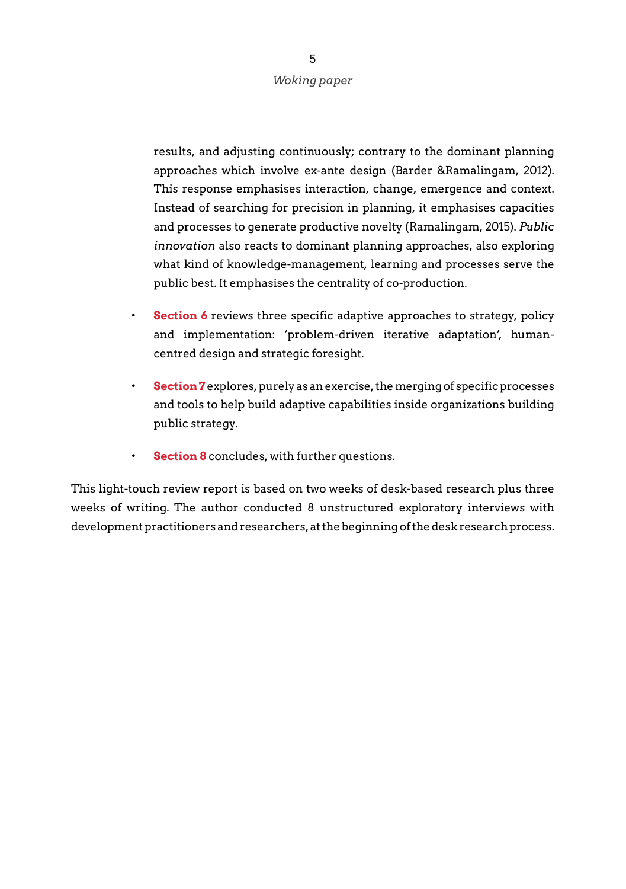results, and adjusting continuously; contrary to the dominant planning approaches which involve ex-ante design (Barder &Ramalingam, 2012). This response emphasises interaction, change, emergence and context. Instead of searching for precision in planning, it emphasises capacities and processes to generate productive novelty (Ramalingam, 2015). *Public innovation* also reacts to dominant planning approaches, also exploring what kind of knowledge-management, learning and processes serve the public best. It emphasises the centrality of co-production.

- **Section 6** reviews three specific adaptive approaches to strategy, policy and implementation: 'problem-driven iterative adaptation', humancentred design and strategic foresight.
- **Section 7** explores, purely as an exercise, the merging of specific processes and tools to help build adaptive capabilities inside organizations building public strategy.
- **Section 8** concludes, with further questions.

This light-touch review report is based on two weeks of desk-based research plus three weeks of writing. The author conducted 8 unstructured exploratory interviews with development practitioners and researchers, at the beginning of the desk research process.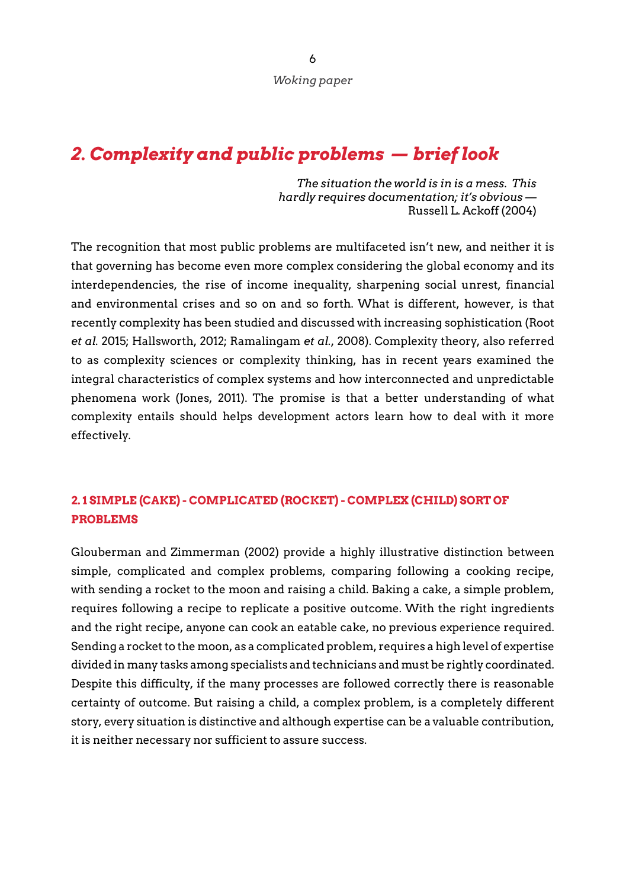# *2. Complexity and public problems — brief look*

*The situation the world is in is a mess. This hardly requires documentation; it's obvious —*  Russell L. Ackoff (2004)

The recognition that most public problems are multifaceted isn't new, and neither it is that governing has become even more complex considering the global economy and its interdependencies, the rise of income inequality, sharpening social unrest, financial and environmental crises and so on and so forth. What is different, however, is that recently complexity has been studied and discussed with increasing sophistication (Root *et al.* 2015; Hallsworth, 2012; Ramalingam *et al.*, 2008). Complexity theory, also referred to as complexity sciences or complexity thinking, has in recent years examined the integral characteristics of complex systems and how interconnected and unpredictable phenomena work (Jones, 2011). The promise is that a better understanding of what complexity entails should helps development actors learn how to deal with it more effectively.

# **2. 1 SIMPLE (CAKE) - COMPLICATED (ROCKET) - COMPLEX (CHILD) SORT OF PROBLEMS**

Glouberman and Zimmerman (2002) provide a highly illustrative distinction between simple, complicated and complex problems, comparing following a cooking recipe, with sending a rocket to the moon and raising a child. Baking a cake, a simple problem, requires following a recipe to replicate a positive outcome. With the right ingredients and the right recipe, anyone can cook an eatable cake, no previous experience required. Sending a rocket to the moon, as a complicated problem, requires a high level of expertise divided in many tasks among specialists and technicians and must be rightly coordinated. Despite this difficulty, if the many processes are followed correctly there is reasonable certainty of outcome. But raising a child, a complex problem, is a completely different story, every situation is distinctive and although expertise can be a valuable contribution, it is neither necessary nor sufficient to assure success.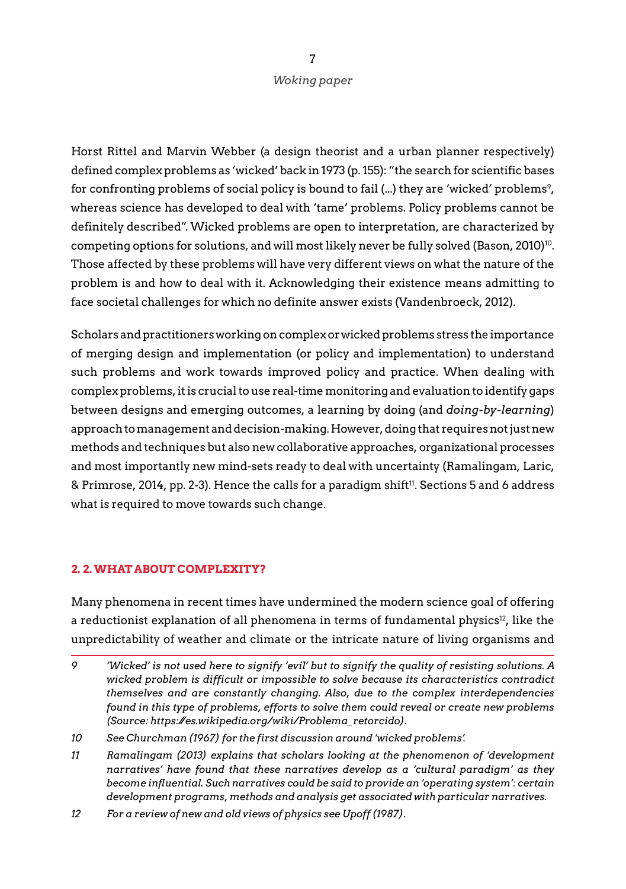Horst Rittel and Marvin Webber (a design theorist and a urban planner respectively) defined complex problems as 'wicked' back in 1973 (p. 155): "the search for scientific bases for confronting problems of social policy is bound to fail (...) they are 'wicked' problems<sup>9</sup>, whereas science has developed to deal with 'tame' problems. Policy problems cannot be definitely described". Wicked problems are open to interpretation, are characterized by competing options for solutions, and will most likely never be fully solved (Bason, 2010)<sup>10</sup>. Those affected by these problems will have very different views on what the nature of the problem is and how to deal with it. Acknowledging their existence means admitting to face societal challenges for which no definite answer exists (Vandenbroeck, 2012).

Scholars and practitioners working on complex or wicked problems stress the importance of merging design and implementation (or policy and implementation) to understand such problems and work towards improved policy and practice. When dealing with complex problems, it is crucial to use real-time monitoring and evaluation to identify gaps between designs and emerging outcomes, a learning by doing (and *doing-by-learning*) approach to management and decision-making. However, doing that requires not just new methods and techniques but also new collaborative approaches, organizational processes and most importantly new mind-sets ready to deal with uncertainty (Ramalingam, Laric, & Primrose, 2014, pp. 2-3). Hence the calls for a paradigm shift<sup>11</sup>. Sections 5 and 6 address what is required to move towards such change.

#### **2. 2. WHAT ABOUT COMPLEXITY?**

Many phenomena in recent times have undermined the modern science goal of offering a reductionist explanation of all phenomena in terms of fundamental physics<sup>12</sup>, like the unpredictability of weather and climate or the intricate nature of living organisms and

*<sup>9</sup> 'Wicked' is not used here to signify 'evil' but to signify the quality of resisting solutions. A wicked problem is difficult or impossible to solve because its characteristics contradict themselves and are constantly changing. Also, due to the complex interdependencies found in this type of problems, efforts to solve them could reveal or create new problems (Source: https://es.wikipedia.org/wiki/Problema\_retorcido).*

*<sup>10</sup> See Churchman (1967) for the first discussion around 'wicked problems'.*

*<sup>11</sup> Ramalingam (2013) explains that scholars looking at the phenomenon of 'development narratives' have found that these narratives develop as a 'cultural paradigm' as they become influential. Such narratives could be said to provide an 'operating system': certain development programs, methods and analysis get associated with particular narratives.*

*<sup>12</sup> For a review of new and old views of physics see Upoff (1987).*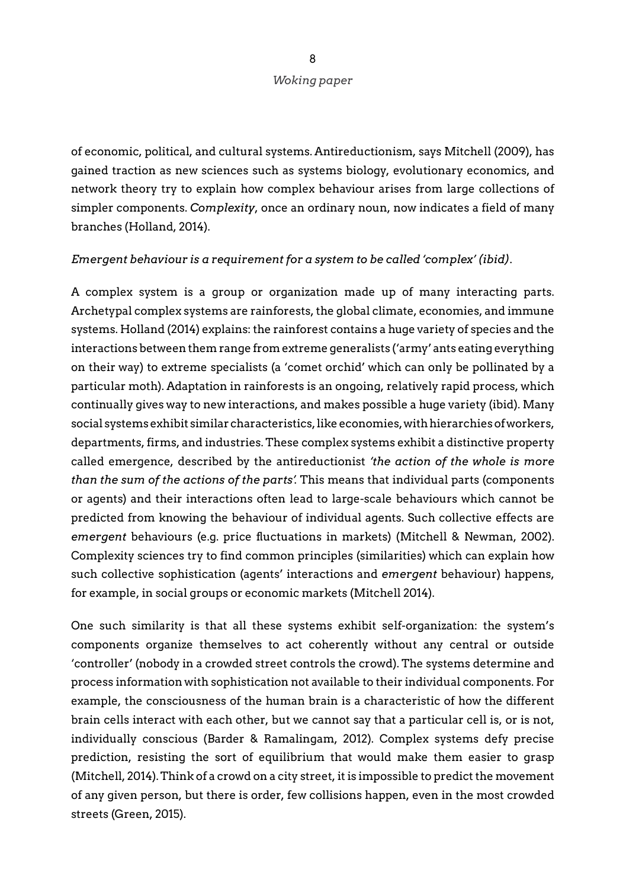of economic, political, and cultural systems. Antireductionism, says Mitchell (2009), has gained traction as new sciences such as systems biology, evolutionary economics, and network theory try to explain how complex behaviour arises from large collections of simpler components. *Complexity*, once an ordinary noun, now indicates a field of many branches (Holland, 2014).

#### *Emergent behaviour is a requirement for a system to be called 'complex' (ibid).*

A complex system is a group or organization made up of many interacting parts. Archetypal complex systems are rainforests, the global climate, economies, and immune systems. Holland (2014) explains: the rainforest contains a huge variety of species and the interactions between them range from extreme generalists ('army' ants eating everything on their way) to extreme specialists (a 'comet orchid' which can only be pollinated by a particular moth). Adaptation in rainforests is an ongoing, relatively rapid process, which continually gives way to new interactions, and makes possible a huge variety (ibid). Many social systems exhibit similar characteristics, like economies, with hierarchies of workers, departments, firms, and industries. These complex systems exhibit a distinctive property called emergence, described by the antireductionist *'the action of the whole is more than the sum of the actions of the parts'.* This means that individual parts (components or agents) and their interactions often lead to large-scale behaviours which cannot be predicted from knowing the behaviour of individual agents. Such collective effects are *emergent* behaviours (e.g. price fluctuations in markets) (Mitchell & Newman, 2002). Complexity sciences try to find common principles (similarities) which can explain how such collective sophistication (agents' interactions and *emergent* behaviour) happens, for example, in social groups or economic markets (Mitchell 2014).

One such similarity is that all these systems exhibit self-organization: the system's components organize themselves to act coherently without any central or outside 'controller' (nobody in a crowded street controls the crowd). The systems determine and process information with sophistication not available to their individual components. For example, the consciousness of the human brain is a characteristic of how the different brain cells interact with each other, but we cannot say that a particular cell is, or is not, individually conscious (Barder & Ramalingam, 2012). Complex systems defy precise prediction, resisting the sort of equilibrium that would make them easier to grasp (Mitchell, 2014). Think of a crowd on a city street, it is impossible to predict the movement of any given person, but there is order, few collisions happen, even in the most crowded streets (Green, 2015).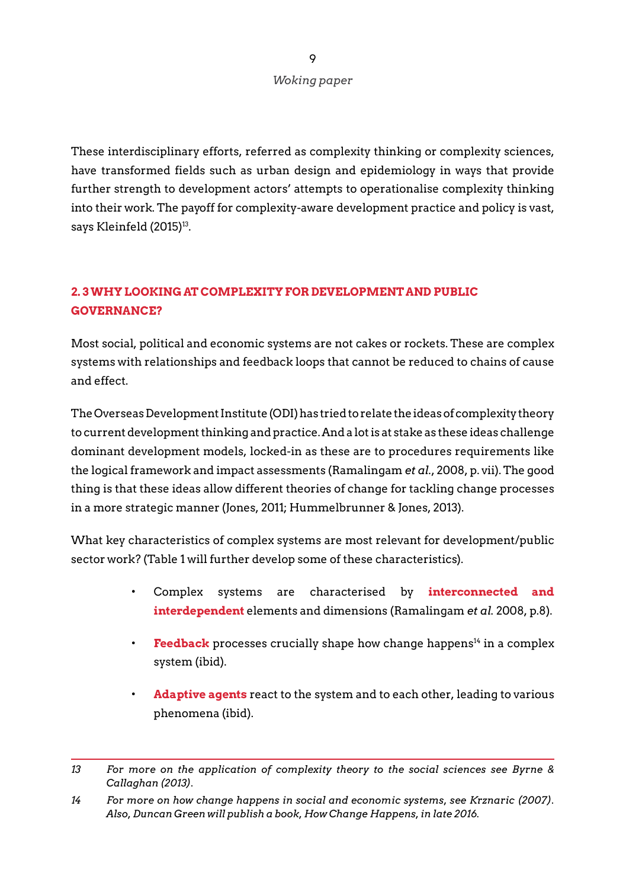These interdisciplinary efforts, referred as complexity thinking or complexity sciences, have transformed fields such as urban design and epidemiology in ways that provide further strength to development actors' attempts to operationalise complexity thinking into their work. The payoff for complexity-aware development practice and policy is vast, says Kleinfeld (2015)<sup>13</sup>.

# **2. 3 WHY LOOKING AT COMPLEXITY FOR DEVELOPMENT AND PUBLIC GOVERNANCE?**

Most social, political and economic systems are not cakes or rockets. These are complex systems with relationships and feedback loops that cannot be reduced to chains of cause and effect.

The Overseas Development Institute (ODI) has tried to relate the ideas of complexity theory to current development thinking and practice. And a lot is at stake as these ideas challenge dominant development models, locked-in as these are to procedures requirements like the logical framework and impact assessments (Ramalingam *et al.*, 2008, p. vii). The good thing is that these ideas allow different theories of change for tackling change processes in a more strategic manner (Jones, 2011; Hummelbrunner & Jones, 2013).

What key characteristics of complex systems are most relevant for development/public sector work? (Table 1 will further develop some of these characteristics).

- Complex systems are characterised by **interconnected and interdependent** elements and dimensions (Ramalingam *et al.* 2008, p.8).
- **Feedback** processes crucially shape how change happens<sup>14</sup> in a complex system (ibid).
- **Adaptive agents** react to the system and to each other, leading to various phenomena (ibid).

*<sup>13</sup> For more on the application of complexity theory to the social sciences see Byrne & Callaghan (2013).*

*<sup>14</sup> For more on how change happens in social and economic systems, see Krznaric (2007). Also, Duncan Green will publish a book, How Change Happens, in late 2016.*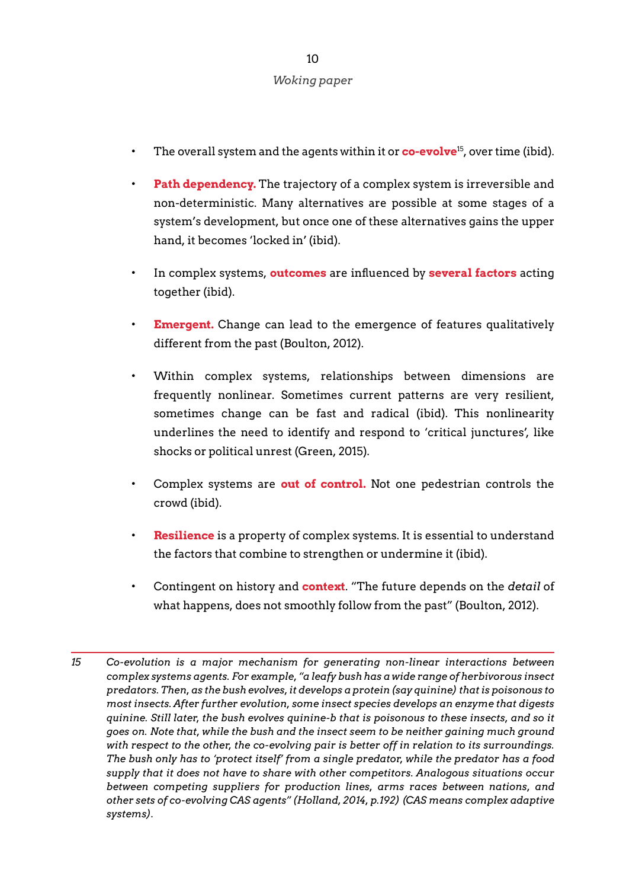- The overall system and the agents within it or **co-evolve**15, over time (ibid).
- **Path dependency.** The trajectory of a complex system is irreversible and non-deterministic. Many alternatives are possible at some stages of a system's development, but once one of these alternatives gains the upper hand, it becomes 'locked in' (ibid).
- In complex systems, **outcomes** are influenced by **several factors** acting together (ibid).
- **Emergent.** Change can lead to the emergence of features qualitatively different from the past (Boulton, 2012).
- Within complex systems, relationships between dimensions are frequently nonlinear. Sometimes current patterns are very resilient, sometimes change can be fast and radical (ibid). This nonlinearity underlines the need to identify and respond to 'critical junctures', like shocks or political unrest (Green, 2015).
- Complex systems are **out of control.** Not one pedestrian controls the crowd (ibid).
- **Resilience** is a property of complex systems. It is essential to understand the factors that combine to strengthen or undermine it (ibid).
- Contingent on history and **context**. "The future depends on the *detail* of what happens, does not smoothly follow from the past" (Boulton, 2012).

*<sup>15</sup> Co-evolution is a major mechanism for generating non-linear interactions between complex systems agents. For example, "a leafy bush has a wide range of herbivorous insect predators. Then, as the bush evolves, it develops a protein (say quinine) that is poisonous to most insects. After further evolution, some insect species develops an enzyme that digests quinine. Still later, the bush evolves quinine-b that is poisonous to these insects, and so it goes on. Note that, while the bush and the insect seem to be neither gaining much ground with respect to the other, the co-evolving pair is better off in relation to its surroundings. The bush only has to 'protect itself' from a single predator, while the predator has a food supply that it does not have to share with other competitors. Analogous situations occur between competing suppliers for production lines, arms races between nations, and other sets of co-evolving CAS agents" (Holland, 2014, p.192) (CAS means complex adaptive systems).*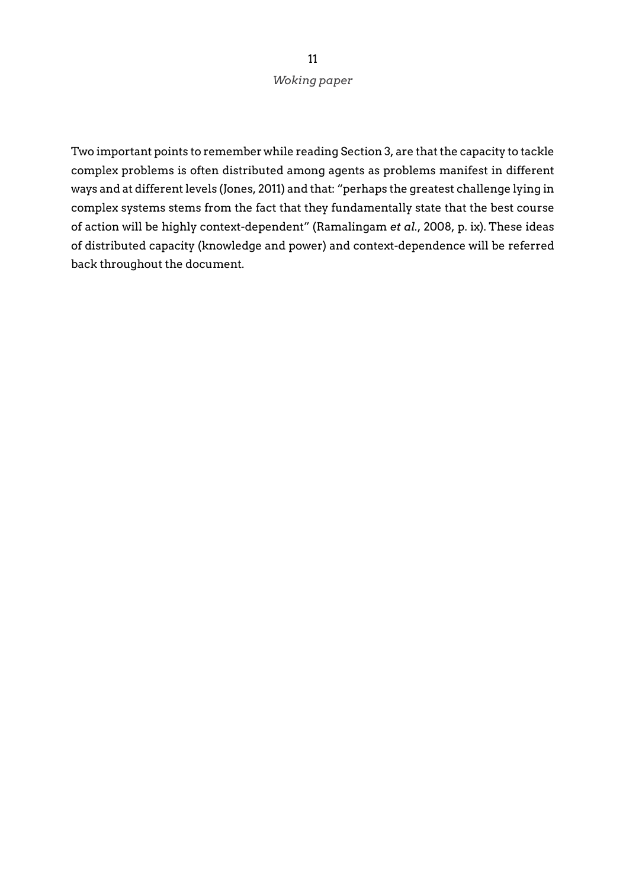Two important points to remember while reading Section 3, are that the capacity to tackle complex problems is often distributed among agents as problems manifest in different ways and at different levels (Jones, 2011) and that: "perhaps the greatest challenge lying in complex systems stems from the fact that they fundamentally state that the best course of action will be highly context-dependent" (Ramalingam *et al.*, 2008, p. ix). These ideas of distributed capacity (knowledge and power) and context-dependence will be referred back throughout the document.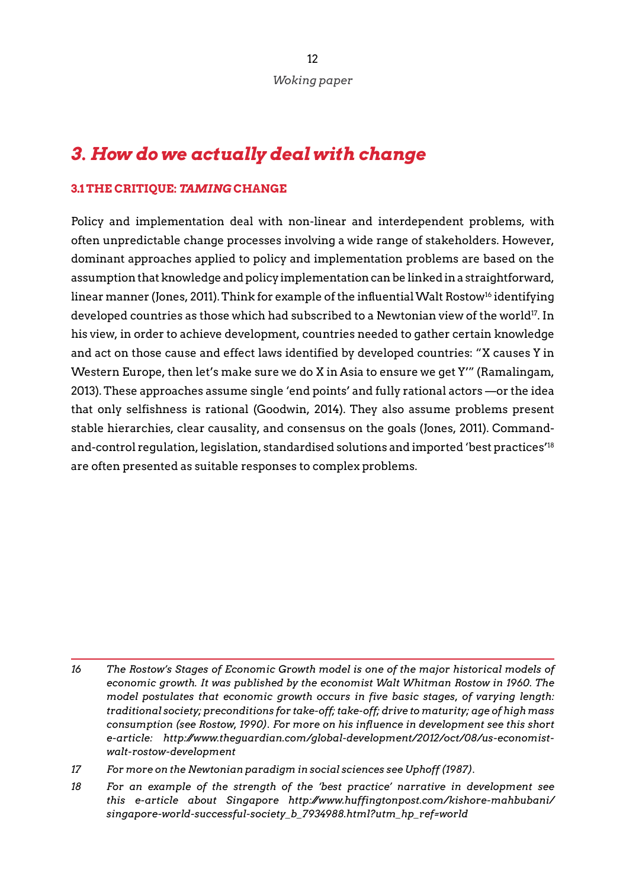# *3. How do we actually deal with change*

#### **3.1 THE CRITIQUE:** *TAMING* **CHANGE**

Policy and implementation deal with non-linear and interdependent problems, with often unpredictable change processes involving a wide range of stakeholders. However, dominant approaches applied to policy and implementation problems are based on the assumption that knowledge and policy implementation can be linked in a straightforward, linear manner (Jones, 2011). Think for example of the influential Walt Rostow<sup>16</sup> identifying developed countries as those which had subscribed to a Newtonian view of the world<sup>17</sup>. In his view, in order to achieve development, countries needed to gather certain knowledge and act on those cause and effect laws identified by developed countries: "X causes Y in Western Europe, then let's make sure we do X in Asia to ensure we get Y'" (Ramalingam, 2013). These approaches assume single 'end points' and fully rational actors —or the idea that only selfishness is rational (Goodwin, 2014). They also assume problems present stable hierarchies, clear causality, and consensus on the goals (Jones, 2011). Commandand-control regulation, legislation, standardised solutions and imported 'best practices'18 are often presented as suitable responses to complex problems.

*<sup>16</sup> The Rostow's Stages of Economic Growth model is one of the major historical models of economic growth. It was published by the economist Walt Whitman Rostow in 1960. The model postulates that economic growth occurs in five basic stages, of varying length: traditional society; preconditions for take-off; take-off; drive to maturity; age of high mass consumption (see Rostow, 1990). For more on his influence in development see this short e-article: http://www.theguardian.com/global-development/2012/oct/08/us-economistwalt-rostow-development*

*<sup>17</sup> For more on the Newtonian paradigm in social sciences see Uphoff (1987).*

*<sup>18</sup> For an example of the strength of the 'best practice' narrative in development see this e-article about Singapore http://www.huffingtonpost.com/kishore-mahbubani/ singapore-world-successful-society\_b\_7934988.html?utm\_hp\_ref=world*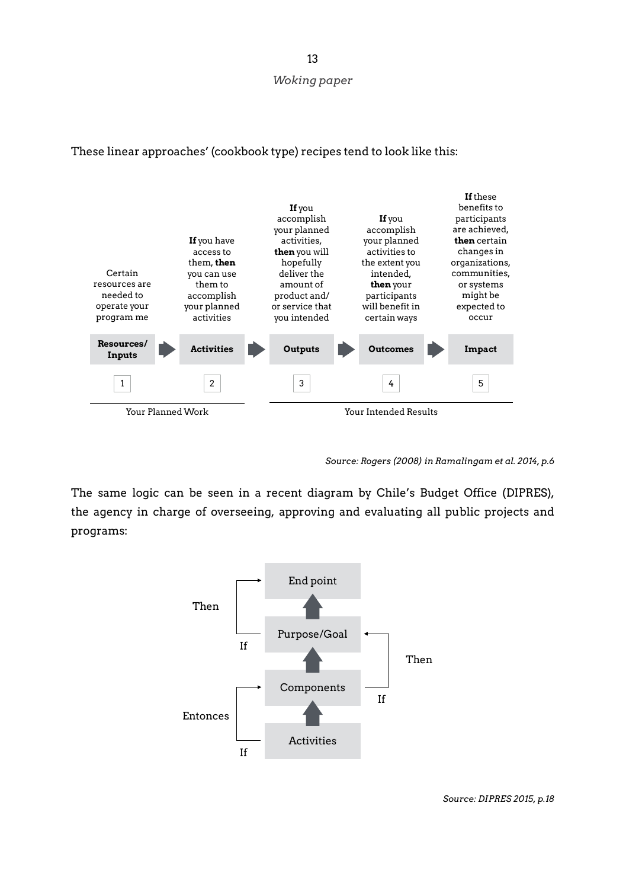#### These linear approaches' (cookbook type) recipes tend to look like this:



*Source: Rogers (2008) in Ramalingam et al. 2014, p.6* 

The same logic can be seen in a recent diagram by Chile's Budget Office (DIPRES), the agency in charge of overseeing, approving and evaluating all public projects and programs:



*Source: DIPRES 2015, p.18*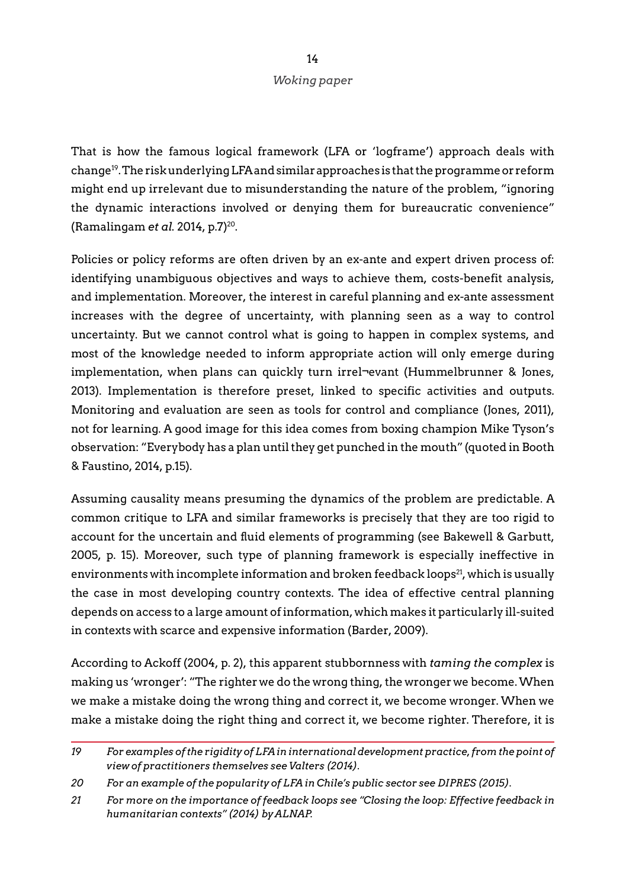That is how the famous logical framework (LFA or 'logframe') approach deals with change19. The risk underlying LFA and similar approaches is that the programme or reform might end up irrelevant due to misunderstanding the nature of the problem, "ignoring the dynamic interactions involved or denying them for bureaucratic convenience" (Ramalingam *et al.* 2014, p.7)20.

Policies or policy reforms are often driven by an ex-ante and expert driven process of: identifying unambiguous objectives and ways to achieve them, costs-benefit analysis, and implementation. Moreover, the interest in careful planning and ex-ante assessment increases with the degree of uncertainty, with planning seen as a way to control uncertainty. But we cannot control what is going to happen in complex systems, and most of the knowledge needed to inform appropriate action will only emerge during implementation, when plans can quickly turn irrel¬evant (Hummelbrunner & Jones, 2013). Implementation is therefore preset, linked to specific activities and outputs. Monitoring and evaluation are seen as tools for control and compliance (Jones, 2011), not for learning. A good image for this idea comes from boxing champion Mike Tyson's observation: "Everybody has a plan until they get punched in the mouth" (quoted in Booth & Faustino, 2014, p.15).

Assuming causality means presuming the dynamics of the problem are predictable. A common critique to LFA and similar frameworks is precisely that they are too rigid to account for the uncertain and fluid elements of programming (see Bakewell & Garbutt, 2005, p. 15). Moreover, such type of planning framework is especially ineffective in environments with incomplete information and broken feedback loops<sup>21</sup>, which is usually the case in most developing country contexts. The idea of effective central planning depends on access to a large amount of information, which makes it particularly ill-suited in contexts with scarce and expensive information (Barder, 2009).

According to Ackoff (2004, p. 2), this apparent stubbornness with *taming the complex* is making us 'wronger': "The righter we do the wrong thing, the wronger we become. When we make a mistake doing the wrong thing and correct it, we become wronger. When we make a mistake doing the right thing and correct it, we become righter. Therefore, it is

*<sup>19</sup> For examples of the rigidity of LFA in international development practice, from the point of view of practitioners themselves see Valters (2014).*

*<sup>20</sup> For an example of the popularity of LFA in Chile's public sector see DIPRES (2015).*

*<sup>21</sup> For more on the importance of feedback loops see "Closing the loop: Effective feedback in humanitarian contexts" (2014) by ALNAP.*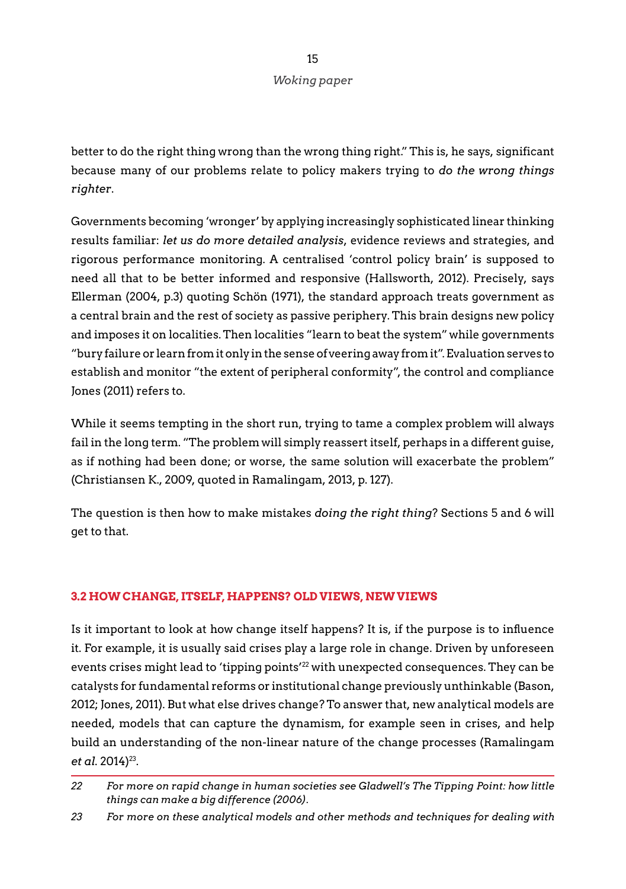better to do the right thing wrong than the wrong thing right." This is, he says, significant because many of our problems relate to policy makers trying to *do the wrong things righter*.

Governments becoming 'wronger' by applying increasingly sophisticated linear thinking results familiar: *let us do more detailed analysis*, evidence reviews and strategies, and rigorous performance monitoring. A centralised 'control policy brain' is supposed to need all that to be better informed and responsive (Hallsworth, 2012). Precisely, says Ellerman (2004, p.3) quoting Schön (1971), the standard approach treats government as a central brain and the rest of society as passive periphery. This brain designs new policy and imposes it on localities. Then localities "learn to beat the system" while governments "bury failure or learn from it only in the sense of veering away from it". Evaluation serves to establish and monitor "the extent of peripheral conformity", the control and compliance Jones (2011) refers to.

While it seems tempting in the short run, trying to tame a complex problem will always fail in the long term. "The problem will simply reassert itself, perhaps in a different guise, as if nothing had been done; or worse, the same solution will exacerbate the problem" (Christiansen K., 2009, quoted in Ramalingam, 2013, p. 127).

The question is then how to make mistakes *doing the right thing*? Sections 5 and 6 will get to that.

## **3.2 HOW CHANGE, ITSELF, HAPPENS? OLD VIEWS, NEW VIEWS**

Is it important to look at how change itself happens? It is, if the purpose is to influence it. For example, it is usually said crises play a large role in change. Driven by unforeseen events crises might lead to 'tipping points'<sup>22</sup> with unexpected consequences. They can be catalysts for fundamental reforms or institutional change previously unthinkable (Bason, 2012; Jones, 2011). But what else drives change? To answer that, new analytical models are needed, models that can capture the dynamism, for example seen in crises, and help build an understanding of the non-linear nature of the change processes (Ramalingam *et al.* 2014)23.

*<sup>22</sup> For more on rapid change in human societies see Gladwell's The Tipping Point: how little things can make a big difference (2006).*

*<sup>23</sup> For more on these analytical models and other methods and techniques for dealing with*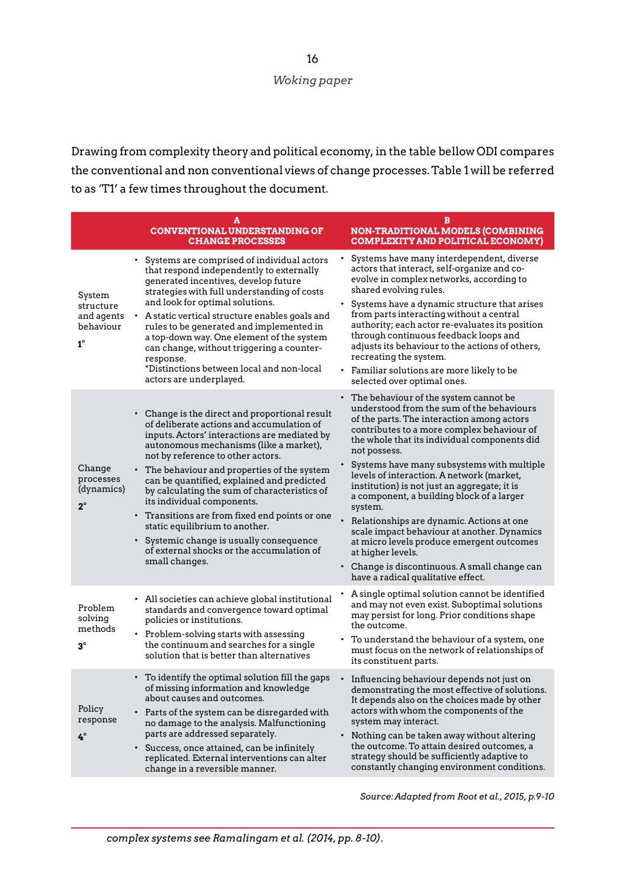Drawing from complexity theory and political economy, in the table bellow ODI compares the conventional and non conventional views of change processes. Table 1 will be referred to as 'T1' a few times throughout the document.

|                                                               | A<br><b>CONVENTIONAL UNDERSTANDING OF</b><br><b>CHANGE PROCESSES</b>                                                                                                                                                                                                                                                                                                                                                                                                                                                                                                                                | B<br><b>NON-TRADITIONAL MODELS (COMBINING</b><br><b>COMPLEXITY AND POLITICAL ECONOMY)</b>                                                                                                                                                                                                                                                                                                                                                                                                                                                                                                                                                                                                                |
|---------------------------------------------------------------|-----------------------------------------------------------------------------------------------------------------------------------------------------------------------------------------------------------------------------------------------------------------------------------------------------------------------------------------------------------------------------------------------------------------------------------------------------------------------------------------------------------------------------------------------------------------------------------------------------|----------------------------------------------------------------------------------------------------------------------------------------------------------------------------------------------------------------------------------------------------------------------------------------------------------------------------------------------------------------------------------------------------------------------------------------------------------------------------------------------------------------------------------------------------------------------------------------------------------------------------------------------------------------------------------------------------------|
| System<br>structure<br>and agents<br>behaviour<br>$1^{\circ}$ | • Systems are comprised of individual actors<br>that respond independently to externally<br>generated incentives, develop future<br>strategies with full understanding of costs<br>and look for optimal solutions.<br>A static vertical structure enables goals and<br>rules to be generated and implemented in<br>a top-down way. One element of the system<br>can change, without triggering a counter-<br>response.<br>*Distinctions between local and non-local<br>actors are underplayed.                                                                                                      | • Systems have many interdependent, diverse<br>actors that interact, self-organize and co-<br>evolve in complex networks, according to<br>shared evolving rules.<br>Systems have a dynamic structure that arises<br>from parts interacting without a central<br>authority; each actor re-evaluates its position<br>through continuous feedback loops and<br>adjusts its behaviour to the actions of others,<br>recreating the system.<br>Familiar solutions are more likely to be<br>$\bullet$<br>selected over optimal ones.                                                                                                                                                                            |
| Change<br>processes<br>(dynamics)<br>$2^{\circ}$              | • Change is the direct and proportional result<br>of deliberate actions and accumulation of<br>inputs. Actors' interactions are mediated by<br>autonomous mechanisms (like a market),<br>not by reference to other actors.<br>The behaviour and properties of the system<br>can be quantified, explained and predicted<br>by calculating the sum of characteristics of<br>its individual components.<br>• Transitions are from fixed end points or one<br>static equilibrium to another.<br>• Systemic change is usually consequence<br>of external shocks or the accumulation of<br>small changes. | • The behaviour of the system cannot be<br>understood from the sum of the behaviours<br>of the parts. The interaction among actors<br>contributes to a more complex behaviour of<br>the whole that its individual components did<br>not possess.<br>Systems have many subsystems with multiple<br>levels of interaction. A network (market,<br>institution) is not just an aggregate; it is<br>a component, a building block of a larger<br>system.<br>Relationships are dynamic. Actions at one<br>scale impact behaviour at another. Dynamics<br>at micro levels produce emergent outcomes<br>at higher levels.<br>• Change is discontinuous. A small change can<br>have a radical qualitative effect. |
| Problem<br>solving<br>methods<br>3°                           | • All societies can achieve global institutional<br>standards and convergence toward optimal<br>policies or institutions.<br>• Problem-solving starts with assessing<br>the continuum and searches for a single<br>solution that is better than alternatives                                                                                                                                                                                                                                                                                                                                        | A single optimal solution cannot be identified<br>and may not even exist. Suboptimal solutions<br>may persist for long. Prior conditions shape<br>the outcome.<br>• To understand the behaviour of a system, one<br>must focus on the network of relationships of<br>its constituent parts.                                                                                                                                                                                                                                                                                                                                                                                                              |
| Policy<br>response<br>4°                                      | To identify the optimal solution fill the gaps<br>of missing information and knowledge<br>about causes and outcomes.<br>• Parts of the system can be disregarded with<br>no damage to the analysis. Malfunctioning<br>parts are addressed separately.<br>Success, once attained, can be infinitely<br>replicated. External interventions can alter<br>change in a reversible manner.                                                                                                                                                                                                                | • Influencing behaviour depends not just on<br>demonstrating the most effective of solutions.<br>It depends also on the choices made by other<br>actors with whom the components of the<br>system may interact.<br>Nothing can be taken away without altering<br>the outcome. To attain desired outcomes, a<br>strategy should be sufficiently adaptive to<br>constantly changing environment conditions.                                                                                                                                                                                                                                                                                                |

*Source: Adapted from Root et al., 2015, p.9-10*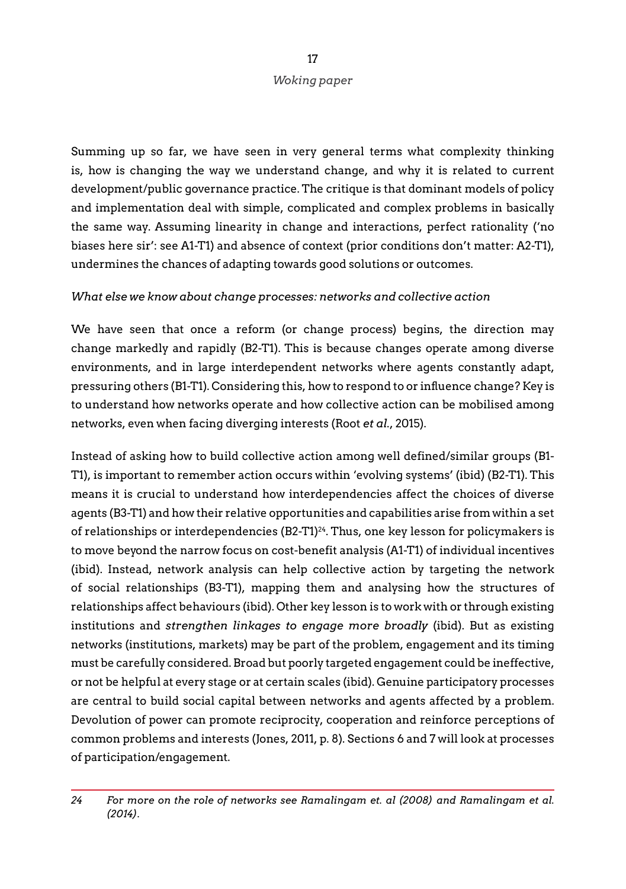Summing up so far, we have seen in very general terms what complexity thinking is, how is changing the way we understand change, and why it is related to current development/public governance practice. The critique is that dominant models of policy and implementation deal with simple, complicated and complex problems in basically the same way. Assuming linearity in change and interactions, perfect rationality ('no biases here sir': see A1-T1) and absence of context (prior conditions don't matter: A2-T1), undermines the chances of adapting towards good solutions or outcomes.

#### *What else we know about change processes: networks and collective action*

We have seen that once a reform (or change process) begins, the direction may change markedly and rapidly (B2-T1). This is because changes operate among diverse environments, and in large interdependent networks where agents constantly adapt, pressuring others (B1-T1). Considering this, how to respond to or influence change? Key is to understand how networks operate and how collective action can be mobilised among networks, even when facing diverging interests (Root *et al.*, 2015).

Instead of asking how to build collective action among well defined/similar groups (B1- T1), is important to remember action occurs within 'evolving systems' (ibid) (B2-T1). This means it is crucial to understand how interdependencies affect the choices of diverse agents (B3-T1) and how their relative opportunities and capabilities arise from within a set of relationships or interdependencies  $(B2-T1)^{24}$ . Thus, one key lesson for policymakers is to move beyond the narrow focus on cost-benefit analysis (A1-T1) of individual incentives (ibid). Instead, network analysis can help collective action by targeting the network of social relationships (B3-T1), mapping them and analysing how the structures of relationships affect behaviours (ibid). Other key lesson is to work with or through existing institutions and *strengthen linkages to engage more broadly* (ibid). But as existing networks (institutions, markets) may be part of the problem, engagement and its timing must be carefully considered. Broad but poorly targeted engagement could be ineffective, or not be helpful at every stage or at certain scales (ibid). Genuine participatory processes are central to build social capital between networks and agents affected by a problem. Devolution of power can promote reciprocity, cooperation and reinforce perceptions of common problems and interests (Jones, 2011, p. 8). Sections 6 and 7 will look at processes of participation/engagement.

*<sup>24</sup> For more on the role of networks see Ramalingam et. al (2008) and Ramalingam et al. (2014).*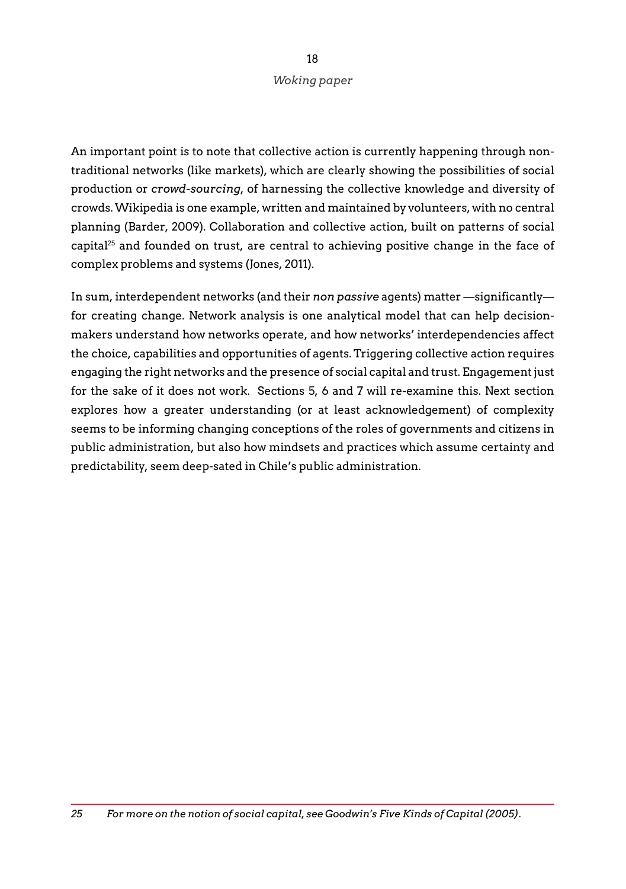An important point is to note that collective action is currently happening through nontraditional networks (like markets), which are clearly showing the possibilities of social production or *crowd-sourcing*, of harnessing the collective knowledge and diversity of crowds. Wikipedia is one example, written and maintained by volunteers, with no central planning (Barder, 2009). Collaboration and collective action, built on patterns of social capital<sup>25</sup> and founded on trust, are central to achieving positive change in the face of complex problems and systems (Jones, 2011).

In sum, interdependent networks (and their *non passive* agents) matter —significantly for creating change. Network analysis is one analytical model that can help decisionmakers understand how networks operate, and how networks' interdependencies affect the choice, capabilities and opportunities of agents. Triggering collective action requires engaging the right networks and the presence of social capital and trust. Engagement just for the sake of it does not work. Sections 5, 6 and 7 will re-examine this. Next section explores how a greater understanding (or at least acknowledgement) of complexity seems to be informing changing conceptions of the roles of governments and citizens in public administration, but also how mindsets and practices which assume certainty and predictability, seem deep-sated in Chile's public administration.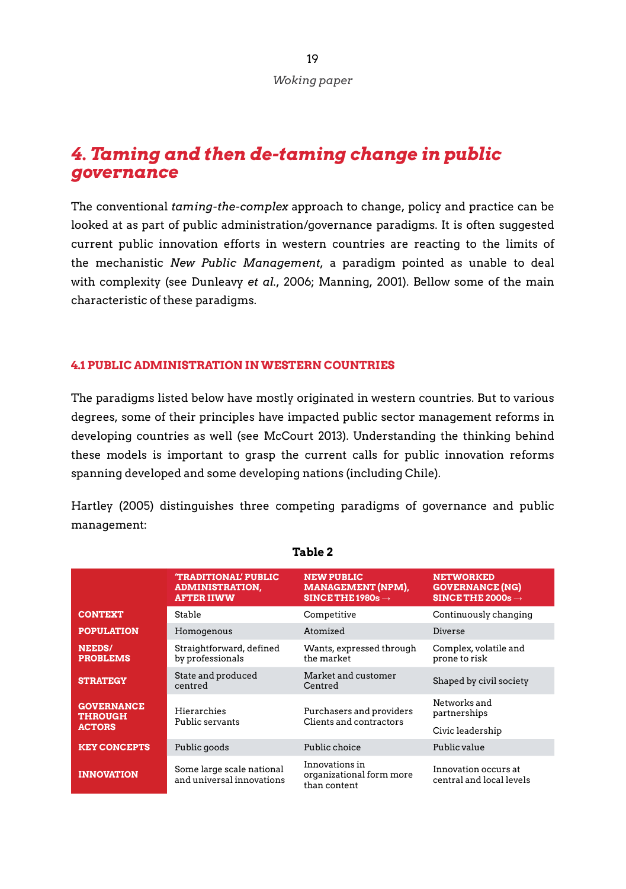# *4. Taming and then de-taming change in public governance*

The conventional *taming-the-complex* approach to change, policy and practice can be looked at as part of public administration/governance paradigms. It is often suggested current public innovation efforts in western countries are reacting to the limits of the mechanistic *New Public Management*, a paradigm pointed as unable to deal with complexity (see Dunleavy *et al.*, 2006; Manning, 2001). Bellow some of the main characteristic of these paradigms.

#### **4.1 PUBLIC ADMINISTRATION IN WESTERN COUNTRIES**

The paradigms listed below have mostly originated in western countries. But to various degrees, some of their principles have impacted public sector management reforms in developing countries as well (see McCourt 2013). Understanding the thinking behind these models is important to grasp the current calls for public innovation reforms spanning developed and some developing nations (including Chile).

Hartley (2005) distinguishes three competing paradigms of governance and public management:

|                                     | <b>'TRADITIONAL' PUBLIC</b><br><b>ADMINISTRATION.</b><br><b>AFTER IIWW</b> | <b>NEW PUBLIC</b><br><b>MANAGEMENT (NPM).</b><br>$SINCE$ THE 1980s $\rightarrow$ | <b>NETWORKED</b><br><b>GOVERNANCE (NG)</b><br>SINCE THE 2000s $\rightarrow$ |
|-------------------------------------|----------------------------------------------------------------------------|----------------------------------------------------------------------------------|-----------------------------------------------------------------------------|
| <b>CONTEXT</b>                      | Stable                                                                     | Competitive                                                                      | Continuously changing                                                       |
| <b>POPULATION</b>                   | Homogenous                                                                 | Atomized                                                                         | Diverse                                                                     |
| <b>NEEDS/</b><br><b>PROBLEMS</b>    | Straightforward, defined<br>by professionals                               | Wants, expressed through<br>the market                                           | Complex, volatile and<br>prone to risk                                      |
| <b>STRATEGY</b>                     | State and produced<br>centred                                              | Market and customer<br>Centred                                                   | Shaped by civil society                                                     |
| <b>GOVERNANCE</b><br><b>THROUGH</b> | Hierarchies<br>Public servants                                             | Purchasers and providers<br>Clients and contractors                              | Networks and<br>partnerships                                                |
| <b>ACTORS</b>                       |                                                                            |                                                                                  | Civic leadership                                                            |
| <b>KEY CONCEPTS</b>                 | Public goods                                                               | Public choice                                                                    | Public value                                                                |
| <b>INNOVATION</b>                   | Some large scale national<br>and universal innovations                     | Innovations in<br>organizational form more<br>than content                       | Innovation occurs at<br>central and local levels                            |

#### **Table 2**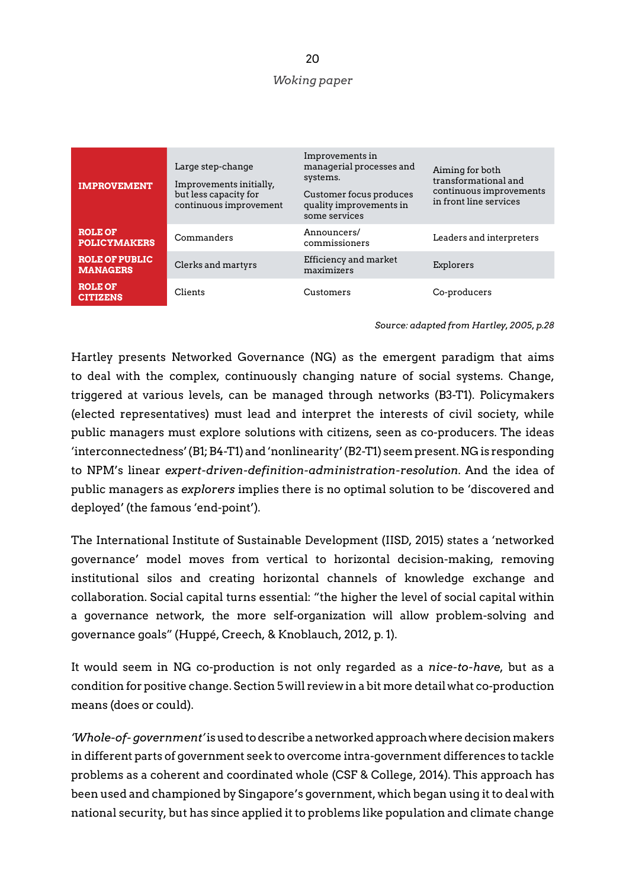| <b>IMPROVEMENT</b>                       | Large step-change<br>Improvements initially,<br>but less capacity for<br>continuous improvement | Improvements in<br>managerial processes and<br>systems.<br>Customer focus produces<br>quality improvements in<br>some services | Aiming for both<br>transformational and<br>continuous improvements<br>in front line services |
|------------------------------------------|-------------------------------------------------------------------------------------------------|--------------------------------------------------------------------------------------------------------------------------------|----------------------------------------------------------------------------------------------|
| <b>ROLE OF</b><br><b>POLICYMAKERS</b>    | Commanders                                                                                      | Announcers/<br>commissioners                                                                                                   | Leaders and interpreters                                                                     |
| <b>ROLE OF PUBLIC</b><br><b>MANAGERS</b> | Clerks and martyrs                                                                              | Efficiency and market<br>maximizers                                                                                            | Explorers                                                                                    |
| <b>ROLE OF</b><br><b>CITIZENS</b>        | Clients                                                                                         | Customers                                                                                                                      | Co-producers                                                                                 |

*Source: adapted from Hartley, 2005, p.28*

Hartley presents Networked Governance (NG) as the emergent paradigm that aims to deal with the complex, continuously changing nature of social systems. Change, triggered at various levels, can be managed through networks (B3-T1). Policymakers (elected representatives) must lead and interpret the interests of civil society, while public managers must explore solutions with citizens, seen as co-producers. The ideas 'interconnectedness' (B1; B4-T1) and 'nonlinearity' (B2-T1) seem present. NG is responding to NPM's linear *expert-driven-definition-administration-resolution*. And the idea of public managers as *explorers* implies there is no optimal solution to be 'discovered and deployed' (the famous 'end-point').

The International Institute of Sustainable Development (IISD, 2015) states a 'networked governance' model moves from vertical to horizontal decision-making, removing institutional silos and creating horizontal channels of knowledge exchange and collaboration. Social capital turns essential: "the higher the level of social capital within a governance network, the more self-organization will allow problem-solving and governance goals" (Huppé, Creech, & Knoblauch, 2012, p. 1).

It would seem in NG co-production is not only regarded as a *nice-to-have*, but as a condition for positive change. Section 5 will review in a bit more detail what co-production means (does or could).

*'Whole-of- government'* is used to describe a networked approach where decision makers in different parts of government seek to overcome intra-government differences to tackle problems as a coherent and coordinated whole (CSF & College, 2014). This approach has been used and championed by Singapore's government, which began using it to deal with national security, but has since applied it to problems like population and climate change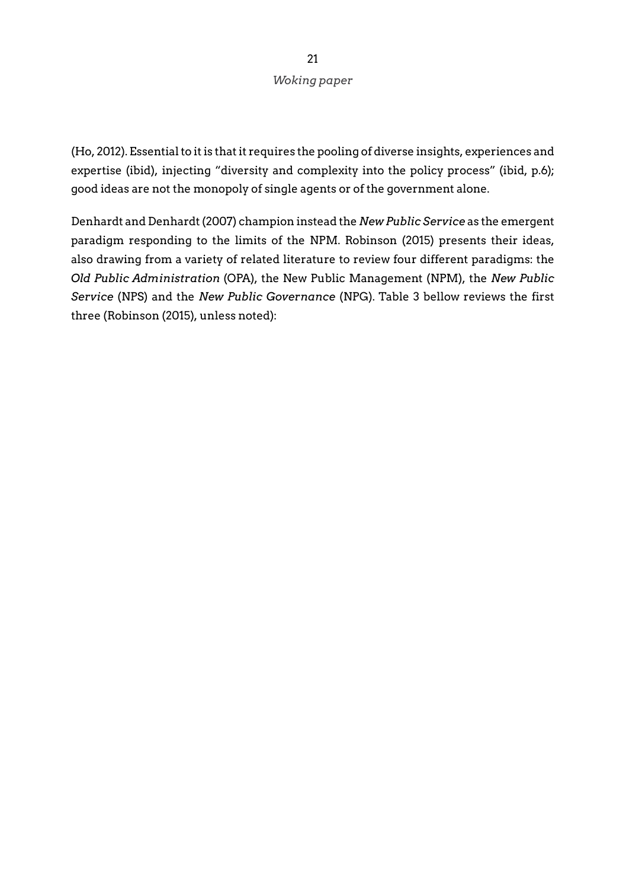(Ho, 2012). Essential to it is that it requires the pooling of diverse insights, experiences and expertise (ibid), injecting "diversity and complexity into the policy process" (ibid, p.6); good ideas are not the monopoly of single agents or of the government alone.

Denhardt and Denhardt (2007) champion instead the *New Public Service* as the emergent paradigm responding to the limits of the NPM. Robinson (2015) presents their ideas, also drawing from a variety of related literature to review four different paradigms: the *Old Public Administration* (OPA), the New Public Management (NPM), the *New Public Service* (NPS) and the *New Public Governance* (NPG). Table 3 bellow reviews the first three (Robinson (2015), unless noted):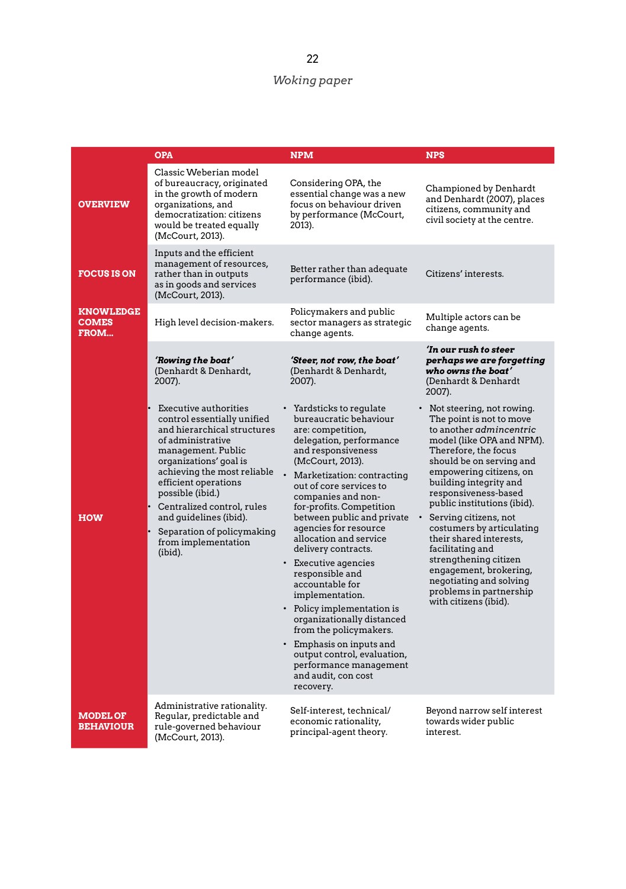|                                                 | <b>OPA</b>                                                                                                                                                                                                                                                                                                                                                                                                          | <b>NPM</b>                                                                                                                                                                                                                                                                                                                                                                                                                                                                                                                                                                                                                                                                                                                             | <b>NPS</b>                                                                                                                                                                                                                                                                                                                                                                                                                                                                                                                                                                                                                                  |
|-------------------------------------------------|---------------------------------------------------------------------------------------------------------------------------------------------------------------------------------------------------------------------------------------------------------------------------------------------------------------------------------------------------------------------------------------------------------------------|----------------------------------------------------------------------------------------------------------------------------------------------------------------------------------------------------------------------------------------------------------------------------------------------------------------------------------------------------------------------------------------------------------------------------------------------------------------------------------------------------------------------------------------------------------------------------------------------------------------------------------------------------------------------------------------------------------------------------------------|---------------------------------------------------------------------------------------------------------------------------------------------------------------------------------------------------------------------------------------------------------------------------------------------------------------------------------------------------------------------------------------------------------------------------------------------------------------------------------------------------------------------------------------------------------------------------------------------------------------------------------------------|
| <b>OVERVIEW</b>                                 | Classic Weberian model<br>of bureaucracy, originated<br>in the growth of modern<br>organizations, and<br>democratization: citizens<br>would be treated equally<br>(McCourt, 2013).                                                                                                                                                                                                                                  | Considering OPA, the<br>essential change was a new<br>focus on behaviour driven<br>by performance (McCourt,<br>2013).                                                                                                                                                                                                                                                                                                                                                                                                                                                                                                                                                                                                                  | Championed by Denhardt<br>and Denhardt (2007), places<br>citizens, community and<br>civil society at the centre.                                                                                                                                                                                                                                                                                                                                                                                                                                                                                                                            |
| <b>FOCUS IS ON</b>                              | Inputs and the efficient<br>management of resources,<br>rather than in outputs<br>as in goods and services<br>(McCourt, 2013).                                                                                                                                                                                                                                                                                      | Better rather than adequate<br>performance (ibid).                                                                                                                                                                                                                                                                                                                                                                                                                                                                                                                                                                                                                                                                                     | Citizens' interests.                                                                                                                                                                                                                                                                                                                                                                                                                                                                                                                                                                                                                        |
| <b>KNOWLEDGE</b><br><b>COMES</b><br><b>FROM</b> | High level decision-makers.                                                                                                                                                                                                                                                                                                                                                                                         | Policymakers and public<br>sector managers as strategic<br>change agents.                                                                                                                                                                                                                                                                                                                                                                                                                                                                                                                                                                                                                                                              | Multiple actors can be<br>change agents.                                                                                                                                                                                                                                                                                                                                                                                                                                                                                                                                                                                                    |
| <b>HOW</b>                                      | 'Rowing the boat'<br>(Denhardt & Denhardt,<br>2007).<br>Executive authorities<br>control essentially unified<br>and hierarchical structures<br>of administrative<br>management. Public<br>organizations' goal is<br>achieving the most reliable<br>efficient operations<br>possible (ibid.)<br>Centralized control, rules<br>and quidelines (ibid).<br>Separation of policymaking<br>from implementation<br>(ibid). | 'Steer, not row, the boat'<br>(Denhardt & Denhardt,<br>2007).<br>• Yardsticks to regulate<br>bureaucratic behaviour<br>are: competition,<br>delegation, performance<br>and responsiveness<br>(McCourt, 2013).<br>Marketization: contracting<br>out of core services to<br>companies and non-<br>for-profits. Competition<br>between public and private<br>agencies for resource<br>allocation and service<br>delivery contracts.<br>$\cdot$ Executive agencies<br>responsible and<br>accountable for<br>implementation.<br>• Policy implementation is<br>organizationally distanced<br>from the policymakers.<br>• Emphasis on inputs and<br>output control, evaluation,<br>performance management<br>and audit, con cost<br>recovery. | 'In our rush to steer<br>perhaps we are forgetting<br>who owns the boat'<br>(Denhardt & Denhardt<br>2007).<br>• Not steering, not rowing.<br>The point is not to move<br>to another <i>admincentric</i><br>model (like OPA and NPM).<br>Therefore, the focus<br>should be on serving and<br>empowering citizens, on<br>building integrity and<br>responsiveness-based<br>public institutions (ibid).<br>Serving citizens, not<br>costumers by articulating<br>their shared interests,<br>facilitating and<br>strengthening citizen<br>engagement, brokering,<br>negotiating and solving<br>problems in partnership<br>with citizens (ibid). |
| <b>MODEL OF</b><br><b>BEHAVIOUR</b>             | Administrative rationality.<br>Regular, predictable and<br>rule-governed behaviour<br>(McCourt, 2013).                                                                                                                                                                                                                                                                                                              | Self-interest, technical/<br>economic rationality,<br>principal-agent theory.                                                                                                                                                                                                                                                                                                                                                                                                                                                                                                                                                                                                                                                          | Beyond narrow self interest<br>towards wider public<br>interest.                                                                                                                                                                                                                                                                                                                                                                                                                                                                                                                                                                            |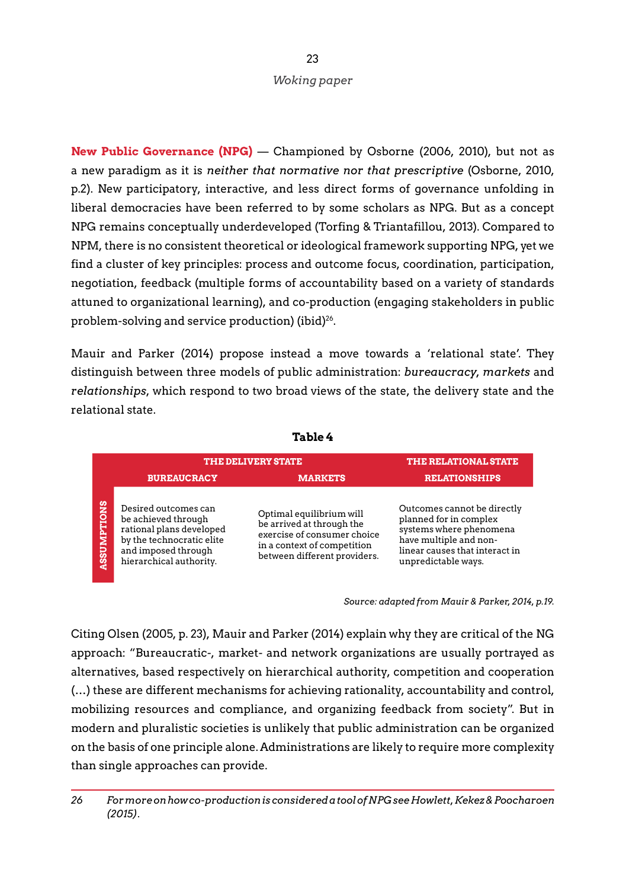**New Public Governance (NPG)** — Championed by Osborne (2006, 2010), but not as a new paradigm as it is *neither that normative nor that prescriptive* (Osborne, 2010, p.2). New participatory, interactive, and less direct forms of governance unfolding in liberal democracies have been referred to by some scholars as NPG. But as a concept NPG remains conceptually underdeveloped (Torfing & Triantafillou, 2013). Compared to NPM, there is no consistent theoretical or ideological framework supporting NPG, yet we find a cluster of key principles: process and outcome focus, coordination, participation, negotiation, feedback (multiple forms of accountability based on a variety of standards attuned to organizational learning), and co-production (engaging stakeholders in public problem-solving and service production) (ibid)<sup>26</sup>.

Mauir and Parker (2014) propose instead a move towards a 'relational state'. They distinguish between three models of public administration: *bureaucracy, markets* and *relationships*, which respond to two broad views of the state, the delivery state and the relational state.

|                    | THE DELIVERY STATE                                                                                                                                     | THE RELATIONAL STATE                                                                                                                                |                                                                                                                                                                     |
|--------------------|--------------------------------------------------------------------------------------------------------------------------------------------------------|-----------------------------------------------------------------------------------------------------------------------------------------------------|---------------------------------------------------------------------------------------------------------------------------------------------------------------------|
|                    | <b>BUREAUCRACY</b>                                                                                                                                     | <b>MARKETS</b>                                                                                                                                      | <b>RELATIONSHIPS</b>                                                                                                                                                |
| <b>ASSUMPTIONS</b> | Desired outcomes can<br>be achieved through<br>rational plans developed<br>by the technocratic elite<br>and imposed through<br>hierarchical authority. | Optimal equilibrium will<br>be arrived at through the<br>exercise of consumer choice<br>in a context of competition<br>between different providers. | Outcomes cannot be directly<br>planned for in complex<br>systems where phenomena<br>have multiple and non-<br>linear causes that interact in<br>unpredictable ways. |

#### **Table 4**

*Source: adapted from Mauir & Parker, 2014, p.19.*

Citing Olsen (2005, p. 23), Mauir and Parker (2014) explain why they are critical of the NG approach: "Bureaucratic-, market- and network organizations are usually portrayed as alternatives, based respectively on hierarchical authority, competition and cooperation (…) these are different mechanisms for achieving rationality, accountability and control, mobilizing resources and compliance, and organizing feedback from society". But in modern and pluralistic societies is unlikely that public administration can be organized on the basis of one principle alone. Administrations are likely to require more complexity than single approaches can provide.

*<sup>26</sup> For more on how co-production is considered a tool of NPG see Howlett, Kekez & Poocharoen (2015).*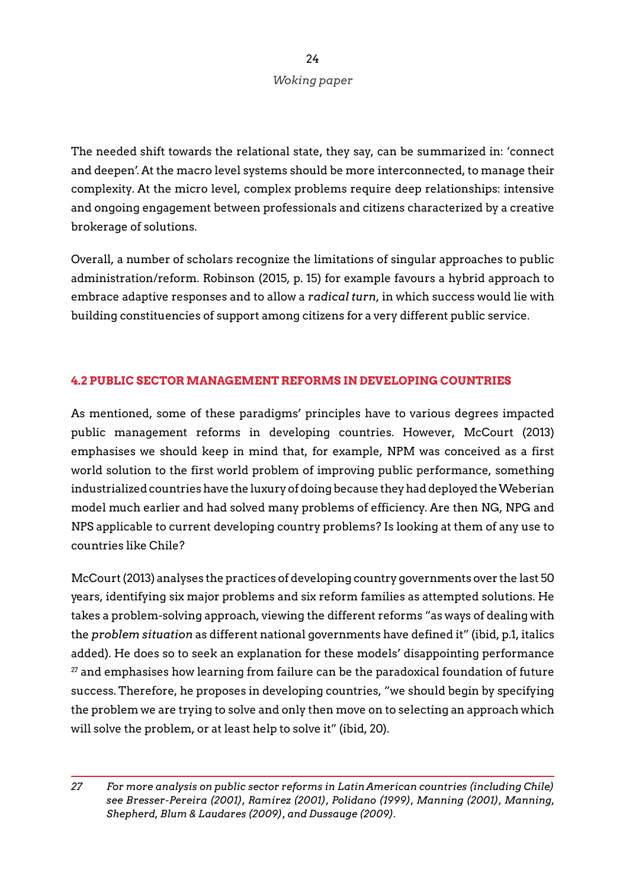The needed shift towards the relational state, they say, can be summarized in: 'connect and deepen'. At the macro level systems should be more interconnected, to manage their complexity. At the micro level, complex problems require deep relationships: intensive and ongoing engagement between professionals and citizens characterized by a creative brokerage of solutions.

Overall, a number of scholars recognize the limitations of singular approaches to public administration/reform. Robinson (2015, p. 15) for example favours a hybrid approach to embrace adaptive responses and to allow a *radical turn*, in which success would lie with building constituencies of support among citizens for a very different public service.

## **4.2 PUBLIC SECTOR MANAGEMENT REFORMS IN DEVELOPING COUNTRIES**

As mentioned, some of these paradigms' principles have to various degrees impacted public management reforms in developing countries. However, McCourt (2013) emphasises we should keep in mind that, for example, NPM was conceived as a first world solution to the first world problem of improving public performance, something industrialized countries have the luxury of doing because they had deployed the Weberian model much earlier and had solved many problems of efficiency. Are then NG, NPG and NPS applicable to current developing country problems? Is looking at them of any use to countries like Chile?

McCourt (2013) analyses the practices of developing country governments over the last 50 years, identifying six major problems and six reform families as attempted solutions. He takes a problem-solving approach, viewing the different reforms "as ways of dealing with the *problem situation* as different national governments have defined it" (ibid, p.1, italics added). He does so to seek an explanation for these models' disappointing performance  $27$  and emphasises how learning from failure can be the paradoxical foundation of future success. Therefore, he proposes in developing countries, "we should begin by specifying the problem we are trying to solve and only then move on to selecting an approach which will solve the problem, or at least help to solve it" (ibid, 20).

*27 For more analysis on public sector reforms in Latin American countries (including Chile) see Bresser-Pereira (2001), Ramirez (2001), Polidano (1999), Manning (2001), Manning, Shepherd, Blum & Laudares (2009), and Dussauge (2009).*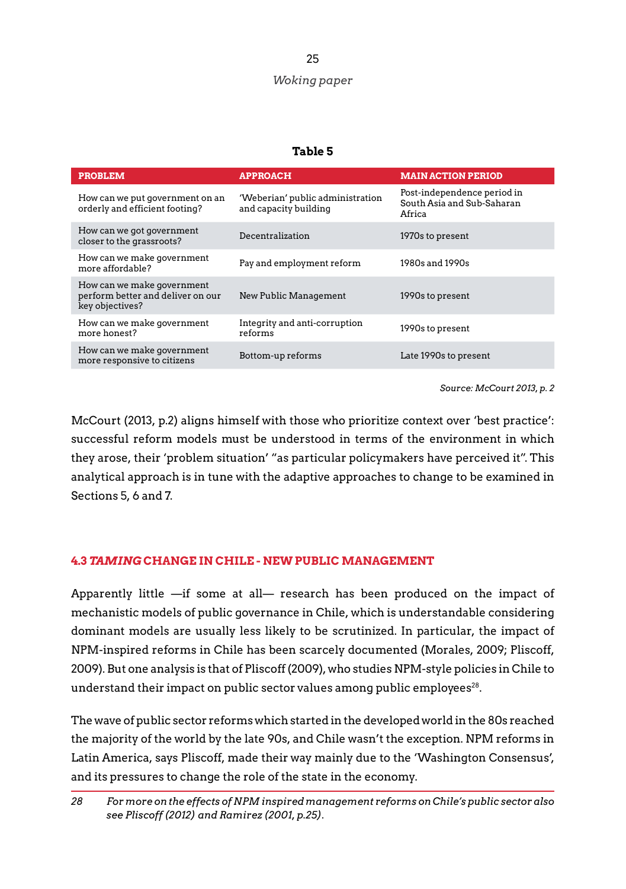#### **Table 5**

| <b>PROBLEM</b>                                                                     | <b>APPROACH</b>                                           | <b>MAIN ACTION PERIOD</b>                                           |
|------------------------------------------------------------------------------------|-----------------------------------------------------------|---------------------------------------------------------------------|
| How can we put government on an<br>orderly and efficient footing?                  | 'Weberian' public administration<br>and capacity building | Post-independence period in<br>South Asia and Sub-Saharan<br>Africa |
| How can we got government<br>closer to the grassroots?                             | Decentralization                                          | 1970s to present                                                    |
| How can we make government<br>more affordable?                                     | Pay and employment reform                                 | 1980s and 1990s                                                     |
| How can we make government<br>perform better and deliver on our<br>key objectives? | New Public Management                                     | 1990s to present                                                    |
| How can we make government<br>more honest?                                         | Integrity and anti-corruption<br>reforms                  | 1990s to present                                                    |
| How can we make government<br>more responsive to citizens                          | Bottom-up reforms                                         | Late 1990s to present                                               |

*Source: McCourt 2013, p. 2*

McCourt (2013, p.2) aligns himself with those who prioritize context over 'best practice': successful reform models must be understood in terms of the environment in which they arose, their 'problem situation' "as particular policymakers have perceived it". This analytical approach is in tune with the adaptive approaches to change to be examined in Sections 5, 6 and 7.

#### **4.3** *TAMING* **CHANGE IN CHILE - NEW PUBLIC MANAGEMENT**

Apparently little —if some at all— research has been produced on the impact of mechanistic models of public governance in Chile, which is understandable considering dominant models are usually less likely to be scrutinized. In particular, the impact of NPM-inspired reforms in Chile has been scarcely documented (Morales, 2009; Pliscoff, 2009). But one analysis is that of Pliscoff (2009), who studies NPM-style policies in Chile to understand their impact on public sector values among public employees<sup>28</sup>.

The wave of public sector reforms which started in the developed world in the 80s reached the majority of the world by the late 90s, and Chile wasn't the exception. NPM reforms in Latin America, says Pliscoff, made their way mainly due to the 'Washington Consensus', and its pressures to change the role of the state in the economy.

*<sup>28</sup> For more on the effects of NPM inspired management reforms on Chile's public sector also see Pliscoff (2012) and Ramirez (2001, p.25).*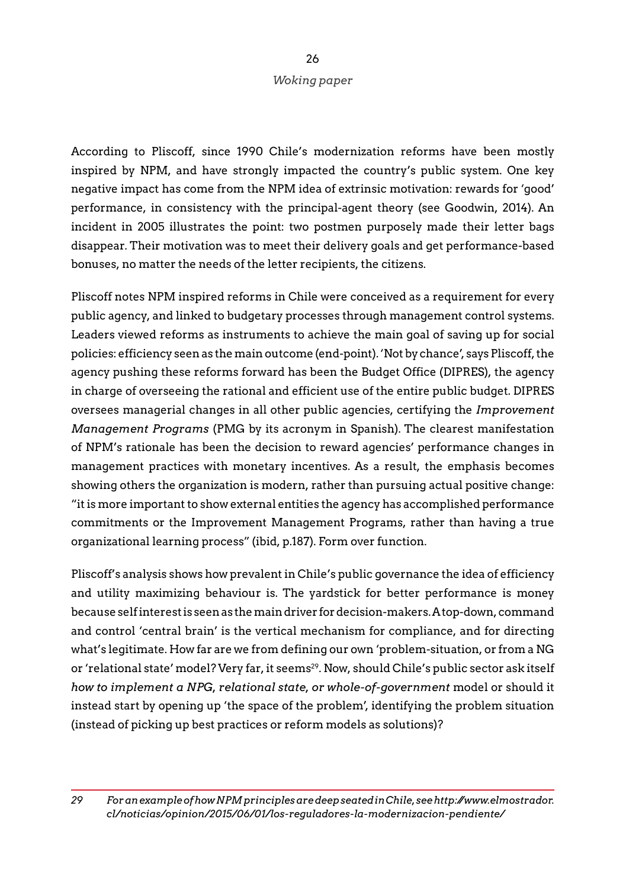According to Pliscoff, since 1990 Chile's modernization reforms have been mostly inspired by NPM, and have strongly impacted the country's public system. One key negative impact has come from the NPM idea of extrinsic motivation: rewards for 'good' performance, in consistency with the principal-agent theory (see Goodwin, 2014). An incident in 2005 illustrates the point: two postmen purposely made their letter bags disappear. Their motivation was to meet their delivery goals and get performance-based bonuses, no matter the needs of the letter recipients, the citizens.

Pliscoff notes NPM inspired reforms in Chile were conceived as a requirement for every public agency, and linked to budgetary processes through management control systems. Leaders viewed reforms as instruments to achieve the main goal of saving up for social policies: efficiency seen as the main outcome (end-point). 'Not by chance', says Pliscoff, the agency pushing these reforms forward has been the Budget Office (DIPRES), the agency in charge of overseeing the rational and efficient use of the entire public budget. DIPRES oversees managerial changes in all other public agencies, certifying the *Improvement Management Programs* (PMG by its acronym in Spanish). The clearest manifestation of NPM's rationale has been the decision to reward agencies' performance changes in management practices with monetary incentives. As a result, the emphasis becomes showing others the organization is modern, rather than pursuing actual positive change: "it is more important to show external entities the agency has accomplished performance commitments or the Improvement Management Programs, rather than having a true organizational learning process" (ibid, p.187). Form over function.

Pliscoff's analysis shows how prevalent in Chile's public governance the idea of efficiency and utility maximizing behaviour is. The yardstick for better performance is money because self interest is seen as the main driver for decision-makers. A top-down, command and control 'central brain' is the vertical mechanism for compliance, and for directing what's legitimate. How far are we from defining our own 'problem-situation, or from a NG or 'relational state' model? Very far, it seems<sup>29</sup>. Now, should Chile's public sector ask itself *how to implement a NPG, relational state, or whole-of-government* model or should it instead start by opening up 'the space of the problem', identifying the problem situation (instead of picking up best practices or reform models as solutions)?

*29 For an example of how NPM principles are deep seated in Chile, see http://www.elmostrador. cl/noticias/opinion/2015/06/01/los-reguladores-la-modernizacion-pendiente/*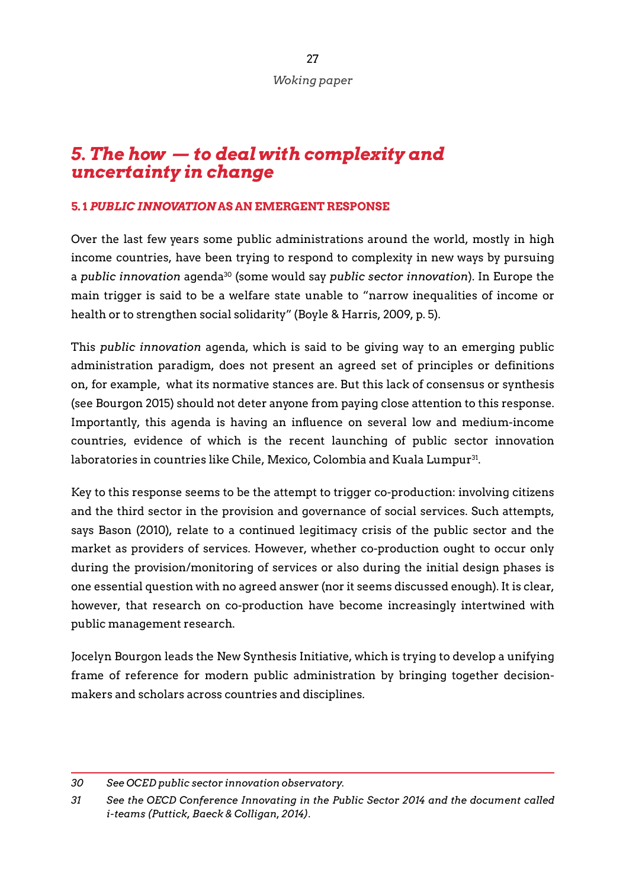# *5. The how — to deal with complexity and uncertainty in change*

#### **5. 1** *PUBLIC INNOVATION* **AS AN EMERGENT RESPONSE**

Over the last few years some public administrations around the world, mostly in high income countries, have been trying to respond to complexity in new ways by pursuing a *public innovation* agenda30 (some would say *public sector innovation*). In Europe the main trigger is said to be a welfare state unable to "narrow inequalities of income or health or to strengthen social solidarity" (Boyle & Harris, 2009, p. 5).

This *public innovation* agenda, which is said to be giving way to an emerging public administration paradigm, does not present an agreed set of principles or definitions on, for example, what its normative stances are. But this lack of consensus or synthesis (see Bourgon 2015) should not deter anyone from paying close attention to this response. Importantly, this agenda is having an influence on several low and medium-income countries, evidence of which is the recent launching of public sector innovation laboratories in countries like Chile, Mexico, Colombia and Kuala Lumpur<sup>31</sup>.

Key to this response seems to be the attempt to trigger co-production: involving citizens and the third sector in the provision and governance of social services. Such attempts, says Bason (2010), relate to a continued legitimacy crisis of the public sector and the market as providers of services. However, whether co-production ought to occur only during the provision/monitoring of services or also during the initial design phases is one essential question with no agreed answer (nor it seems discussed enough). It is clear, however, that research on co-production have become increasingly intertwined with public management research.

Jocelyn Bourgon leads the New Synthesis Initiative, which is trying to develop a unifying frame of reference for modern public administration by bringing together decisionmakers and scholars across countries and disciplines.

*<sup>30</sup> See OCED public sector innovation observatory.*

*<sup>31</sup> See the OECD Conference Innovating in the Public Sector 2014 and the document called i-teams (Puttick, Baeck & Colligan, 2014).*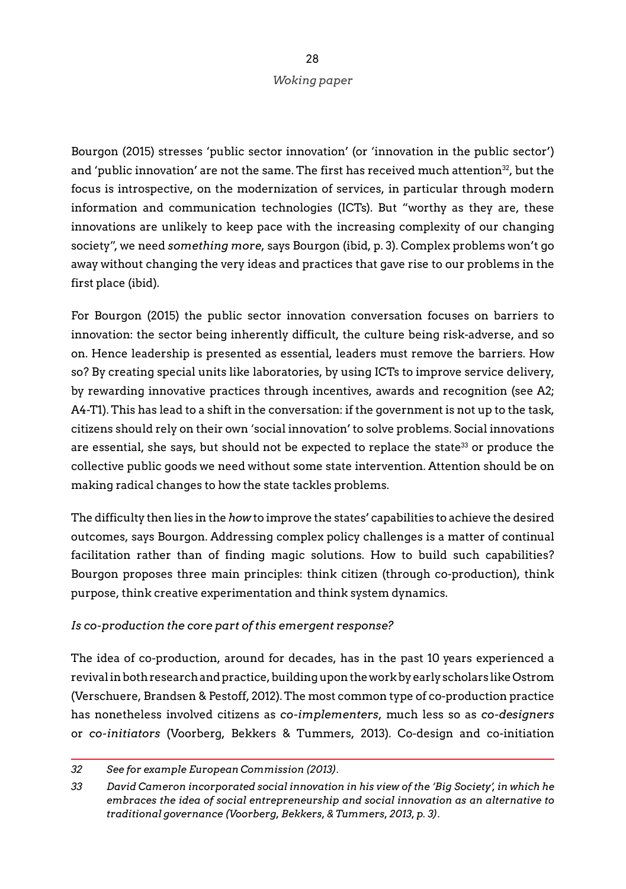Bourgon (2015) stresses 'public sector innovation' (or 'innovation in the public sector') and 'public innovation' are not the same. The first has received much attention<sup>32</sup>, but the focus is introspective, on the modernization of services, in particular through modern information and communication technologies (ICTs). But "worthy as they are, these innovations are unlikely to keep pace with the increasing complexity of our changing society", we need *something more*, says Bourgon (ibid, p. 3). Complex problems won't go away without changing the very ideas and practices that gave rise to our problems in the first place (ibid).

For Bourgon (2015) the public sector innovation conversation focuses on barriers to innovation: the sector being inherently difficult, the culture being risk-adverse, and so on. Hence leadership is presented as essential, leaders must remove the barriers. How so? By creating special units like laboratories, by using ICTs to improve service delivery, by rewarding innovative practices through incentives, awards and recognition (see A2; A4-T1). This has lead to a shift in the conversation: if the government is not up to the task, citizens should rely on their own 'social innovation' to solve problems. Social innovations are essential, she says, but should not be expected to replace the state<sup>33</sup> or produce the collective public goods we need without some state intervention. Attention should be on making radical changes to how the state tackles problems.

The difficulty then lies in the *how* to improve the states' capabilities to achieve the desired outcomes, says Bourgon. Addressing complex policy challenges is a matter of continual facilitation rather than of finding magic solutions. How to build such capabilities? Bourgon proposes three main principles: think citizen (through co-production), think purpose, think creative experimentation and think system dynamics.

## *Is co-production the core part of this emergent response?*

The idea of co-production, around for decades, has in the past 10 years experienced a revival in both research and practice, building upon the work by early scholars like Ostrom (Verschuere, Brandsen & Pestoff, 2012). The most common type of co-production practice has nonetheless involved citizens as *co-implementers*, much less so as *co-designers* or *co-initiators* (Voorberg, Bekkers & Tummers, 2013). Co-design and co-initiation

*<sup>32</sup> See for example European Commission (2013).*

*<sup>33</sup> David Cameron incorporated social innovation in his view of the 'Big Society', in which he embraces the idea of social entrepreneurship and social innovation as an alternative to traditional governance (Voorberg, Bekkers, & Tummers, 2013, p. 3).*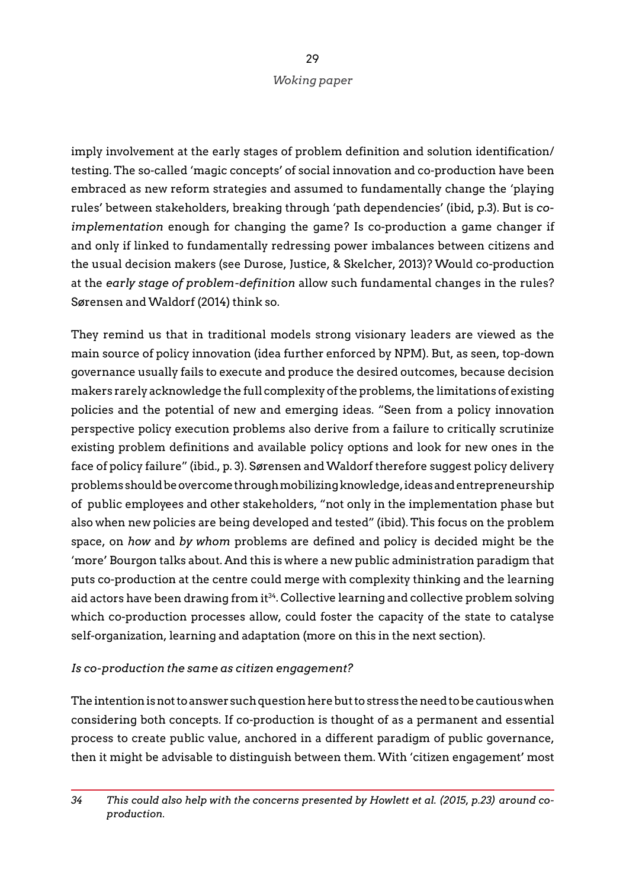imply involvement at the early stages of problem definition and solution identification/ testing. The so-called 'magic concepts' of social innovation and co-production have been embraced as new reform strategies and assumed to fundamentally change the 'playing rules' between stakeholders, breaking through 'path dependencies' (ibid, p.3). But is *coimplementation* enough for changing the game? Is co-production a game changer if and only if linked to fundamentally redressing power imbalances between citizens and the usual decision makers (see Durose, Justice, & Skelcher, 2013)? Would co-production at the *early stage of problem-definition* allow such fundamental changes in the rules? Sørensen and Waldorf (2014) think so.

They remind us that in traditional models strong visionary leaders are viewed as the main source of policy innovation (idea further enforced by NPM). But, as seen, top-down governance usually fails to execute and produce the desired outcomes, because decision makers rarely acknowledge the full complexity of the problems, the limitations of existing policies and the potential of new and emerging ideas. "Seen from a policy innovation perspective policy execution problems also derive from a failure to critically scrutinize existing problem definitions and available policy options and look for new ones in the face of policy failure" (ibid., p. 3). Sørensen and Waldorf therefore suggest policy delivery problems should be overcome through mobilizing knowledge, ideas and entrepreneurship of public employees and other stakeholders, "not only in the implementation phase but also when new policies are being developed and tested" (ibid). This focus on the problem space, on *how* and *by whom* problems are defined and policy is decided might be the 'more' Bourgon talks about. And this is where a new public administration paradigm that puts co-production at the centre could merge with complexity thinking and the learning aid actors have been drawing from it<sup>34</sup>. Collective learning and collective problem solving which co-production processes allow, could foster the capacity of the state to catalyse self-organization, learning and adaptation (more on this in the next section).

## *Is co-production the same as citizen engagement?*

The intention is not to answer such question here but to stress the need to be cautious when considering both concepts. If co-production is thought of as a permanent and essential process to create public value, anchored in a different paradigm of public governance, then it might be advisable to distinguish between them. With 'citizen engagement' most

*34 This could also help with the concerns presented by Howlett et al. (2015, p.23) around coproduction.*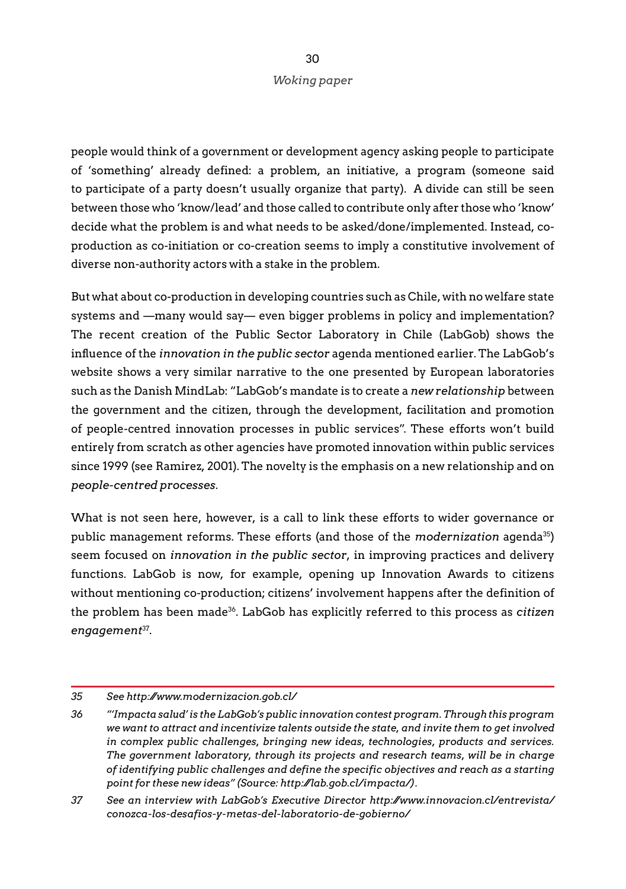people would think of a government or development agency asking people to participate of 'something' already defined: a problem, an initiative, a program (someone said to participate of a party doesn't usually organize that party). A divide can still be seen between those who 'know/lead' and those called to contribute only after those who 'know' decide what the problem is and what needs to be asked/done/implemented. Instead, coproduction as co-initiation or co-creation seems to imply a constitutive involvement of diverse non-authority actors with a stake in the problem.

But what about co-production in developing countries such as Chile, with no welfare state systems and —many would say— even bigger problems in policy and implementation? The recent creation of the Public Sector Laboratory in Chile (LabGob) shows the influence of the *innovation in the public sector* agenda mentioned earlier. The LabGob's website shows a very similar narrative to the one presented by European laboratories such as the Danish MindLab: "LabGob's mandate is to create a *new relationship* between the government and the citizen, through the development, facilitation and promotion of people-centred innovation processes in public services". These efforts won't build entirely from scratch as other agencies have promoted innovation within public services since 1999 (see Ramirez, 2001). The novelty is the emphasis on a new relationship and on *people-centred processes*.

What is not seen here, however, is a call to link these efforts to wider governance or public management reforms. These efforts (and those of the *modernization* agenda<sup>35</sup>) seem focused on *innovation in the public sector*, in improving practices and delivery functions. LabGob is now, for example, opening up Innovation Awards to citizens without mentioning co-production; citizens' involvement happens after the definition of the problem has been made36. LabGob has explicitly referred to this process as *citizen engagement*37.

*<sup>35</sup> See http://www.modernizacion.gob.cl/*

*<sup>36</sup> "'Impacta salud' is the LabGob's public innovation contest program. Through this program we want to attract and incentivize talents outside the state, and invite them to get involved in complex public challenges, bringing new ideas, technologies, products and services. The government laboratory, through its projects and research teams, will be in charge of identifying public challenges and define the specific objectives and reach as a starting point for these new ideas" (Source: http://lab.gob.cl/impacta/).*

*<sup>37</sup> See an interview with LabGob's Executive Director http://www.innovacion.cl/entrevista/ conozca-los-desafios-y-metas-del-laboratorio-de-gobierno/*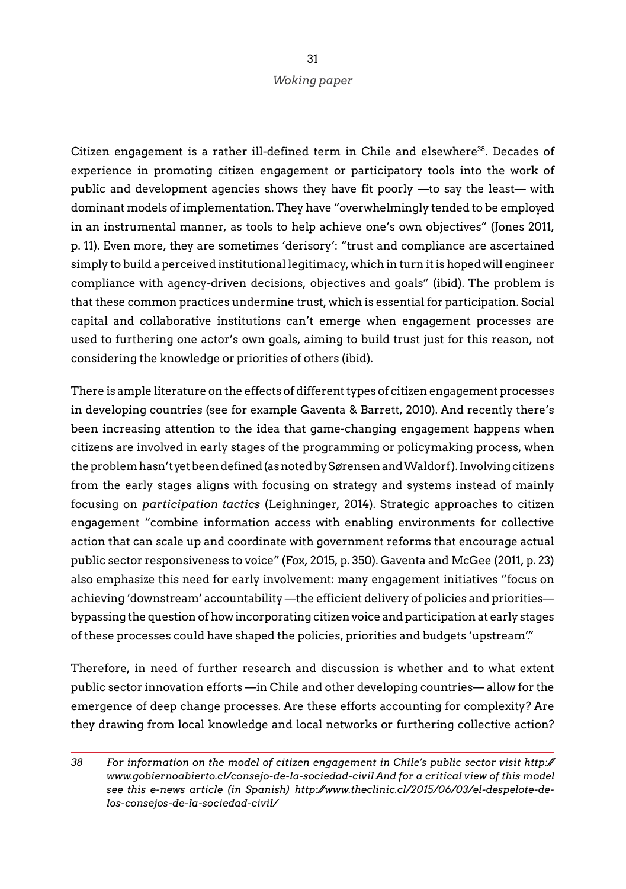Citizen engagement is a rather ill-defined term in Chile and elsewhere<sup>38</sup>. Decades of experience in promoting citizen engagement or participatory tools into the work of public and development agencies shows they have fit poorly —to say the least— with dominant models of implementation. They have "overwhelmingly tended to be employed in an instrumental manner, as tools to help achieve one's own objectives" (Jones 2011, p. 11). Even more, they are sometimes 'derisory': "trust and compliance are ascertained simply to build a perceived institutional legitimacy, which in turn it is hoped will engineer compliance with agency-driven decisions, objectives and goals" (ibid). The problem is that these common practices undermine trust, which is essential for participation. Social capital and collaborative institutions can't emerge when engagement processes are used to furthering one actor's own goals, aiming to build trust just for this reason, not considering the knowledge or priorities of others (ibid).

There is ample literature on the effects of different types of citizen engagement processes in developing countries (see for example Gaventa & Barrett, 2010). And recently there's been increasing attention to the idea that game-changing engagement happens when citizens are involved in early stages of the programming or policymaking process, when the problem hasn't yet been defined (as noted by Sørensen and Waldorf). Involving citizens from the early stages aligns with focusing on strategy and systems instead of mainly focusing on *participation tactics* (Leighninger, 2014). Strategic approaches to citizen engagement "combine information access with enabling environments for collective action that can scale up and coordinate with government reforms that encourage actual public sector responsiveness to voice" (Fox, 2015, p. 350). Gaventa and McGee (2011, p. 23) also emphasize this need for early involvement: many engagement initiatives "focus on achieving 'downstream' accountability —the efficient delivery of policies and priorities bypassing the question of how incorporating citizen voice and participation at early stages of these processes could have shaped the policies, priorities and budgets 'upstream'."

Therefore, in need of further research and discussion is whether and to what extent public sector innovation efforts —in Chile and other developing countries— allow for the emergence of deep change processes. Are these efforts accounting for complexity? Are they drawing from local knowledge and local networks or furthering collective action?

*<sup>38</sup> For information on the model of citizen engagement in Chile's public sector visit http:// www.gobiernoabierto.cl/consejo-de-la-sociedad-civil And for a critical view of this model see this e-news article (in Spanish) http://www.theclinic.cl/2015/06/03/el-despelote-delos-consejos-de-la-sociedad-civil/*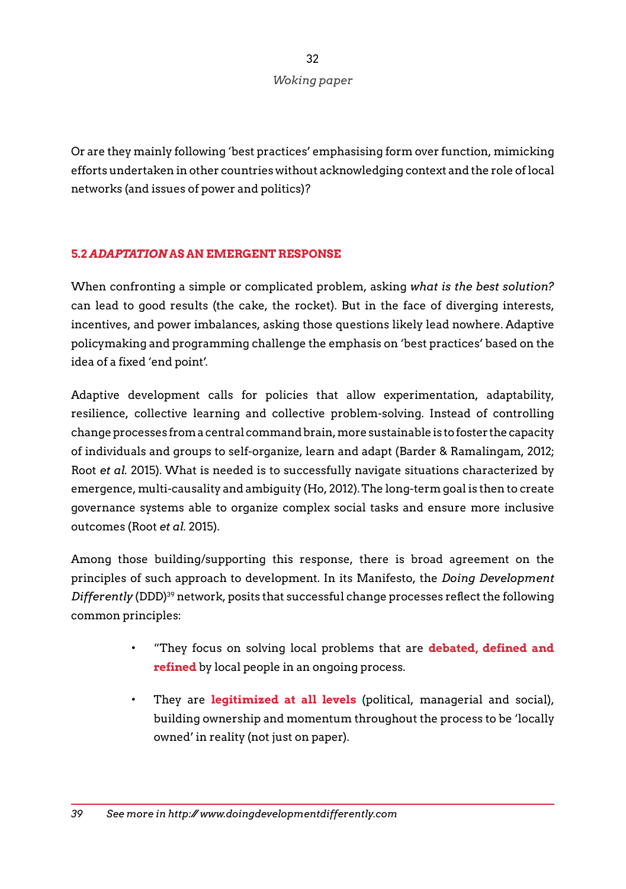Or are they mainly following 'best practices' emphasising form over function, mimicking efforts undertaken in other countries without acknowledging context and the role of local networks (and issues of power and politics)?

## **5.2** *ADAPTATION* **AS AN EMERGENT RESPONSE**

When confronting a simple or complicated problem, asking *what is the best solution?*  can lead to good results (the cake, the rocket). But in the face of diverging interests, incentives, and power imbalances, asking those questions likely lead nowhere. Adaptive policymaking and programming challenge the emphasis on 'best practices' based on the idea of a fixed 'end point'.

Adaptive development calls for policies that allow experimentation, adaptability, resilience, collective learning and collective problem-solving. Instead of controlling change processes from a central command brain, more sustainable is to foster the capacity of individuals and groups to self-organize, learn and adapt (Barder & Ramalingam, 2012; Root *et al.* 2015). What is needed is to successfully navigate situations characterized by emergence, multi-causality and ambiguity (Ho, 2012). The long-term goal is then to create governance systems able to organize complex social tasks and ensure more inclusive outcomes (Root *et al.* 2015).

Among those building/supporting this response, there is broad agreement on the principles of such approach to development. In its Manifesto, the *Doing Development Differently* (DDD)39 network, posits that successful change processes reflect the following common principles:

- "They focus on solving local problems that are **debated, defined and refined** by local people in an ongoing process.
- They are **legitimized at all levels** (political, managerial and social), building ownership and momentum throughout the process to be 'locally owned' in reality (not just on paper).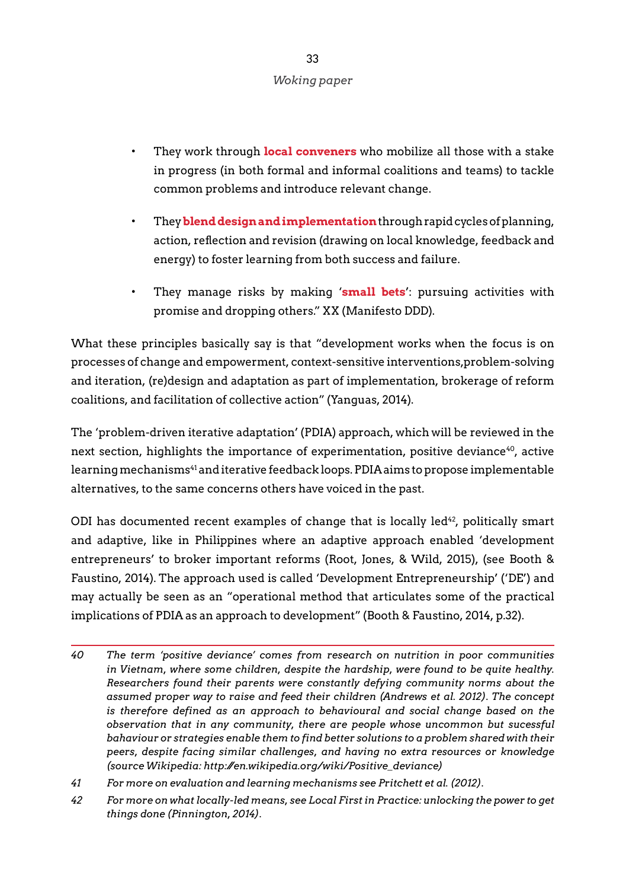- They work through **local conveners** who mobilize all those with a stake in progress (in both formal and informal coalitions and teams) to tackle common problems and introduce relevant change.
- They **blend design and implementation** through rapid cycles of planning, action, reflection and revision (drawing on local knowledge, feedback and energy) to foster learning from both success and failure.
- They manage risks by making '**small bets**': pursuing activities with promise and dropping others." XX (Manifesto DDD).

What these principles basically say is that "development works when the focus is on processes of change and empowerment, context-sensitive interventions,problem-solving and iteration, (re)design and adaptation as part of implementation, brokerage of reform coalitions, and facilitation of collective action" (Yanguas, 2014).

The 'problem-driven iterative adaptation' (PDIA) approach, which will be reviewed in the next section, highlights the importance of experimentation, positive deviance<sup>40</sup>, active learning mechanisms<sup>41</sup> and iterative feedback loops. PDIA aims to propose implementable alternatives, to the same concerns others have voiced in the past.

ODI has documented recent examples of change that is locally led $42$ , politically smart and adaptive, like in Philippines where an adaptive approach enabled 'development entrepreneurs' to broker important reforms (Root, Jones, & Wild, 2015), (see Booth & Faustino, 2014). The approach used is called 'Development Entrepreneurship' ('DE') and may actually be seen as an "operational method that articulates some of the practical implications of PDIA as an approach to development" (Booth & Faustino, 2014, p.32).

- *40 The term 'positive deviance' comes from research on nutrition in poor communities in Vietnam, where some children, despite the hardship, were found to be quite healthy. Researchers found their parents were constantly defying community norms about the assumed proper way to raise and feed their children (Andrews et al. 2012). The concept is therefore defined as an approach to behavioural and social change based on the observation that in any community, there are people whose uncommon but sucessful bahaviour or strategies enable them to find better solutions to a problem shared with their peers, despite facing similar challenges, and having no extra resources or knowledge (source Wikipedia: http://en.wikipedia.org/wiki/Positive\_deviance)*
- *41 For more on evaluation and learning mechanisms see Pritchett et al. (2012).*
- *42 For more on what locally-led means, see Local First in Practice: unlocking the power to get things done (Pinnington, 2014).*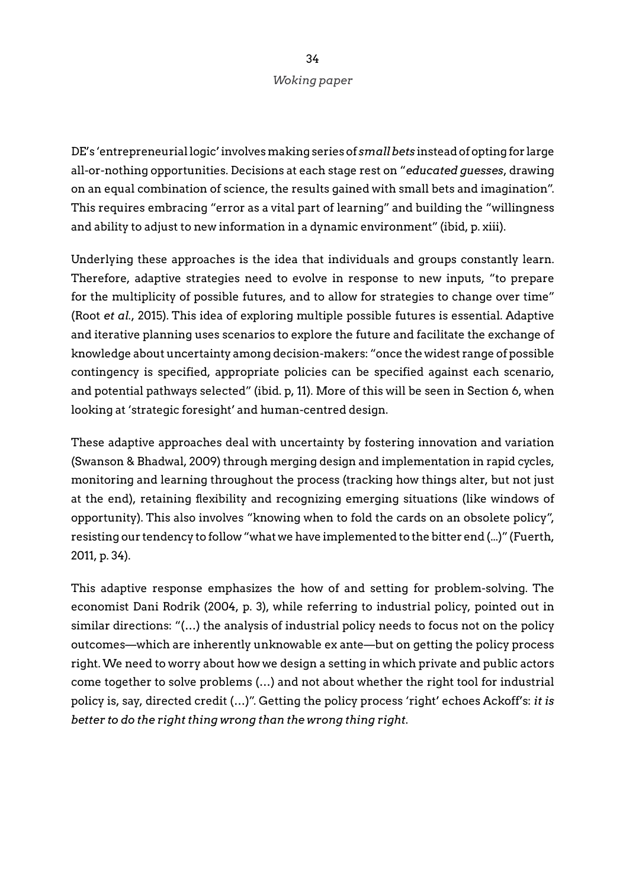DE's 'entrepreneurial logic' involves making series of *small bets* instead of opting for large all-or-nothing opportunities. Decisions at each stage rest on "*educated guesses*, drawing on an equal combination of science, the results gained with small bets and imagination". This requires embracing "error as a vital part of learning" and building the "willingness and ability to adjust to new information in a dynamic environment" (ibid, p. xiii).

Underlying these approaches is the idea that individuals and groups constantly learn. Therefore, adaptive strategies need to evolve in response to new inputs, "to prepare for the multiplicity of possible futures, and to allow for strategies to change over time" (Root *et al.*, 2015). This idea of exploring multiple possible futures is essential. Adaptive and iterative planning uses scenarios to explore the future and facilitate the exchange of knowledge about uncertainty among decision-makers: "once the widest range of possible contingency is specified, appropriate policies can be specified against each scenario, and potential pathways selected" (ibid. p, 11). More of this will be seen in Section 6, when looking at 'strategic foresight' and human-centred design.

These adaptive approaches deal with uncertainty by fostering innovation and variation (Swanson & Bhadwal, 2009) through merging design and implementation in rapid cycles, monitoring and learning throughout the process (tracking how things alter, but not just at the end), retaining flexibility and recognizing emerging situations (like windows of opportunity). This also involves "knowing when to fold the cards on an obsolete policy", resisting our tendency to follow "what we have implemented to the bitter end (...)" (Fuerth, 2011, p. 34).

This adaptive response emphasizes the how of and setting for problem-solving. The economist Dani Rodrik (2004, p. 3), while referring to industrial policy, pointed out in similar directions: "(…) the analysis of industrial policy needs to focus not on the policy outcomes—which are inherently unknowable ex ante—but on getting the policy process right. We need to worry about how we design a setting in which private and public actors come together to solve problems (…) and not about whether the right tool for industrial policy is, say, directed credit (…)". Getting the policy process 'right' echoes Ackoff's: *it is better to do the right thing wrong than the wrong thing right*.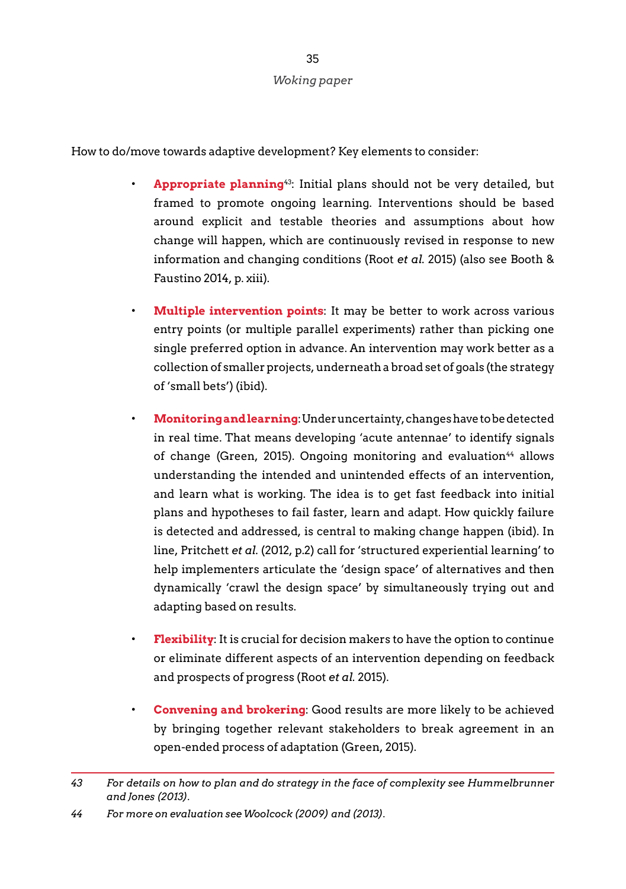How to do/move towards adaptive development? Key elements to consider:

- **Appropriate planning**43: Initial plans should not be very detailed, but framed to promote ongoing learning. Interventions should be based around explicit and testable theories and assumptions about how change will happen, which are continuously revised in response to new information and changing conditions (Root *et al.* 2015) (also see Booth & Faustino 2014, p. xiii).
- **Multiple intervention points**: It may be better to work across various entry points (or multiple parallel experiments) rather than picking one single preferred option in advance. An intervention may work better as a collection of smaller projects, underneath a broad set of goals (the strategy of 'small bets') (ibid).
- **Monitoring and learning**: Under uncertainty, changes have to be detected in real time. That means developing 'acute antennae' to identify signals of change (Green, 2015). Ongoing monitoring and evaluation<sup>44</sup> allows understanding the intended and unintended effects of an intervention, and learn what is working. The idea is to get fast feedback into initial plans and hypotheses to fail faster, learn and adapt. How quickly failure is detected and addressed, is central to making change happen (ibid). In line, Pritchett *et al.* (2012, p.2) call for 'structured experiential learning' to help implementers articulate the 'design space' of alternatives and then dynamically 'crawl the design space' by simultaneously trying out and adapting based on results.
- **Flexibility**: It is crucial for decision makers to have the option to continue or eliminate different aspects of an intervention depending on feedback and prospects of progress (Root *et al.* 2015).
- **Convening and brokering**: Good results are more likely to be achieved by bringing together relevant stakeholders to break agreement in an open-ended process of adaptation (Green, 2015).

*<sup>43</sup> For details on how to plan and do strategy in the face of complexity see Hummelbrunner and Jones (2013).*

*<sup>44</sup> For more on evaluation see Woolcock (2009) and (2013).*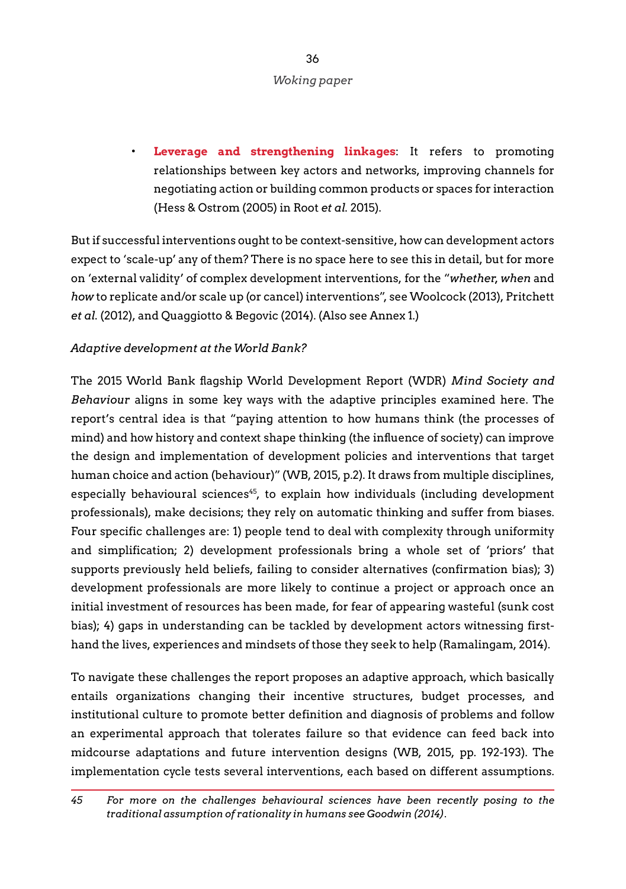• **Leverage and strengthening linkages**: It refers to promoting relationships between key actors and networks, improving channels for negotiating action or building common products or spaces for interaction (Hess & Ostrom (2005) in Root *et al.* 2015).

But if successful interventions ought to be context-sensitive, how can development actors expect to 'scale-up' any of them? There is no space here to see this in detail, but for more on 'external validity' of complex development interventions, for the "*whether, when* and *how* to replicate and/or scale up (or cancel) interventions", see Woolcock (2013), Pritchett *et al.* (2012), and Quaggiotto & Begovic (2014). (Also see Annex 1.)

## *Adaptive development at the World Bank?*

The 2015 World Bank flagship World Development Report (WDR) *Mind Society and Behaviour* aligns in some key ways with the adaptive principles examined here. The report's central idea is that "paying attention to how humans think (the processes of mind) and how history and context shape thinking (the influence of society) can improve the design and implementation of development policies and interventions that target human choice and action (behaviour)" (WB, 2015, p.2). It draws from multiple disciplines, especially behavioural sciences<sup>45</sup>, to explain how individuals (including development professionals), make decisions; they rely on automatic thinking and suffer from biases. Four specific challenges are: 1) people tend to deal with complexity through uniformity and simplification; 2) development professionals bring a whole set of 'priors' that supports previously held beliefs, failing to consider alternatives (confirmation bias); 3) development professionals are more likely to continue a project or approach once an initial investment of resources has been made, for fear of appearing wasteful (sunk cost bias); 4) gaps in understanding can be tackled by development actors witnessing firsthand the lives, experiences and mindsets of those they seek to help (Ramalingam, 2014).

To navigate these challenges the report proposes an adaptive approach, which basically entails organizations changing their incentive structures, budget processes, and institutional culture to promote better definition and diagnosis of problems and follow an experimental approach that tolerates failure so that evidence can feed back into midcourse adaptations and future intervention designs (WB, 2015, pp. 192-193). The implementation cycle tests several interventions, each based on different assumptions.

*<sup>45</sup> For more on the challenges behavioural sciences have been recently posing to the traditional assumption of rationality in humans see Goodwin (2014).*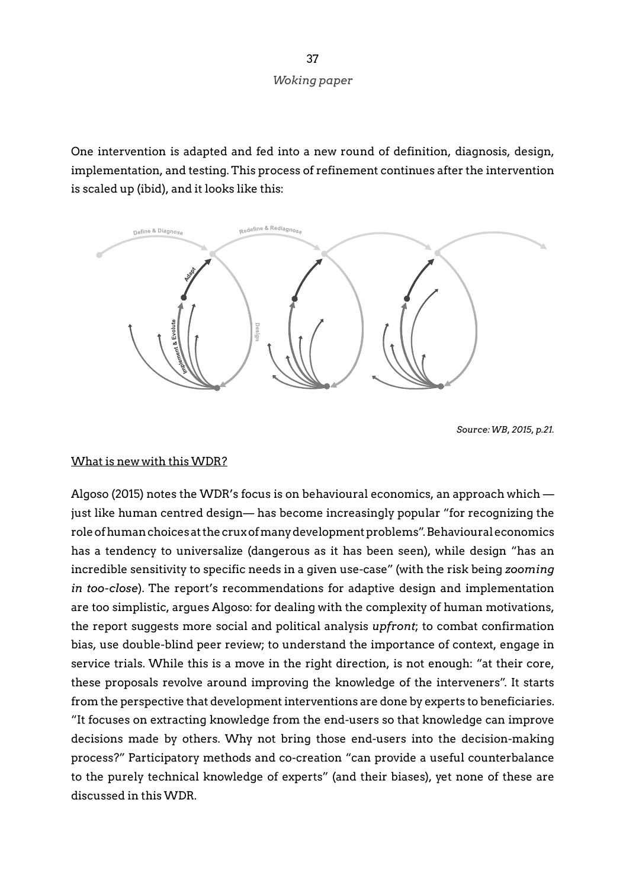One intervention is adapted and fed into a new round of definition, diagnosis, design, implementation, and testing. This process of refinement continues after the intervention is scaled up (ibid), and it looks like this:



*Source: WB, 2015, p.21.* 

#### What is new with this WDR?

Algoso (2015) notes the WDR's focus is on behavioural economics, an approach which just like human centred design— has become increasingly popular "for recognizing the role of human choices at the crux of many development problems". Behavioural economics has a tendency to universalize (dangerous as it has been seen), while design "has an incredible sensitivity to specific needs in a given use-case" (with the risk being *zooming in too-close*). The report's recommendations for adaptive design and implementation are too simplistic, argues Algoso: for dealing with the complexity of human motivations, the report suggests more social and political analysis *upfront*; to combat confirmation bias, use double-blind peer review; to understand the importance of context, engage in service trials. While this is a move in the right direction, is not enough: "at their core, these proposals revolve around improving the knowledge of the interveners". It starts from the perspective that development interventions are done by experts to beneficiaries. "It focuses on extracting knowledge from the end-users so that knowledge can improve decisions made by others. Why not bring those end-users into the decision-making process?" Participatory methods and co-creation "can provide a useful counterbalance to the purely technical knowledge of experts" (and their biases), yet none of these are discussed in this WDR.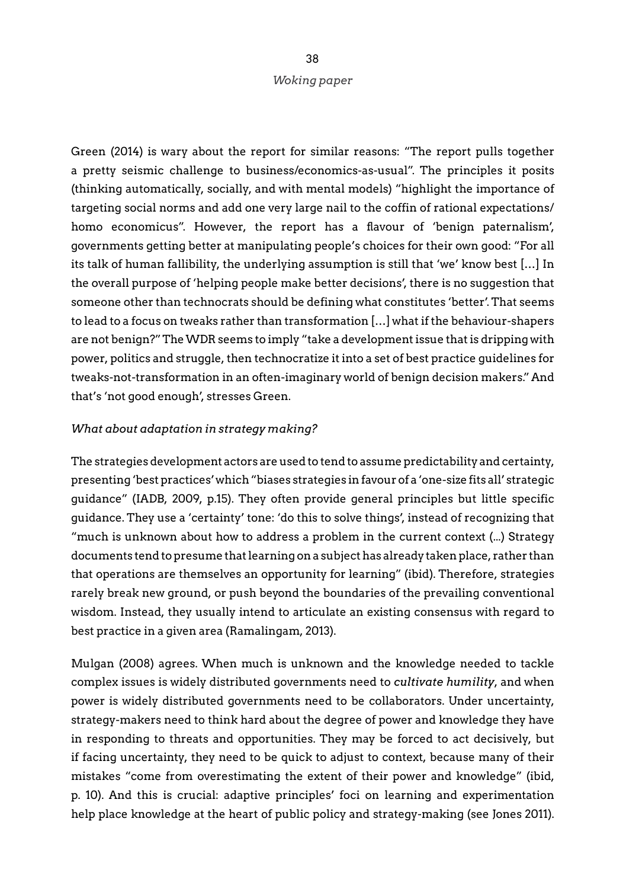Green (2014) is wary about the report for similar reasons: "The report pulls together a pretty seismic challenge to business/economics-as-usual". The principles it posits (thinking automatically, socially, and with mental models) "highlight the importance of targeting social norms and add one very large nail to the coffin of rational expectations/ homo economicus". However, the report has a flavour of 'benign paternalism', governments getting better at manipulating people's choices for their own good: "For all its talk of human fallibility, the underlying assumption is still that 'we' know best […] In the overall purpose of 'helping people make better decisions', there is no suggestion that someone other than technocrats should be defining what constitutes 'better'. That seems to lead to a focus on tweaks rather than transformation […] what if the behaviour-shapers are not benign?" The WDR seems to imply "take a development issue that is dripping with power, politics and struggle, then technocratize it into a set of best practice guidelines for tweaks-not-transformation in an often-imaginary world of benign decision makers." And that's 'not good enough', stresses Green.

## *What about adaptation in strategy making?*

The strategies development actors are used to tend to assume predictability and certainty, presenting 'best practices' which "biases strategies in favour of a 'one-size fits all' strategic guidance" (IADB, 2009, p.15). They often provide general principles but little specific guidance. They use a 'certainty' tone: 'do this to solve things', instead of recognizing that "much is unknown about how to address a problem in the current context (...) Strategy documents tend to presume that learning on a subject has already taken place, rather than that operations are themselves an opportunity for learning" (ibid). Therefore, strategies rarely break new ground, or push beyond the boundaries of the prevailing conventional wisdom. Instead, they usually intend to articulate an existing consensus with regard to best practice in a given area (Ramalingam, 2013).

Mulgan (2008) agrees. When much is unknown and the knowledge needed to tackle complex issues is widely distributed governments need to *cultivate humility*, and when power is widely distributed governments need to be collaborators. Under uncertainty, strategy-makers need to think hard about the degree of power and knowledge they have in responding to threats and opportunities. They may be forced to act decisively, but if facing uncertainty, they need to be quick to adjust to context, because many of their mistakes "come from overestimating the extent of their power and knowledge" (ibid, p. 10). And this is crucial: adaptive principles' foci on learning and experimentation help place knowledge at the heart of public policy and strategy-making (see Jones 2011).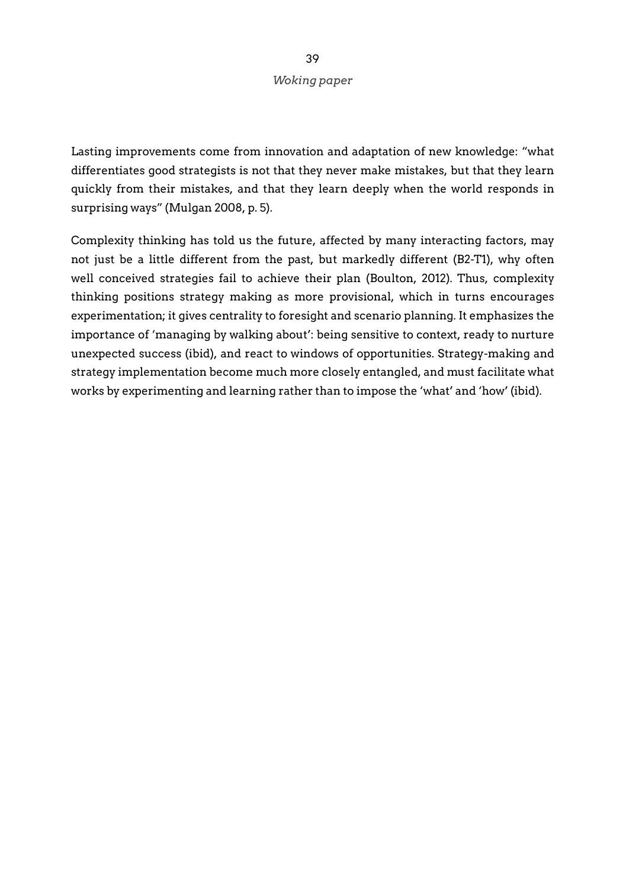Lasting improvements come from innovation and adaptation of new knowledge: "what differentiates good strategists is not that they never make mistakes, but that they learn quickly from their mistakes, and that they learn deeply when the world responds in surprising ways" (Mulgan 2008, p. 5).

Complexity thinking has told us the future, affected by many interacting factors, may not just be a little different from the past, but markedly different (B2-T1), why often well conceived strategies fail to achieve their plan (Boulton, 2012). Thus, complexity thinking positions strategy making as more provisional, which in turns encourages experimentation; it gives centrality to foresight and scenario planning. It emphasizes the importance of 'managing by walking about': being sensitive to context, ready to nurture unexpected success (ibid), and react to windows of opportunities. Strategy-making and strategy implementation become much more closely entangled, and must facilitate what works by experimenting and learning rather than to impose the 'what' and 'how' (ibid).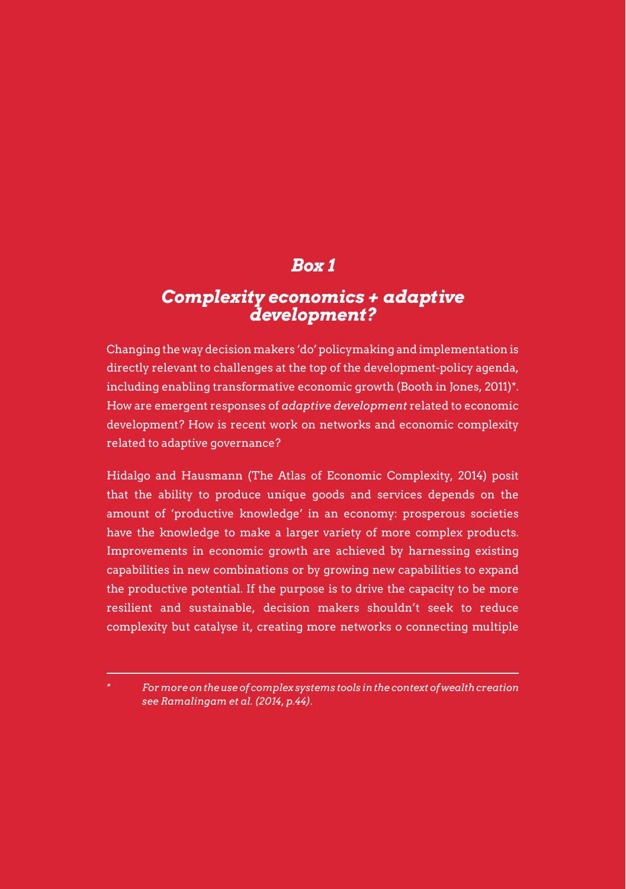# *Box 1*

# *Complexity economics + adaptive development?*

Changing the way decision makers 'do' policymaking and implementation is directly relevant to challenges at the top of the development-policy agenda, including enabling transformative economic growth (Booth in Jones, 2011)\*. How are emergent responses of *adaptive development* related to economic development? How is recent work on networks and economic complexity related to adaptive governance?

Hidalgo and Hausmann (The Atlas of Economic Complexity, 2014) posit that the ability to produce unique goods and services depends on the amount of 'productive knowledge' in an economy: prosperous societies have the knowledge to make a larger variety of more complex products. Improvements in economic growth are achieved by harnessing existing capabilities in new combinations or by growing new capabilities to expand the productive potential. If the purpose is to drive the capacity to be more resilient and sustainable, decision makers shouldn't seek to reduce complexity but catalyse it, creating more networks o connecting multiple

*\* For more on the use of complex systems tools in the context of wealth creation see Ramalingam et al. (2014, p.44).*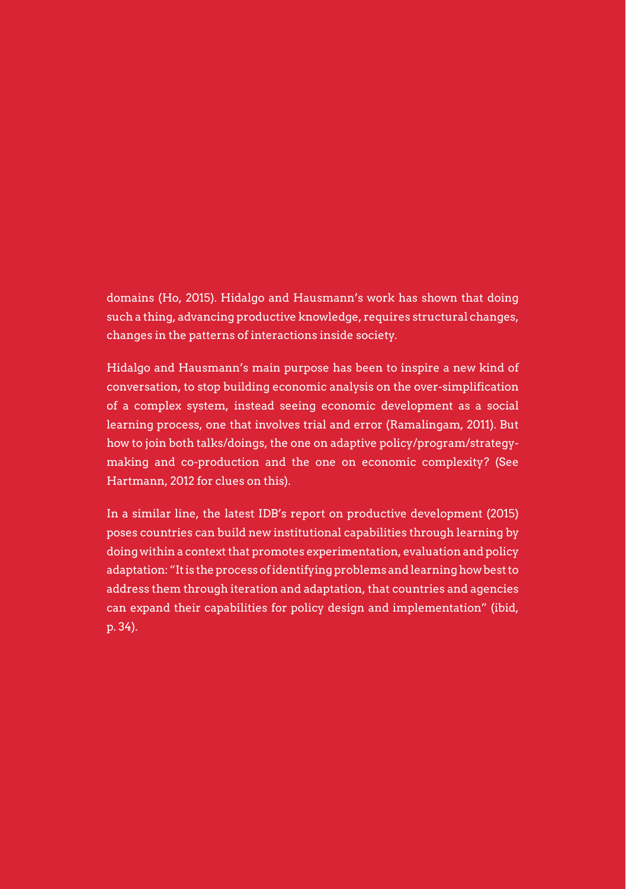domains (Ho, 2015). Hidalgo and Hausmann's work has shown that doing such a thing, advancing productive knowledge, requires structural changes, changes in the patterns of interactions inside society.

Hidalgo and Hausmann's main purpose has been to inspire a new kind of conversation, to stop building economic analysis on the over-simplification of a complex system, instead seeing economic development as a social learning process, one that involves trial and error (Ramalingam, 2011). But how to join both talks/doings, the one on adaptive policy/program/strategymaking and co-production and the one on economic complexity? (See Hartmann, 2012 for clues on this).

In a similar line, the latest IDB's report on productive development (2015) poses countries can build new institutional capabilities through learning by doing within a context that promotes experimentation, evaluation and policy adaptation: "It is the process of identifying problems and learning how best to address them through iteration and adaptation, that countries and agencies can expand their capabilities for policy design and implementation" (ibid, p. 34).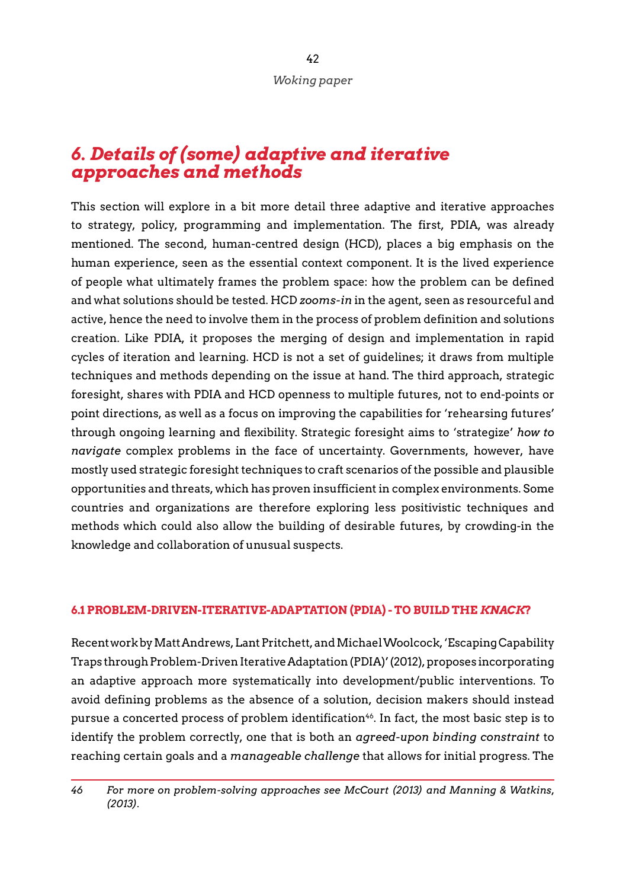# *6. Details of (some) adaptive and iterative approaches and methods*

This section will explore in a bit more detail three adaptive and iterative approaches to strategy, policy, programming and implementation. The first, PDIA, was already mentioned. The second, human-centred design (HCD), places a big emphasis on the human experience, seen as the essential context component. It is the lived experience of people what ultimately frames the problem space: how the problem can be defined and what solutions should be tested. HCD *zooms-in* in the agent, seen as resourceful and active, hence the need to involve them in the process of problem definition and solutions creation. Like PDIA, it proposes the merging of design and implementation in rapid cycles of iteration and learning. HCD is not a set of guidelines; it draws from multiple techniques and methods depending on the issue at hand. The third approach, strategic foresight, shares with PDIA and HCD openness to multiple futures, not to end-points or point directions, as well as a focus on improving the capabilities for 'rehearsing futures' through ongoing learning and flexibility. Strategic foresight aims to 'strategize' *how to navigate* complex problems in the face of uncertainty. Governments, however, have mostly used strategic foresight techniques to craft scenarios of the possible and plausible opportunities and threats, which has proven insufficient in complex environments. Some countries and organizations are therefore exploring less positivistic techniques and methods which could also allow the building of desirable futures, by crowding-in the knowledge and collaboration of unusual suspects.

#### **6.1 PROBLEM-DRIVEN-ITERATIVE-ADAPTATION (PDIA) - TO BUILD THE** *KNACK***?**

Recent work by Matt Andrews, Lant Pritchett, and Michael Woolcock, 'Escaping Capability Traps through Problem-Driven Iterative Adaptation (PDIA)' (2012), proposes incorporating an adaptive approach more systematically into development/public interventions. To avoid defining problems as the absence of a solution, decision makers should instead pursue a concerted process of problem identification<sup>46</sup>. In fact, the most basic step is to identify the problem correctly, one that is both an *agreed-upon binding constraint* to reaching certain goals and a *manageable challenge* that allows for initial progress. The

*<sup>46</sup> For more on problem-solving approaches see McCourt (2013) and Manning & Watkins, (2013).*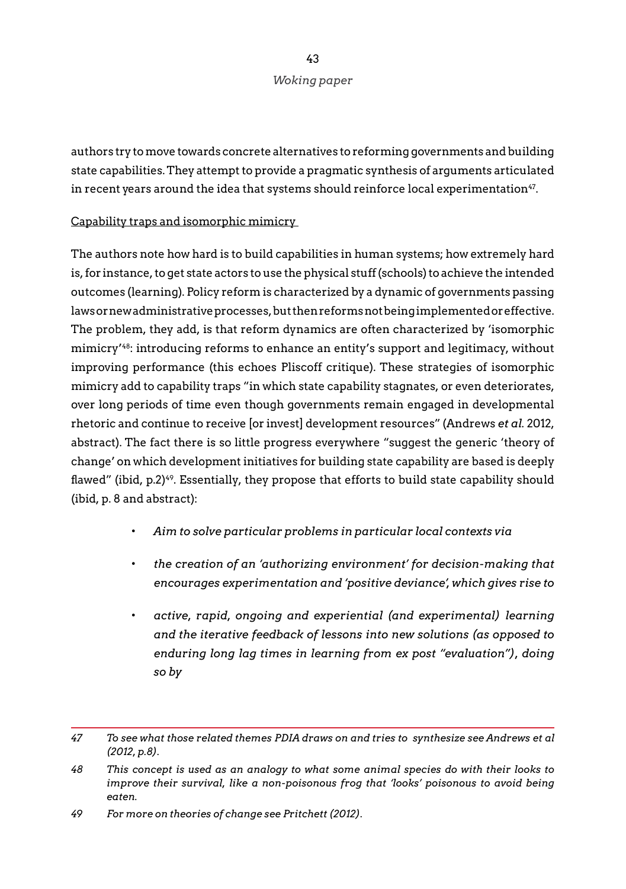authors try to move towards concrete alternatives to reforming governments and building state capabilities. They attempt to provide a pragmatic synthesis of arguments articulated in recent years around the idea that systems should reinforce local experimentation $47$ .

## Capability traps and isomorphic mimicry

The authors note how hard is to build capabilities in human systems; how extremely hard is, for instance, to get state actors to use the physical stuff (schools) to achieve the intended outcomes (learning). Policy reform is characterized by a dynamic of governments passing laws or new administrative processes, but then reforms not being implemented or effective. The problem, they add, is that reform dynamics are often characterized by 'isomorphic mimicry'48: introducing reforms to enhance an entity's support and legitimacy, without improving performance (this echoes Pliscoff critique). These strategies of isomorphic mimicry add to capability traps "in which state capability stagnates, or even deteriorates, over long periods of time even though governments remain engaged in developmental rhetoric and continue to receive [or invest] development resources" (Andrews *et al.* 2012, abstract). The fact there is so little progress everywhere "suggest the generic 'theory of change' on which development initiatives for building state capability are based is deeply flawed" (ibid, p.2)<sup>49</sup>. Essentially, they propose that efforts to build state capability should (ibid, p. 8 and abstract):

- *Aim to solve particular problems in particular local contexts via*
- *the creation of an 'authorizing environment' for decision-making that encourages experimentation and 'positive deviance', which gives rise to*
- *active, rapid, ongoing and experiential (and experimental) learning and the iterative feedback of lessons into new solutions (as opposed to enduring long lag times in learning from ex post "evaluation"), doing so by*

*<sup>47</sup> To see what those related themes PDIA draws on and tries to synthesize see Andrews et al (2012, p.8).* 

*<sup>48</sup> This concept is used as an analogy to what some animal species do with their looks to improve their survival, like a non-poisonous frog that 'looks' poisonous to avoid being eaten.*

*<sup>49</sup> For more on theories of change see Pritchett (2012).*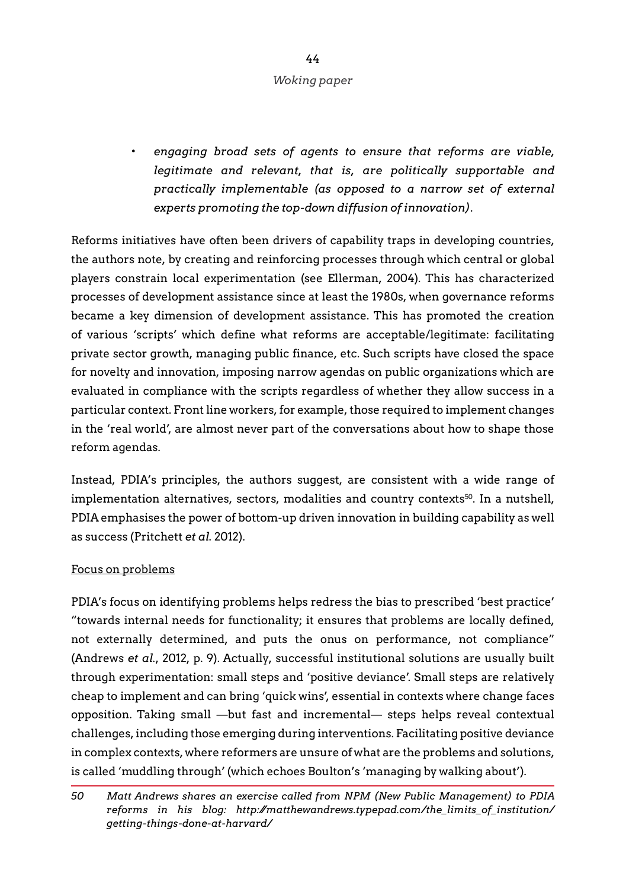• *engaging broad sets of agents to ensure that reforms are viable, legitimate and relevant, that is, are politically supportable and practically implementable (as opposed to a narrow set of external experts promoting the top-down diffusion of innovation).*

Reforms initiatives have often been drivers of capability traps in developing countries, the authors note, by creating and reinforcing processes through which central or global players constrain local experimentation (see Ellerman, 2004). This has characterized processes of development assistance since at least the 1980s, when governance reforms became a key dimension of development assistance. This has promoted the creation of various 'scripts' which define what reforms are acceptable/legitimate: facilitating private sector growth, managing public finance, etc. Such scripts have closed the space for novelty and innovation, imposing narrow agendas on public organizations which are evaluated in compliance with the scripts regardless of whether they allow success in a particular context. Front line workers, for example, those required to implement changes in the 'real world', are almost never part of the conversations about how to shape those reform agendas.

Instead, PDIA's principles, the authors suggest, are consistent with a wide range of  $implementation$  alternatives, sectors, modalities and country contexts $50$ . In a nutshell, PDIA emphasises the power of bottom-up driven innovation in building capability as well as success (Pritchett *et al.* 2012).

## Focus on problems

PDIA's focus on identifying problems helps redress the bias to prescribed 'best practice' "towards internal needs for functionality; it ensures that problems are locally defined, not externally determined, and puts the onus on performance, not compliance" (Andrews *et al.*, 2012, p. 9). Actually, successful institutional solutions are usually built through experimentation: small steps and 'positive deviance'. Small steps are relatively cheap to implement and can bring 'quick wins', essential in contexts where change faces opposition. Taking small —but fast and incremental— steps helps reveal contextual challenges, including those emerging during interventions. Facilitating positive deviance in complex contexts, where reformers are unsure of what are the problems and solutions, is called 'muddling through' (which echoes Boulton's 'managing by walking about').

*<sup>50</sup> Matt Andrews shares an exercise called from NPM (New Public Management) to PDIA reforms in his blog: http://matthewandrews.typepad.com/the\_limits\_of\_institution/ getting-things-done-at-harvard/*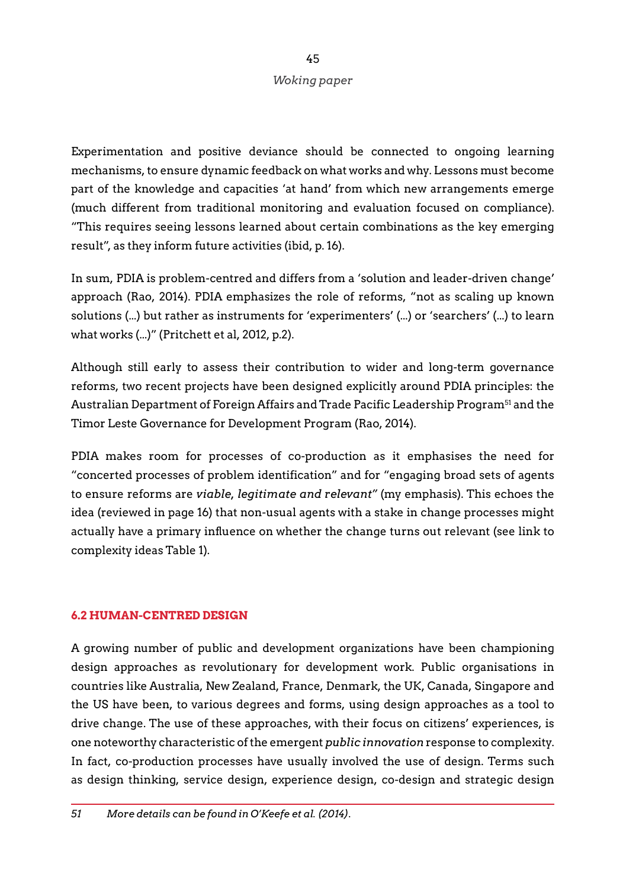Experimentation and positive deviance should be connected to ongoing learning mechanisms, to ensure dynamic feedback on what works and why. Lessons must become part of the knowledge and capacities 'at hand' from which new arrangements emerge (much different from traditional monitoring and evaluation focused on compliance). "This requires seeing lessons learned about certain combinations as the key emerging result", as they inform future activities (ibid, p. 16).

In sum, PDIA is problem-centred and differs from a 'solution and leader-driven change' approach (Rao, 2014). PDIA emphasizes the role of reforms, "not as scaling up known solutions (...) but rather as instruments for 'experimenters' (...) or 'searchers' (...) to learn what works (...)" (Pritchett et al, 2012, p.2).

Although still early to assess their contribution to wider and long-term governance reforms, two recent projects have been designed explicitly around PDIA principles: the Australian Department of Foreign Affairs and Trade Pacific Leadership Program<sup>51</sup> and the Timor Leste Governance for Development Program (Rao, 2014).

PDIA makes room for processes of co-production as it emphasises the need for "concerted processes of problem identification" and for "engaging broad sets of agents to ensure reforms are *viable, legitimate and relevant"* (my emphasis). This echoes the idea (reviewed in page 16) that non-usual agents with a stake in change processes might actually have a primary influence on whether the change turns out relevant (see link to complexity ideas Table 1).

## **6.2 HUMAN-CENTRED DESIGN**

A growing number of public and development organizations have been championing design approaches as revolutionary for development work. Public organisations in countries like Australia, New Zealand, France, Denmark, the UK, Canada, Singapore and the US have been, to various degrees and forms, using design approaches as a tool to drive change. The use of these approaches, with their focus on citizens' experiences, is one noteworthy characteristic of the emergent *public innovation* response to complexity. In fact, co-production processes have usually involved the use of design. Terms such as design thinking, service design, experience design, co-design and strategic design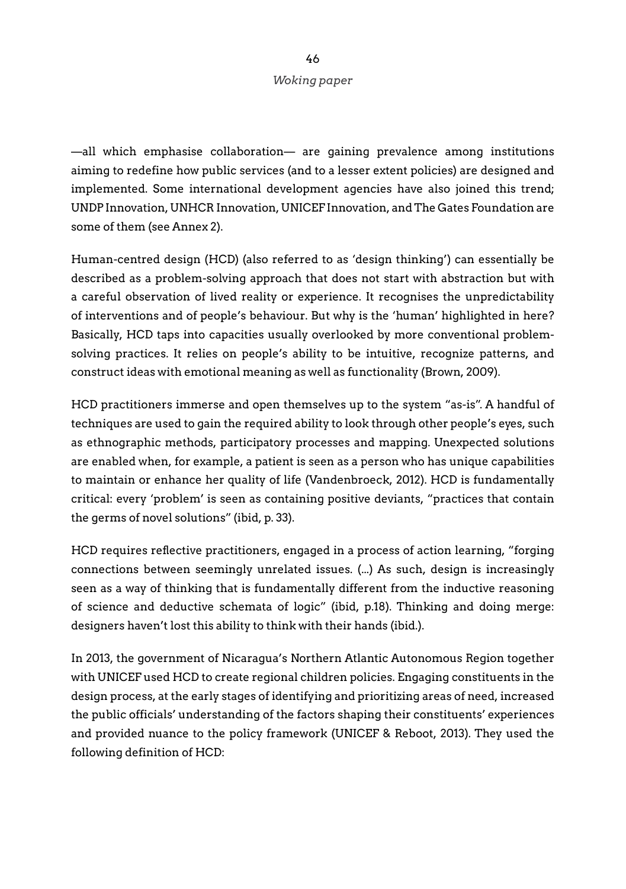—all which emphasise collaboration— are gaining prevalence among institutions aiming to redefine how public services (and to a lesser extent policies) are designed and implemented. Some international development agencies have also joined this trend; UNDP Innovation, UNHCR Innovation, UNICEF Innovation, and The Gates Foundation are some of them (see Annex 2).

Human-centred design (HCD) (also referred to as 'design thinking') can essentially be described as a problem-solving approach that does not start with abstraction but with a careful observation of lived reality or experience. It recognises the unpredictability of interventions and of people's behaviour. But why is the 'human' highlighted in here? Basically, HCD taps into capacities usually overlooked by more conventional problemsolving practices. It relies on people's ability to be intuitive, recognize patterns, and construct ideas with emotional meaning as well as functionality (Brown, 2009).

HCD practitioners immerse and open themselves up to the system "as-is". A handful of techniques are used to gain the required ability to look through other people's eyes, such as ethnographic methods, participatory processes and mapping. Unexpected solutions are enabled when, for example, a patient is seen as a person who has unique capabilities to maintain or enhance her quality of life (Vandenbroeck, 2012). HCD is fundamentally critical: every 'problem' is seen as containing positive deviants, "practices that contain the germs of novel solutions" (ibid, p. 33).

HCD requires reflective practitioners, engaged in a process of action learning, "forging connections between seemingly unrelated issues. (...) As such, design is increasingly seen as a way of thinking that is fundamentally different from the inductive reasoning of science and deductive schemata of logic" (ibid, p.18). Thinking and doing merge: designers haven't lost this ability to think with their hands (ibid.).

In 2013, the government of Nicaragua's Northern Atlantic Autonomous Region together with UNICEF used HCD to create regional children policies. Engaging constituents in the design process, at the early stages of identifying and prioritizing areas of need, increased the public officials' understanding of the factors shaping their constituents' experiences and provided nuance to the policy framework (UNICEF & Reboot, 2013). They used the following definition of HCD: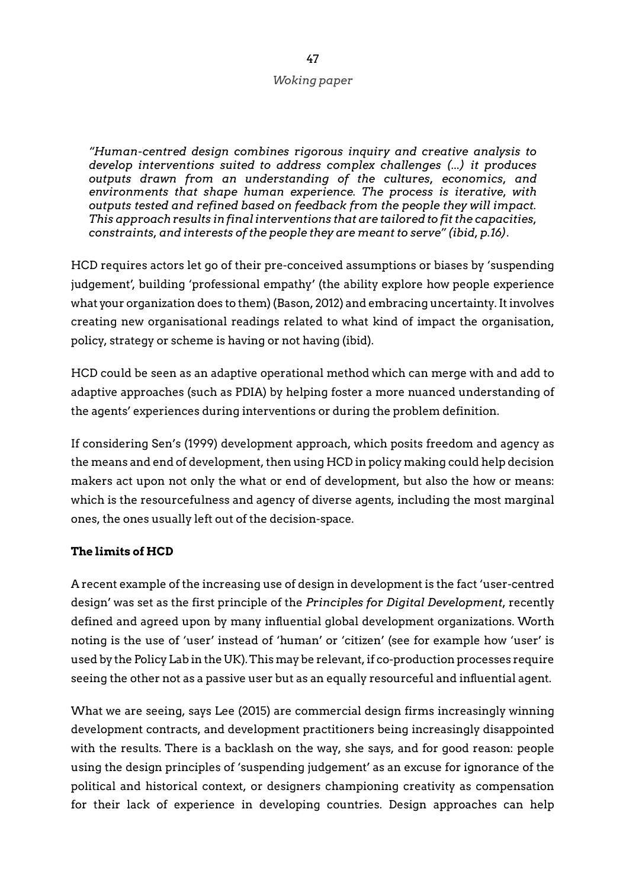*"Human-centred design combines rigorous inquiry and creative analysis to develop interventions suited to address complex challenges (...) it produces outputs drawn from an understanding of the cultures, economics, and environments that shape human experience. The process is iterative, with outputs tested and refined based on feedback from the people they will impact. This approach results in finalinterventions that are tailored to fitthe capacities, constraints, and interests of the people they are meant to serve" (ibid, p.16).*

HCD requires actors let go of their pre-conceived assumptions or biases by 'suspending judgement', building 'professional empathy' (the ability explore how people experience what your organization does to them) (Bason, 2012) and embracing uncertainty. It involves creating new organisational readings related to what kind of impact the organisation, policy, strategy or scheme is having or not having (ibid).

HCD could be seen as an adaptive operational method which can merge with and add to adaptive approaches (such as PDIA) by helping foster a more nuanced understanding of the agents' experiences during interventions or during the problem definition.

If considering Sen's (1999) development approach, which posits freedom and agency as the means and end of development, then using HCD in policy making could help decision makers act upon not only the what or end of development, but also the how or means: which is the resourcefulness and agency of diverse agents, including the most marginal ones, the ones usually left out of the decision-space.

## **The limits of HCD**

A recent example of the increasing use of design in development is the fact 'user-centred design' was set as the first principle of the *Principles for Digital Development,* recently defined and agreed upon by many influential global development organizations. Worth noting is the use of 'user' instead of 'human' or 'citizen' (see for example how 'user' is used by the Policy Lab in the UK). This may be relevant, if co-production processes require seeing the other not as a passive user but as an equally resourceful and influential agent.

What we are seeing, says Lee (2015) are commercial design firms increasingly winning development contracts, and development practitioners being increasingly disappointed with the results. There is a backlash on the way, she says, and for good reason: people using the design principles of 'suspending judgement' as an excuse for ignorance of the political and historical context, or designers championing creativity as compensation for their lack of experience in developing countries. Design approaches can help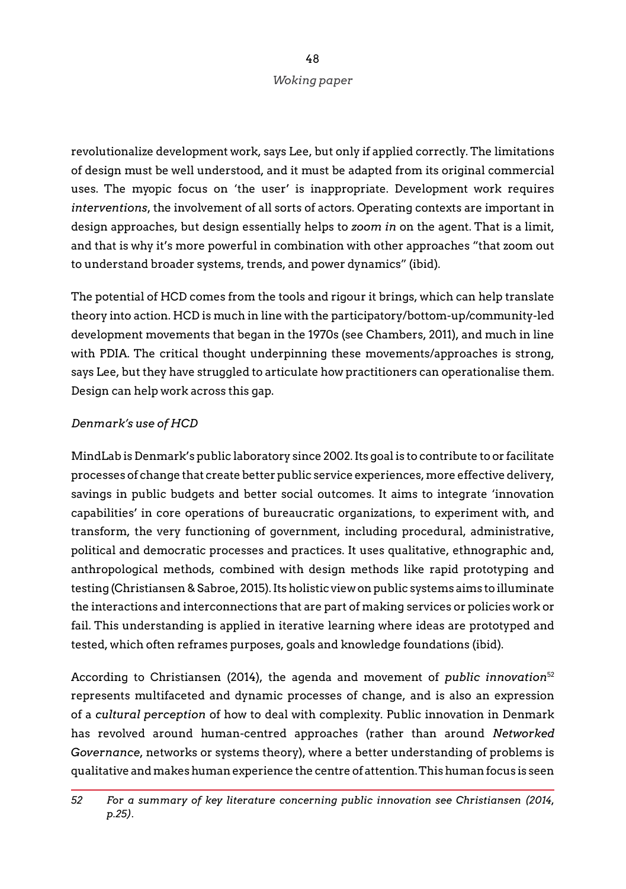revolutionalize development work, says Lee, but only if applied correctly. The limitations of design must be well understood, and it must be adapted from its original commercial uses. The myopic focus on 'the user' is inappropriate. Development work requires *interventions*, the involvement of all sorts of actors. Operating contexts are important in design approaches, but design essentially helps to *zoom in* on the agent. That is a limit, and that is why it's more powerful in combination with other approaches "that zoom out to understand broader systems, trends, and power dynamics" (ibid).

The potential of HCD comes from the tools and rigour it brings, which can help translate theory into action. HCD is much in line with the participatory/bottom-up/community-led development movements that began in the 1970s (see Chambers, 2011), and much in line with PDIA. The critical thought underpinning these movements/approaches is strong, says Lee, but they have struggled to articulate how practitioners can operationalise them. Design can help work across this gap.

## *Denmark's use of HCD*

MindLab is Denmark's public laboratory since 2002. Its goal is to contribute to or facilitate processes of change that create better public service experiences, more effective delivery, savings in public budgets and better social outcomes. It aims to integrate 'innovation capabilities' in core operations of bureaucratic organizations, to experiment with, and transform, the very functioning of government, including procedural, administrative, political and democratic processes and practices. It uses qualitative, ethnographic and, anthropological methods, combined with design methods like rapid prototyping and testing (Christiansen & Sabroe, 2015). Its holistic view on public systems aims to illuminate the interactions and interconnections that are part of making services or policies work or fail. This understanding is applied in iterative learning where ideas are prototyped and tested, which often reframes purposes, goals and knowledge foundations (ibid).

According to Christiansen (2014), the agenda and movement of *public innovation*<sup>52</sup> represents multifaceted and dynamic processes of change, and is also an expression of a *cultural perception* of how to deal with complexity. Public innovation in Denmark has revolved around human-centred approaches (rather than around *Networked Governance*, networks or systems theory), where a better understanding of problems is qualitative and makes human experience the centre of attention. This human focus is seen

*<sup>52</sup> For a summary of key literature concerning public innovation see Christiansen (2014, p.25).*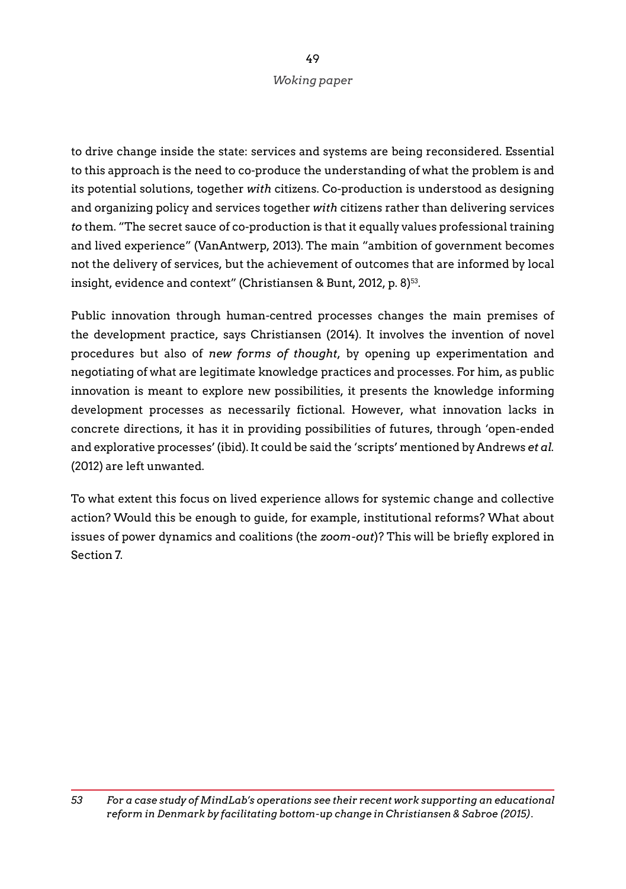to drive change inside the state: services and systems are being reconsidered. Essential to this approach is the need to co-produce the understanding of what the problem is and its potential solutions, together *with* citizens. Co-production is understood as designing and organizing policy and services together *with* citizens rather than delivering services *to* them. "The secret sauce of co-production is that it equally values professional training and lived experience" (VanAntwerp, 2013). The main "ambition of government becomes not the delivery of services, but the achievement of outcomes that are informed by local insight, evidence and context" (Christiansen & Bunt, 2012, p. 8)<sup>53</sup>.

Public innovation through human-centred processes changes the main premises of the development practice, says Christiansen (2014). It involves the invention of novel procedures but also of *new forms of thought*, by opening up experimentation and negotiating of what are legitimate knowledge practices and processes. For him, as public innovation is meant to explore new possibilities, it presents the knowledge informing development processes as necessarily fictional. However, what innovation lacks in concrete directions, it has it in providing possibilities of futures, through 'open-ended and explorative processes' (ibid). It could be said the 'scripts' mentioned by Andrews *et al.* (2012) are left unwanted.

To what extent this focus on lived experience allows for systemic change and collective action? Would this be enough to guide, for example, institutional reforms? What about issues of power dynamics and coalitions (the *zoom-out*)? This will be briefly explored in Section 7.

*<sup>53</sup> For a case study of MindLab's operations see their recent work supporting an educational reform in Denmark by facilitating bottom-up change in Christiansen & Sabroe (2015).*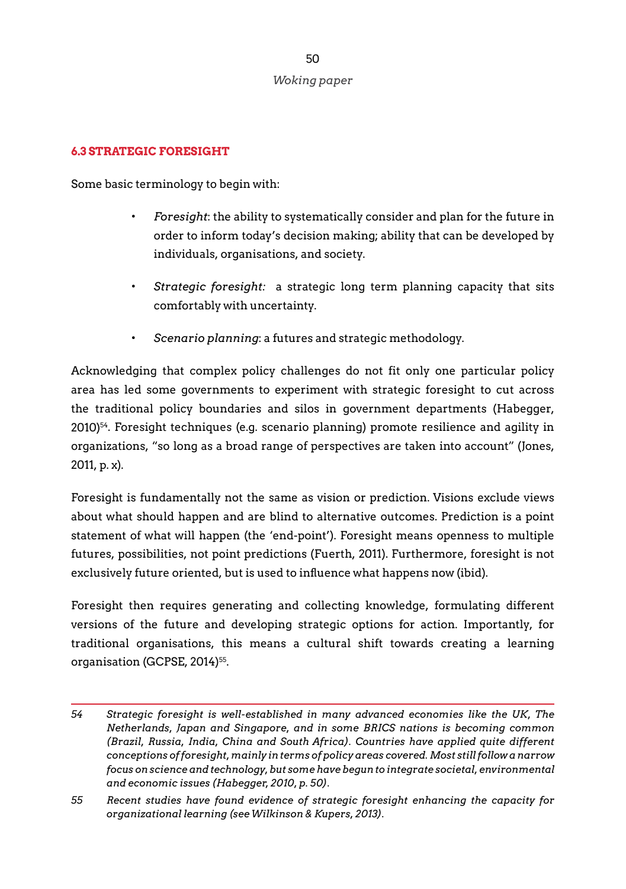## **6.3 STRATEGIC FORESIGHT**

Some basic terminology to begin with:

- *Foresight*: the ability to systematically consider and plan for the future in order to inform today's decision making; ability that can be developed by individuals, organisations, and society.
- *Strategic foresight:* a strategic long term planning capacity that sits comfortably with uncertainty.
- *Scenario planning*: a futures and strategic methodology.

Acknowledging that complex policy challenges do not fit only one particular policy area has led some governments to experiment with strategic foresight to cut across the traditional policy boundaries and silos in government departments (Habegger,  $2010$ <sup>54</sup>. Foresight techniques (e.g. scenario planning) promote resilience and agility in organizations, "so long as a broad range of perspectives are taken into account" (Jones, 2011, p. x).

Foresight is fundamentally not the same as vision or prediction. Visions exclude views about what should happen and are blind to alternative outcomes. Prediction is a point statement of what will happen (the 'end-point'). Foresight means openness to multiple futures, possibilities, not point predictions (Fuerth, 2011). Furthermore, foresight is not exclusively future oriented, but is used to influence what happens now (ibid).

Foresight then requires generating and collecting knowledge, formulating different versions of the future and developing strategic options for action. Importantly, for traditional organisations, this means a cultural shift towards creating a learning organisation (GCPSE, 2014)<sup>55</sup>.

*<sup>54</sup> Strategic foresight is well-established in many advanced economies like the UK, The Netherlands, Japan and Singapore, and in some BRICS nations is becoming common (Brazil, Russia, India, China and South Africa). Countries have applied quite different conceptions of foresight, mainly in terms of policy areas covered. Most still follow a narrow focus on science and technology, but some have begun to integrate societal, environmental and economic issues (Habegger, 2010, p. 50).*

*<sup>55</sup> Recent studies have found evidence of strategic foresight enhancing the capacity for organizational learning (see Wilkinson & Kupers, 2013).*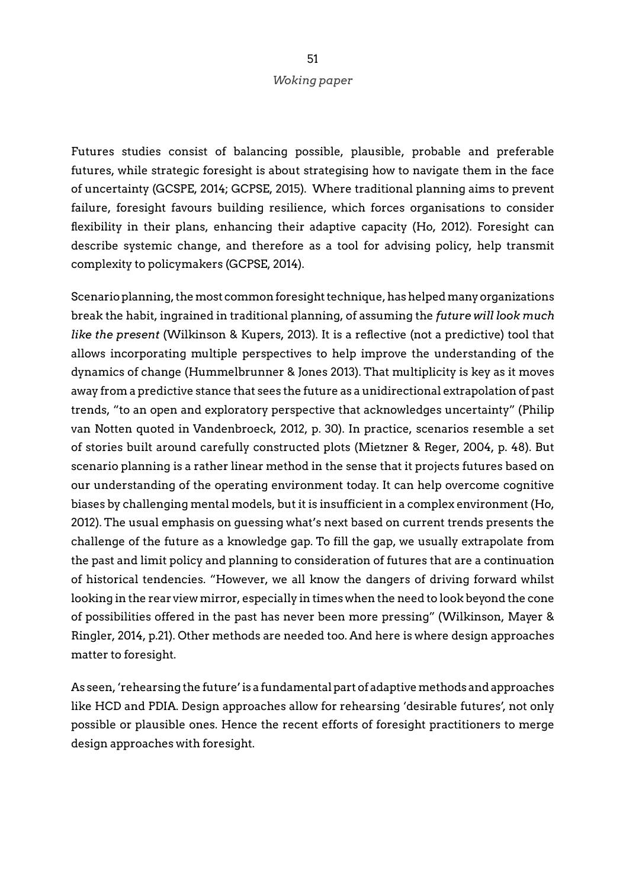Futures studies consist of balancing possible, plausible, probable and preferable futures, while strategic foresight is about strategising how to navigate them in the face of uncertainty (GCSPE, 2014; GCPSE, 2015). Where traditional planning aims to prevent failure, foresight favours building resilience, which forces organisations to consider flexibility in their plans, enhancing their adaptive capacity (Ho, 2012). Foresight can describe systemic change, and therefore as a tool for advising policy, help transmit complexity to policymakers (GCPSE, 2014).

Scenario planning, the most common foresight technique, has helped many organizations break the habit, ingrained in traditional planning, of assuming the *future will look much like the present* (Wilkinson & Kupers, 2013). It is a reflective (not a predictive) tool that allows incorporating multiple perspectives to help improve the understanding of the dynamics of change (Hummelbrunner & Jones 2013). That multiplicity is key as it moves away from a predictive stance that sees the future as a unidirectional extrapolation of past trends, "to an open and exploratory perspective that acknowledges uncertainty" (Philip van Notten quoted in Vandenbroeck, 2012, p. 30). In practice, scenarios resemble a set of stories built around carefully constructed plots (Mietzner & Reger, 2004, p. 48). But scenario planning is a rather linear method in the sense that it projects futures based on our understanding of the operating environment today. It can help overcome cognitive biases by challenging mental models, but it is insufficient in a complex environment (Ho, 2012). The usual emphasis on guessing what's next based on current trends presents the challenge of the future as a knowledge gap. To fill the gap, we usually extrapolate from the past and limit policy and planning to consideration of futures that are a continuation of historical tendencies. "However, we all know the dangers of driving forward whilst looking in the rear view mirror, especially in times when the need to look beyond the cone of possibilities offered in the past has never been more pressing" (Wilkinson, Mayer & Ringler, 2014, p.21). Other methods are needed too. And here is where design approaches matter to foresight.

As seen, 'rehearsing the future' is a fundamental part of adaptive methods and approaches like HCD and PDIA. Design approaches allow for rehearsing 'desirable futures', not only possible or plausible ones. Hence the recent efforts of foresight practitioners to merge design approaches with foresight.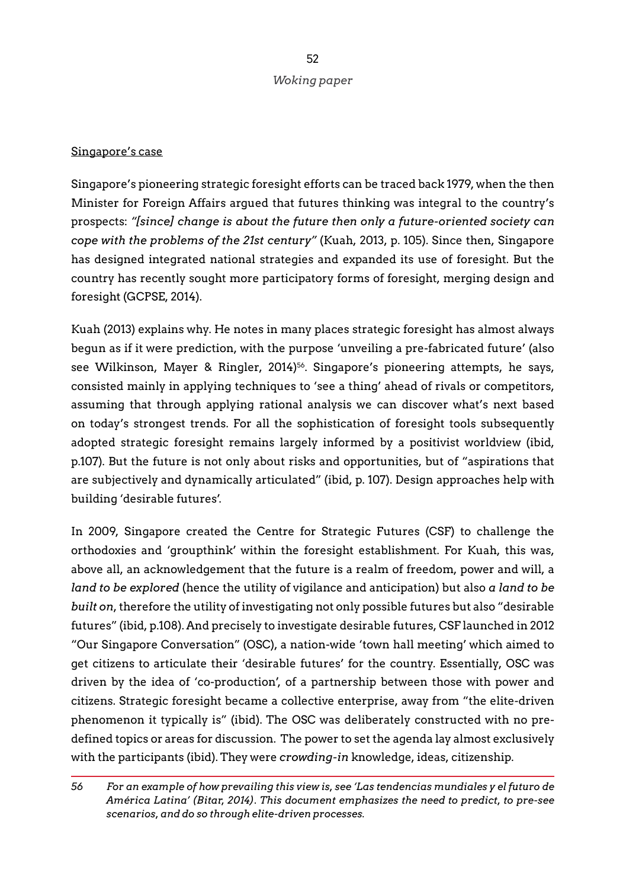#### Singapore's case

Singapore's pioneering strategic foresight efforts can be traced back 1979, when the then Minister for Foreign Affairs argued that futures thinking was integral to the country's prospects: *"[since] change is about the future then only a future-oriented society can cope with the problems of the 21st century"* (Kuah, 2013, p. 105). Since then, Singapore has designed integrated national strategies and expanded its use of foresight. But the country has recently sought more participatory forms of foresight, merging design and foresight (GCPSE, 2014).

Kuah (2013) explains why. He notes in many places strategic foresight has almost always begun as if it were prediction, with the purpose 'unveiling a pre-fabricated future' (also see Wilkinson, Mayer & Ringler, 2014)<sup>56</sup>. Singapore's pioneering attempts, he says, consisted mainly in applying techniques to 'see a thing' ahead of rivals or competitors, assuming that through applying rational analysis we can discover what's next based on today's strongest trends. For all the sophistication of foresight tools subsequently adopted strategic foresight remains largely informed by a positivist worldview (ibid, p.107). But the future is not only about risks and opportunities, but of "aspirations that are subjectively and dynamically articulated" (ibid, p. 107). Design approaches help with building 'desirable futures'.

In 2009, Singapore created the Centre for Strategic Futures (CSF) to challenge the orthodoxies and 'groupthink' within the foresight establishment. For Kuah, this was, above all, an acknowledgement that the future is a realm of freedom, power and will, a *land to be explored* (hence the utility of vigilance and anticipation) but also *a land to be built on*, therefore the utility of investigating not only possible futures but also "desirable futures" (ibid, p.108). And precisely to investigate desirable futures, CSF launched in 2012 "Our Singapore Conversation" (OSC), a nation-wide 'town hall meeting' which aimed to get citizens to articulate their 'desirable futures' for the country. Essentially, OSC was driven by the idea of 'co-production', of a partnership between those with power and citizens. Strategic foresight became a collective enterprise, away from "the elite-driven phenomenon it typically is" (ibid). The OSC was deliberately constructed with no predefined topics or areas for discussion. The power to set the agenda lay almost exclusively with the participants (ibid). They were *crowding-in* knowledge, ideas, citizenship.

*<sup>56</sup> For an example of how prevailing this view is, see 'Las tendencias mundiales y el futuro de América Latina' (Bitar, 2014). This document emphasizes the need to predict, to pre-see scenarios, and do so through elite-driven processes.*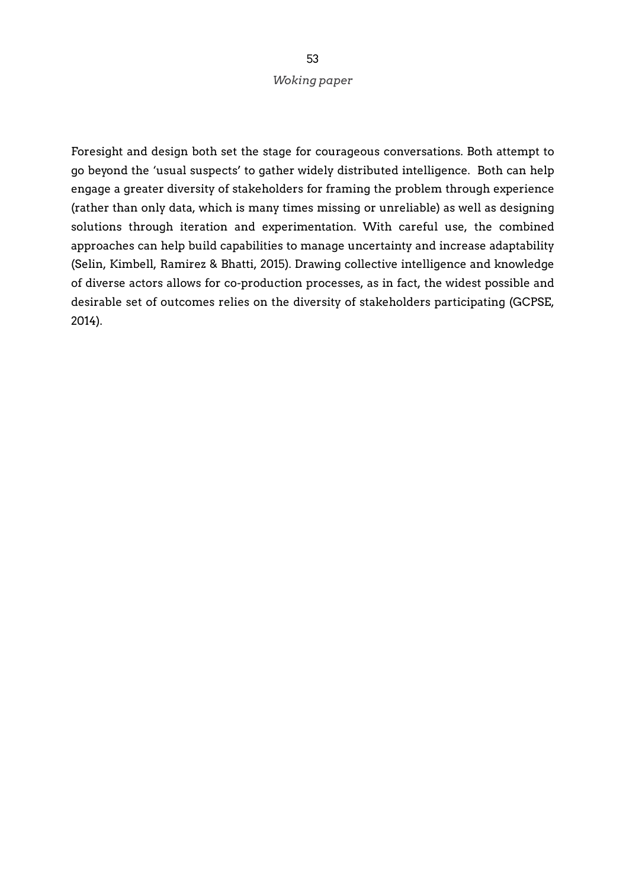Foresight and design both set the stage for courageous conversations. Both attempt to go beyond the 'usual suspects' to gather widely distributed intelligence. Both can help engage a greater diversity of stakeholders for framing the problem through experience (rather than only data, which is many times missing or unreliable) as well as designing solutions through iteration and experimentation. With careful use, the combined approaches can help build capabilities to manage uncertainty and increase adaptability (Selin, Kimbell, Ramirez & Bhatti, 2015). Drawing collective intelligence and knowledge of diverse actors allows for co-production processes, as in fact, the widest possible and desirable set of outcomes relies on the diversity of stakeholders participating (GCPSE, 2014).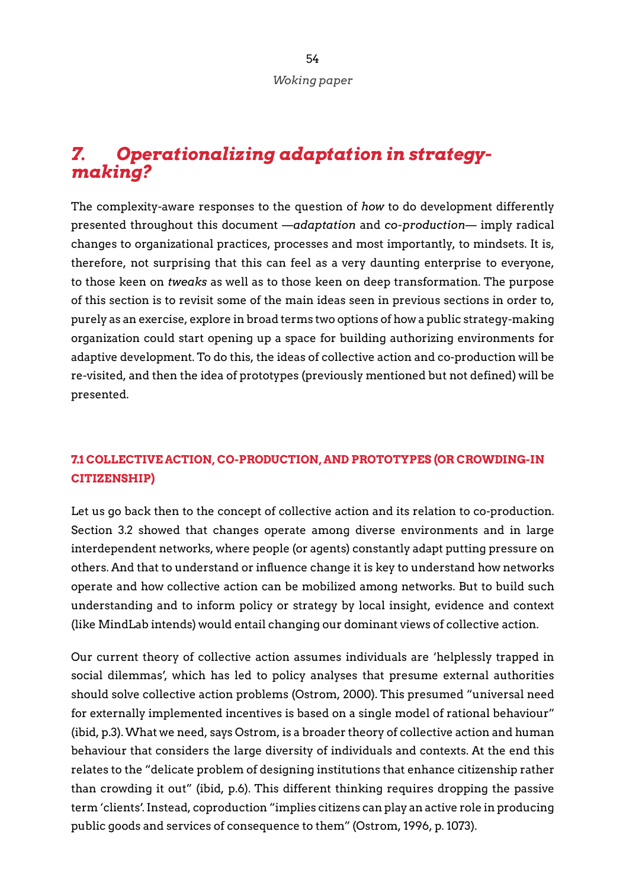# *7. Operationalizing adaptation in strategymaking?*

The complexity-aware responses to the question of *how* to do development differently presented throughout this document —*adaptation* and *co-production*— imply radical changes to organizational practices, processes and most importantly, to mindsets. It is, therefore, not surprising that this can feel as a very daunting enterprise to everyone, to those keen on *tweaks* as well as to those keen on deep transformation. The purpose of this section is to revisit some of the main ideas seen in previous sections in order to, purely as an exercise, explore in broad terms two options of how a public strategy-making organization could start opening up a space for building authorizing environments for adaptive development. To do this, the ideas of collective action and co-production will be re-visited, and then the idea of prototypes (previously mentioned but not defined) will be presented.

## **7.1 COLLECTIVE ACTION, CO-PRODUCTION, AND PROTOTYPES (OR CROWDING-IN CITIZENSHIP)**

Let us go back then to the concept of collective action and its relation to co-production. Section 3.2 showed that changes operate among diverse environments and in large interdependent networks, where people (or agents) constantly adapt putting pressure on others. And that to understand or influence change it is key to understand how networks operate and how collective action can be mobilized among networks. But to build such understanding and to inform policy or strategy by local insight, evidence and context (like MindLab intends) would entail changing our dominant views of collective action.

Our current theory of collective action assumes individuals are 'helplessly trapped in social dilemmas', which has led to policy analyses that presume external authorities should solve collective action problems (Ostrom, 2000). This presumed "universal need for externally implemented incentives is based on a single model of rational behaviour" (ibid, p.3). What we need, says Ostrom, is a broader theory of collective action and human behaviour that considers the large diversity of individuals and contexts. At the end this relates to the "delicate problem of designing institutions that enhance citizenship rather than crowding it out" (ibid, p.6). This different thinking requires dropping the passive term 'clients'. Instead, coproduction "implies citizens can play an active role in producing public goods and services of consequence to them" (Ostrom, 1996, p. 1073).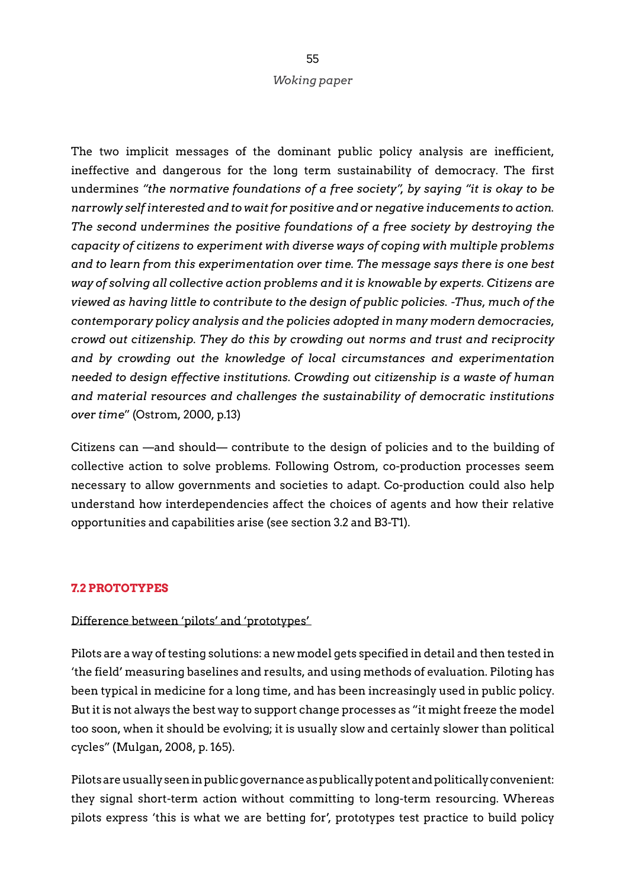The two implicit messages of the dominant public policy analysis are inefficient, ineffective and dangerous for the long term sustainability of democracy. The first undermines *"the normative foundations of a free society", by saying "it is okay to be narrowly self interested and to wait for positive and or negative inducements to action. The second undermines the positive foundations of a free society by destroying the capacity of citizens to experiment with diverse ways of coping with multiple problems and to learn from this experimentation over time. The message says there is one best way of solving all collective action problems and it is knowable by experts. Citizens are viewed as having little to contribute to the design of public policies. -Thus, much of the contemporary policy analysis and the policies adopted in many modern democracies, crowd out citizenship. They do this by crowding out norms and trust and reciprocity and by crowding out the knowledge of local circumstances and experimentation needed to design effective institutions. Crowding out citizenship is a waste of human and material resources and challenges the sustainability of democratic institutions over time*" (Ostrom, 2000, p.13)

Citizens can —and should— contribute to the design of policies and to the building of collective action to solve problems. Following Ostrom, co-production processes seem necessary to allow governments and societies to adapt. Co-production could also help understand how interdependencies affect the choices of agents and how their relative opportunities and capabilities arise (see section 3.2 and B3-T1).

#### **7.2 PROTOTYPES**

#### Difference between 'pilots' and 'prototypes'

Pilots are a way of testing solutions: a new model gets specified in detail and then tested in 'the field' measuring baselines and results, and using methods of evaluation. Piloting has been typical in medicine for a long time, and has been increasingly used in public policy. But it is not always the best way to support change processes as "it might freeze the model too soon, when it should be evolving; it is usually slow and certainly slower than political cycles" (Mulgan, 2008, p. 165).

Pilots are usually seen in public governance as publically potent and politically convenient: they signal short-term action without committing to long-term resourcing. Whereas pilots express 'this is what we are betting for', prototypes test practice to build policy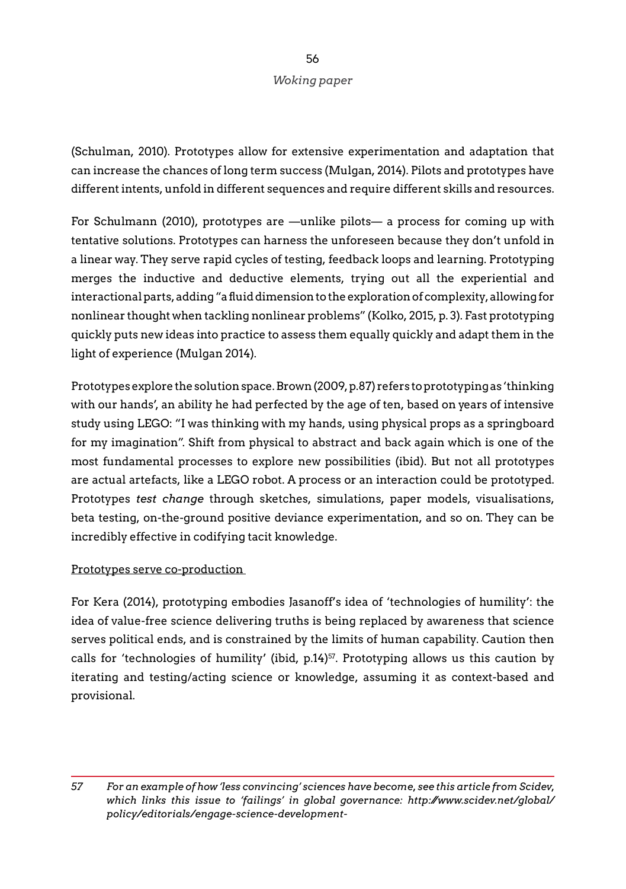(Schulman, 2010). Prototypes allow for extensive experimentation and adaptation that can increase the chances of long term success (Mulgan, 2014). Pilots and prototypes have different intents, unfold in different sequences and require different skills and resources.

For Schulmann (2010), prototypes are —unlike pilots— a process for coming up with tentative solutions. Prototypes can harness the unforeseen because they don't unfold in a linear way. They serve rapid cycles of testing, feedback loops and learning. Prototyping merges the inductive and deductive elements, trying out all the experiential and interactional parts, adding "a fluid dimension to the exploration of complexity, allowing for nonlinear thought when tackling nonlinear problems" (Kolko, 2015, p. 3). Fast prototyping quickly puts new ideas into practice to assess them equally quickly and adapt them in the light of experience (Mulgan 2014).

Prototypes explore the solution space. Brown (2009, p.87) refers to prototyping as 'thinking with our hands', an ability he had perfected by the age of ten, based on years of intensive study using LEGO: "I was thinking with my hands, using physical props as a springboard for my imagination". Shift from physical to abstract and back again which is one of the most fundamental processes to explore new possibilities (ibid). But not all prototypes are actual artefacts, like a LEGO robot. A process or an interaction could be prototyped. Prototypes *test change* through sketches, simulations, paper models, visualisations, beta testing, on-the-ground positive deviance experimentation, and so on. They can be incredibly effective in codifying tacit knowledge.

## Prototypes serve co-production

For Kera (2014), prototyping embodies Jasanoff's idea of 'technologies of humility': the idea of value-free science delivering truths is being replaced by awareness that science serves political ends, and is constrained by the limits of human capability. Caution then calls for 'technologies of humility' (ibid,  $p.14$ )<sup>57</sup>. Prototyping allows us this caution by iterating and testing/acting science or knowledge, assuming it as context-based and provisional.

*<sup>57</sup> For an example of how 'less convincing' sciences have become, see this article from Scidev, which links this issue to 'failings' in global governance: http://www.scidev.net/global/ policy/editorials/engage-science-development-*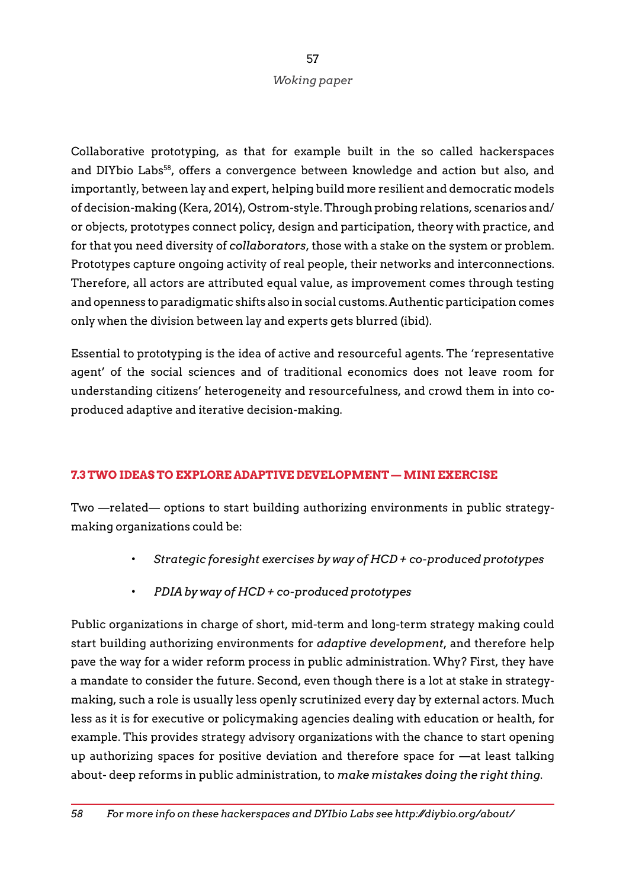Collaborative prototyping, as that for example built in the so called hackerspaces and DIYbio Labs<sup>58</sup>, offers a convergence between knowledge and action but also, and importantly, between lay and expert, helping build more resilient and democratic models of decision-making (Kera, 2014), Ostrom-style. Through probing relations, scenarios and/ or objects, prototypes connect policy, design and participation, theory with practice, and for that you need diversity of *collaborators*, those with a stake on the system or problem. Prototypes capture ongoing activity of real people, their networks and interconnections. Therefore, all actors are attributed equal value, as improvement comes through testing and openness to paradigmatic shifts also in social customs. Authentic participation comes only when the division between lay and experts gets blurred (ibid).

Essential to prototyping is the idea of active and resourceful agents. The 'representative agent' of the social sciences and of traditional economics does not leave room for understanding citizens' heterogeneity and resourcefulness, and crowd them in into coproduced adaptive and iterative decision-making.

## **7.3 TWO IDEAS TO EXPLORE ADAPTIVE DEVELOPMENT — MINI EXERCISE**

Two —related— options to start building authorizing environments in public strategymaking organizations could be:

- *Strategic foresight exercises by way of HCD + co-produced prototypes*
- *PDIA by way of HCD + co-produced prototypes*

Public organizations in charge of short, mid-term and long-term strategy making could start building authorizing environments for *adaptive development*, and therefore help pave the way for a wider reform process in public administration. Why? First, they have a mandate to consider the future. Second, even though there is a lot at stake in strategymaking, such a role is usually less openly scrutinized every day by external actors. Much less as it is for executive or policymaking agencies dealing with education or health, for example. This provides strategy advisory organizations with the chance to start opening up authorizing spaces for positive deviation and therefore space for —at least talking about- deep reforms in public administration, to *make mistakes doing the right thing*.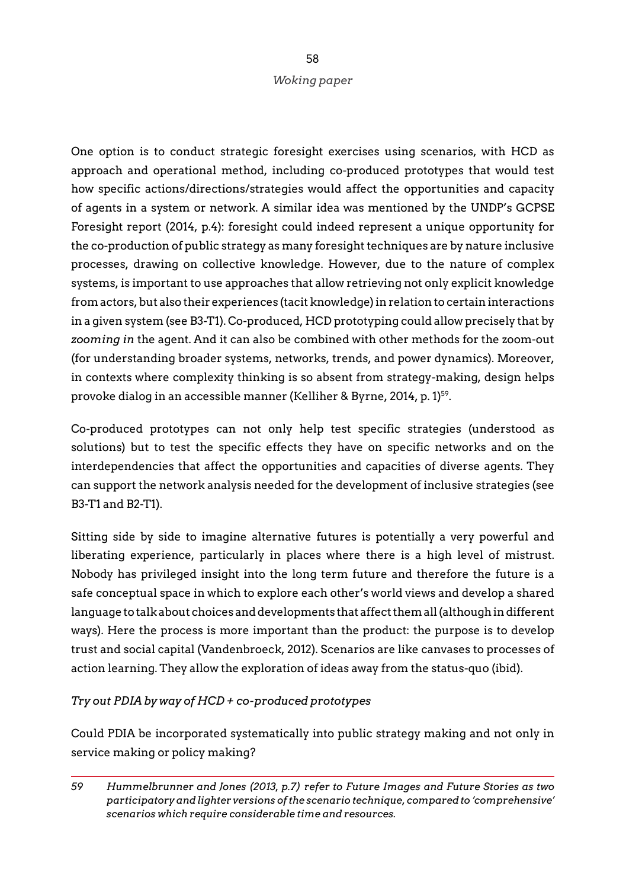One option is to conduct strategic foresight exercises using scenarios, with HCD as approach and operational method, including co-produced prototypes that would test how specific actions/directions/strategies would affect the opportunities and capacity of agents in a system or network. A similar idea was mentioned by the UNDP's GCPSE Foresight report (2014, p.4): foresight could indeed represent a unique opportunity for the co-production of public strategy as many foresight techniques are by nature inclusive processes, drawing on collective knowledge. However, due to the nature of complex systems, is important to use approaches that allow retrieving not only explicit knowledge from actors, but also their experiences (tacit knowledge) in relation to certain interactions in a given system (see B3-T1). Co-produced, HCD prototyping could allow precisely that by *zooming in* the agent. And it can also be combined with other methods for the zoom-out (for understanding broader systems, networks, trends, and power dynamics). Moreover, in contexts where complexity thinking is so absent from strategy-making, design helps provoke dialog in an accessible manner (Kelliher & Byrne, 2014, p. 1)59.

Co-produced prototypes can not only help test specific strategies (understood as solutions) but to test the specific effects they have on specific networks and on the interdependencies that affect the opportunities and capacities of diverse agents. They can support the network analysis needed for the development of inclusive strategies (see B3-T1 and B2-T1).

Sitting side by side to imagine alternative futures is potentially a very powerful and liberating experience, particularly in places where there is a high level of mistrust. Nobody has privileged insight into the long term future and therefore the future is a safe conceptual space in which to explore each other's world views and develop a shared language to talk about choices and developments that affect them all (although in different ways). Here the process is more important than the product: the purpose is to develop trust and social capital (Vandenbroeck, 2012). Scenarios are like canvases to processes of action learning. They allow the exploration of ideas away from the status-quo (ibid).

## *Try out PDIA by way of HCD + co-produced prototypes*

Could PDIA be incorporated systematically into public strategy making and not only in service making or policy making?

*<sup>59</sup> Hummelbrunner and Jones (2013, p.7) refer to Future Images and Future Stories as two participatory and lighter versions of the scenario technique, compared to 'comprehensive' scenarios which require considerable time and resources.*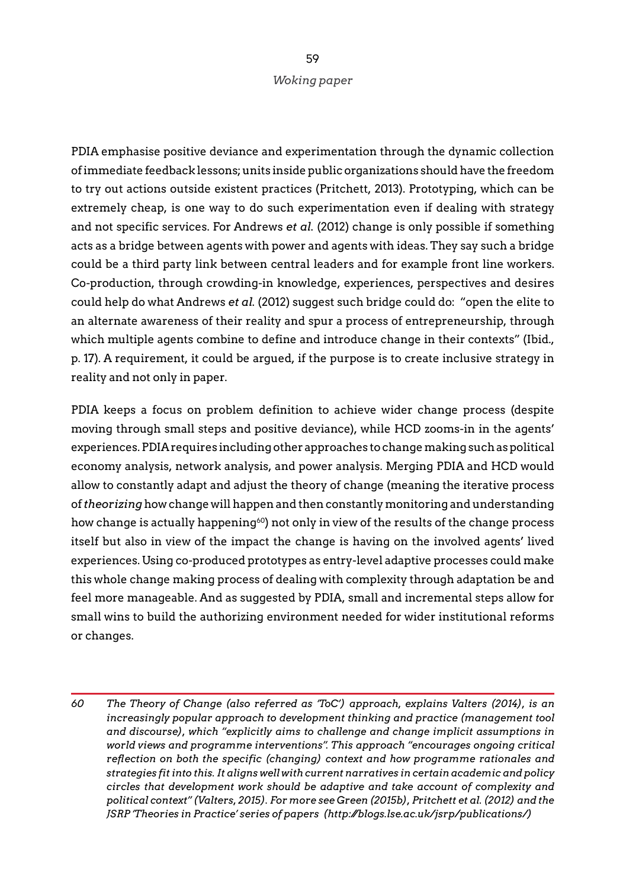PDIA emphasise positive deviance and experimentation through the dynamic collection of immediate feedback lessons; units inside public organizations should have the freedom to try out actions outside existent practices (Pritchett, 2013). Prototyping, which can be extremely cheap, is one way to do such experimentation even if dealing with strategy and not specific services. For Andrews *et al.* (2012) change is only possible if something acts as a bridge between agents with power and agents with ideas. They say such a bridge could be a third party link between central leaders and for example front line workers. Co-production, through crowding-in knowledge, experiences, perspectives and desires could help do what Andrews *et al.* (2012) suggest such bridge could do: "open the elite to an alternate awareness of their reality and spur a process of entrepreneurship, through which multiple agents combine to define and introduce change in their contexts" (Ibid., p. 17). A requirement, it could be argued, if the purpose is to create inclusive strategy in reality and not only in paper.

PDIA keeps a focus on problem definition to achieve wider change process (despite moving through small steps and positive deviance), while HCD zooms-in in the agents' experiences. PDIA requires including other approaches to change making such as political economy analysis, network analysis, and power analysis. Merging PDIA and HCD would allow to constantly adapt and adjust the theory of change (meaning the iterative process of *theorizing* how change will happen and then constantly monitoring and understanding how change is actually happening $60$ ) not only in view of the results of the change process itself but also in view of the impact the change is having on the involved agents' lived experiences. Using co-produced prototypes as entry-level adaptive processes could make this whole change making process of dealing with complexity through adaptation be and feel more manageable. And as suggested by PDIA, small and incremental steps allow for small wins to build the authorizing environment needed for wider institutional reforms or changes.

*<sup>60</sup> The Theory of Change (also referred as 'ToC') approach, explains Valters (2014), is an increasingly popular approach to development thinking and practice (management tool and discourse), which "explicitly aims to challenge and change implicit assumptions in world views and programme interventions". This approach "encourages ongoing critical reflection on both the specific (changing) context and how programme rationales and strategies fitinto this. It aligns well with current narratives in certain academic and policy circles that development work should be adaptive and take account of complexity and political context" (Valters, 2015). For more see Green (2015b), Pritchett et al. (2012) and the JSRP 'Theories in Practice' series of papers (http://blogs.lse.ac.uk/jsrp/publications/)*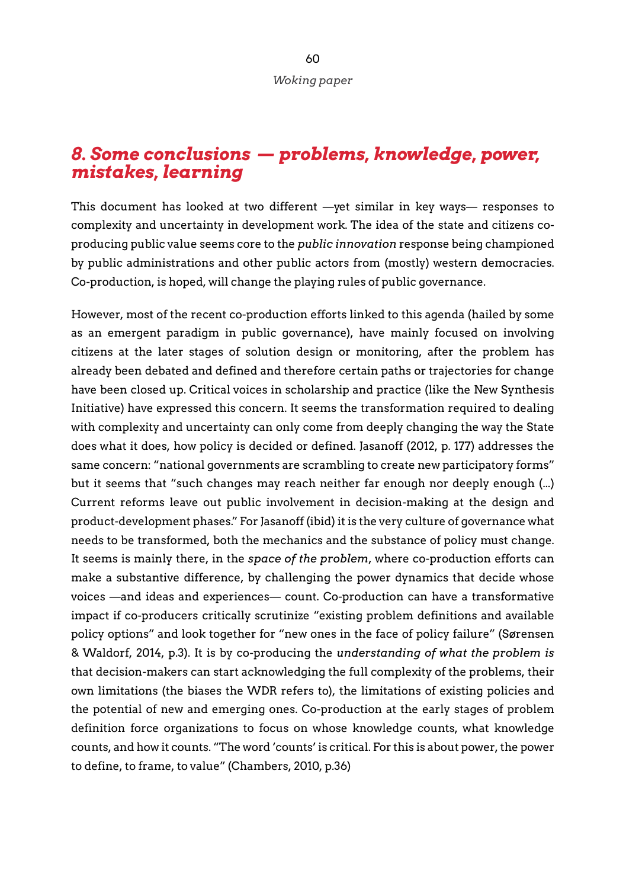# *8. Some conclusions — problems, knowledge, power, mistakes, learning*

This document has looked at two different —yet similar in key ways— responses to complexity and uncertainty in development work. The idea of the state and citizens coproducing public value seems core to the *public innovation* response being championed by public administrations and other public actors from (mostly) western democracies. Co-production, is hoped, will change the playing rules of public governance.

However, most of the recent co-production efforts linked to this agenda (hailed by some as an emergent paradigm in public governance), have mainly focused on involving citizens at the later stages of solution design or monitoring, after the problem has already been debated and defined and therefore certain paths or trajectories for change have been closed up. Critical voices in scholarship and practice (like the New Synthesis Initiative) have expressed this concern. It seems the transformation required to dealing with complexity and uncertainty can only come from deeply changing the way the State does what it does, how policy is decided or defined. Jasanoff (2012, p. 177) addresses the same concern: "national governments are scrambling to create new participatory forms" but it seems that "such changes may reach neither far enough nor deeply enough (...) Current reforms leave out public involvement in decision-making at the design and product-development phases." For Jasanoff (ibid) it is the very culture of governance what needs to be transformed, both the mechanics and the substance of policy must change. It seems is mainly there, in the *space of the problem*, where co-production efforts can make a substantive difference, by challenging the power dynamics that decide whose voices —and ideas and experiences— count. Co-production can have a transformative impact if co-producers critically scrutinize "existing problem definitions and available policy options" and look together for "new ones in the face of policy failure" (Sørensen & Waldorf, 2014, p.3). It is by co-producing the *understanding of what the problem is* that decision-makers can start acknowledging the full complexity of the problems, their own limitations (the biases the WDR refers to), the limitations of existing policies and the potential of new and emerging ones. Co-production at the early stages of problem definition force organizations to focus on whose knowledge counts, what knowledge counts, and how it counts. "The word 'counts' is critical. For this is about power, the power to define, to frame, to value" (Chambers, 2010, p.36)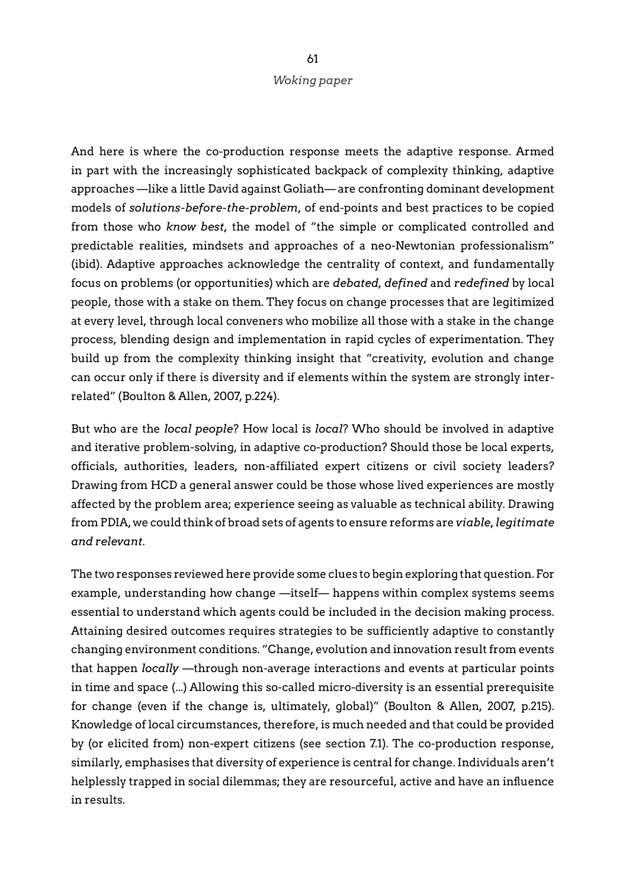And here is where the co-production response meets the adaptive response. Armed in part with the increasingly sophisticated backpack of complexity thinking, adaptive approaches —like a little David against Goliath— are confronting dominant development models of *solutions-before-the-problem,* of end-points and best practices to be copied from those who *know best,* the model of "the simple or complicated controlled and predictable realities, mindsets and approaches of a neo-Newtonian professionalism" (ibid). Adaptive approaches acknowledge the centrality of context, and fundamentally focus on problems (or opportunities) which are *debated*, *defined* and *redefined* by local people, those with a stake on them. They focus on change processes that are legitimized at every level, through local conveners who mobilize all those with a stake in the change process, blending design and implementation in rapid cycles of experimentation. They build up from the complexity thinking insight that "creativity, evolution and change can occur only if there is diversity and if elements within the system are strongly interrelated" (Boulton & Allen, 2007, p.224).

But who are the *local people*? How local is *local*? Who should be involved in adaptive and iterative problem-solving, in adaptive co-production? Should those be local experts, officials, authorities, leaders, non-affiliated expert citizens or civil society leaders? Drawing from HCD a general answer could be those whose lived experiences are mostly affected by the problem area; experience seeing as valuable as technical ability. Drawing from PDIA, we could think of broad sets of agents to ensure reforms are *viable, legitimate and relevant*.

The two responses reviewed here provide some clues to begin exploring that question. For example, understanding how change —itself— happens within complex systems seems essential to understand which agents could be included in the decision making process. Attaining desired outcomes requires strategies to be sufficiently adaptive to constantly changing environment conditions. "Change, evolution and innovation result from events that happen *locally* —through non-average interactions and events at particular points in time and space (...) Allowing this so-called micro-diversity is an essential prerequisite for change (even if the change is, ultimately, global)" (Boulton & Allen, 2007, p.215). Knowledge of local circumstances, therefore, is much needed and that could be provided by (or elicited from) non-expert citizens (see section 7.1). The co-production response, similarly, emphasises that diversity of experience is central for change. Individuals aren't helplessly trapped in social dilemmas; they are resourceful, active and have an influence in results.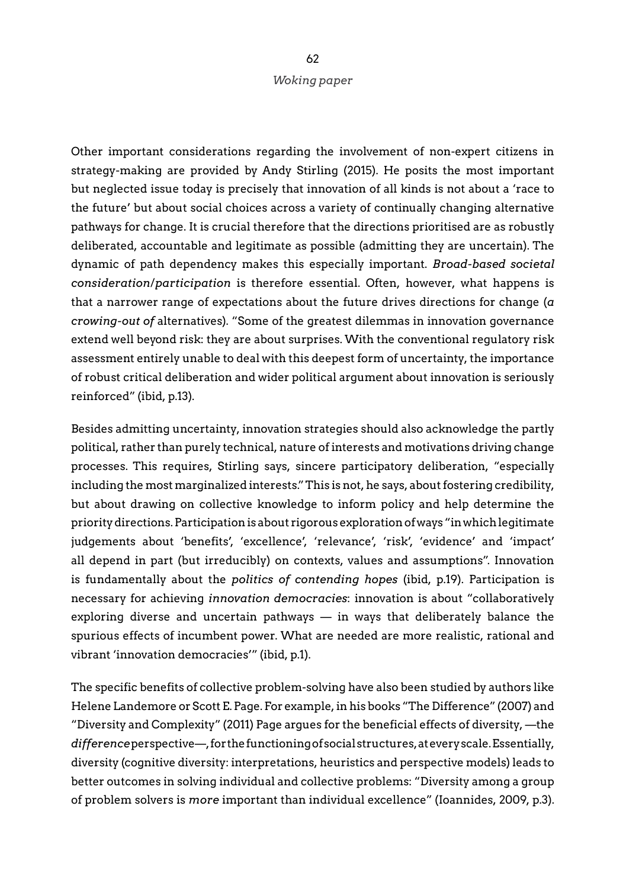Other important considerations regarding the involvement of non-expert citizens in strategy-making are provided by Andy Stirling (2015). He posits the most important but neglected issue today is precisely that innovation of all kinds is not about a 'race to the future' but about social choices across a variety of continually changing alternative pathways for change. It is crucial therefore that the directions prioritised are as robustly deliberated, accountable and legitimate as possible (admitting they are uncertain). The dynamic of path dependency makes this especially important. *Broad-based societal consideration*/*participation* is therefore essential. Often, however, what happens is that a narrower range of expectations about the future drives directions for change (*a crowing-out of* alternatives). "Some of the greatest dilemmas in innovation governance extend well beyond risk: they are about surprises. With the conventional regulatory risk assessment entirely unable to deal with this deepest form of uncertainty, the importance of robust critical deliberation and wider political argument about innovation is seriously reinforced" (ibid, p.13).

Besides admitting uncertainty, innovation strategies should also acknowledge the partly political, rather than purely technical, nature of interests and motivations driving change processes. This requires, Stirling says, sincere participatory deliberation, "especially including the most marginalized interests." This is not, he says, about fostering credibility, but about drawing on collective knowledge to inform policy and help determine the priority directions. Participation is about rigorous exploration of ways "in which legitimate judgements about 'benefits', 'excellence', 'relevance', 'risk', 'evidence' and 'impact' all depend in part (but irreducibly) on contexts, values and assumptions". Innovation is fundamentally about the *politics of contending hopes* (ibid, p.19). Participation is necessary for achieving *innovation democracies*: innovation is about "collaboratively exploring diverse and uncertain pathways — in ways that deliberately balance the spurious effects of incumbent power. What are needed are more realistic, rational and vibrant 'innovation democracies'" (ibid, p.1).

The specific benefits of collective problem-solving have also been studied by authors like Helene Landemore or Scott E. Page. For example, in his books "The Difference" (2007) and "Diversity and Complexity" (2011) Page argues for the beneficial effects of diversity, —the *difference* perspective—, for the functioning of social structures, at every scale. Essentially, diversity (cognitive diversity: interpretations, heuristics and perspective models) leads to better outcomes in solving individual and collective problems: "Diversity among a group of problem solvers is *more* important than individual excellence" (Ioannides, 2009, p.3).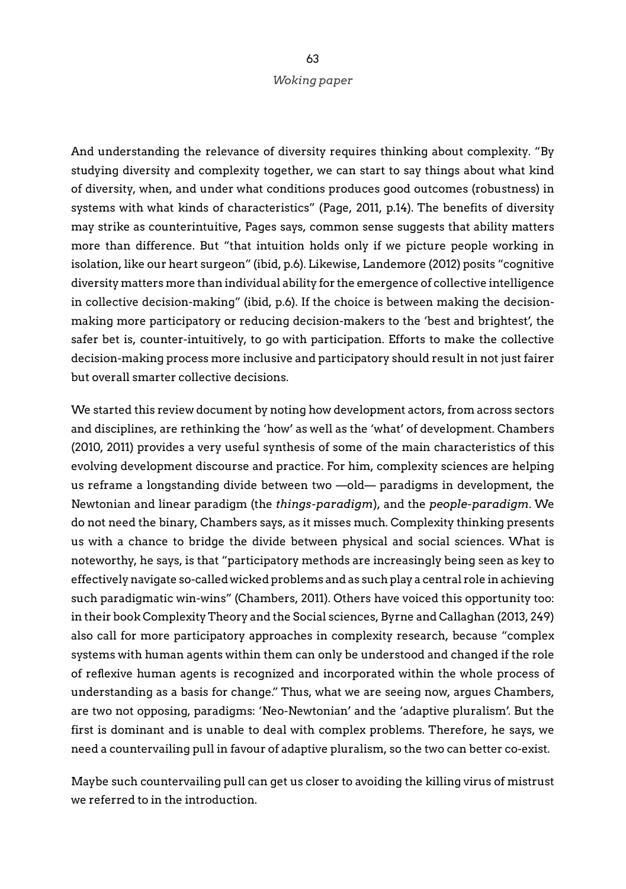And understanding the relevance of diversity requires thinking about complexity. "By studying diversity and complexity together, we can start to say things about what kind of diversity, when, and under what conditions produces good outcomes (robustness) in systems with what kinds of characteristics" (Page, 2011, p.14). The benefits of diversity may strike as counterintuitive, Pages says, common sense suggests that ability matters more than difference. But "that intuition holds only if we picture people working in isolation, like our heart surgeon" (ibid, p.6). Likewise, Landemore (2012) posits "cognitive diversity matters more than individual ability for the emergence of collective intelligence in collective decision-making" (ibid, p.6). If the choice is between making the decisionmaking more participatory or reducing decision-makers to the 'best and brightest', the safer bet is, counter-intuitively, to go with participation. Efforts to make the collective decision-making process more inclusive and participatory should result in not just fairer but overall smarter collective decisions.

We started this review document by noting how development actors, from across sectors and disciplines, are rethinking the 'how' as well as the 'what' of development. Chambers (2010, 2011) provides a very useful synthesis of some of the main characteristics of this evolving development discourse and practice. For him, complexity sciences are helping us reframe a longstanding divide between two —old— paradigms in development, the Newtonian and linear paradigm (the *things-paradigm*), and the *people-paradigm*. We do not need the binary, Chambers says, as it misses much. Complexity thinking presents us with a chance to bridge the divide between physical and social sciences. What is noteworthy, he says, is that "participatory methods are increasingly being seen as key to effectively navigate so-called wicked problems and as such play a central role in achieving such paradigmatic win-wins" (Chambers, 2011). Others have voiced this opportunity too: in their book Complexity Theory and the Social sciences, Byrne and Callaghan (2013, 249) also call for more participatory approaches in complexity research, because "complex systems with human agents within them can only be understood and changed if the role of reflexive human agents is recognized and incorporated within the whole process of understanding as a basis for change." Thus, what we are seeing now, argues Chambers, are two not opposing, paradigms: 'Neo-Newtonian' and the 'adaptive pluralism'. But the first is dominant and is unable to deal with complex problems. Therefore, he says, we need a countervailing pull in favour of adaptive pluralism, so the two can better co-exist.

Maybe such countervailing pull can get us closer to avoiding the killing virus of mistrust we referred to in the introduction.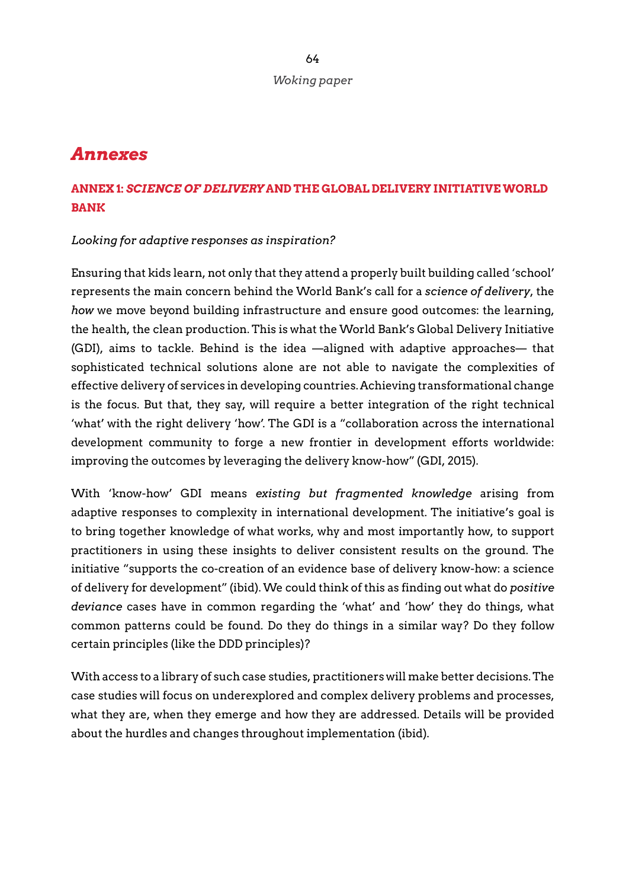# *Annexes*

## **ANNEX 1:** *SCIENCE OF DELIVERY* **AND THE GLOBAL DELIVERY INITIATIVE WORLD BANK**

*Looking for adaptive responses as inspiration?* 

Ensuring that kids learn, not only that they attend a properly built building called 'school' represents the main concern behind the World Bank's call for a *science of delivery*, the *how* we move beyond building infrastructure and ensure good outcomes: the learning, the health, the clean production. This is what the World Bank's Global Delivery Initiative (GDI), aims to tackle. Behind is the idea —aligned with adaptive approaches— that sophisticated technical solutions alone are not able to navigate the complexities of effective delivery of services in developing countries. Achieving transformational change is the focus. But that, they say, will require a better integration of the right technical 'what' with the right delivery 'how'. The GDI is a "collaboration across the international development community to forge a new frontier in development efforts worldwide: improving the outcomes by leveraging the delivery know-how" (GDI, 2015).

With 'know-how' GDI means *existing but fragmented knowledge* arising from adaptive responses to complexity in international development. The initiative's goal is to bring together knowledge of what works, why and most importantly how, to support practitioners in using these insights to deliver consistent results on the ground. The initiative "supports the co-creation of an evidence base of delivery know-how: a science of delivery for development" (ibid). We could think of this as finding out what do *positive deviance* cases have in common regarding the 'what' and 'how' they do things, what common patterns could be found. Do they do things in a similar way? Do they follow certain principles (like the DDD principles)?

With access to a library of such case studies, practitioners will make better decisions. The case studies will focus on underexplored and complex delivery problems and processes, what they are, when they emerge and how they are addressed. Details will be provided about the hurdles and changes throughout implementation (ibid).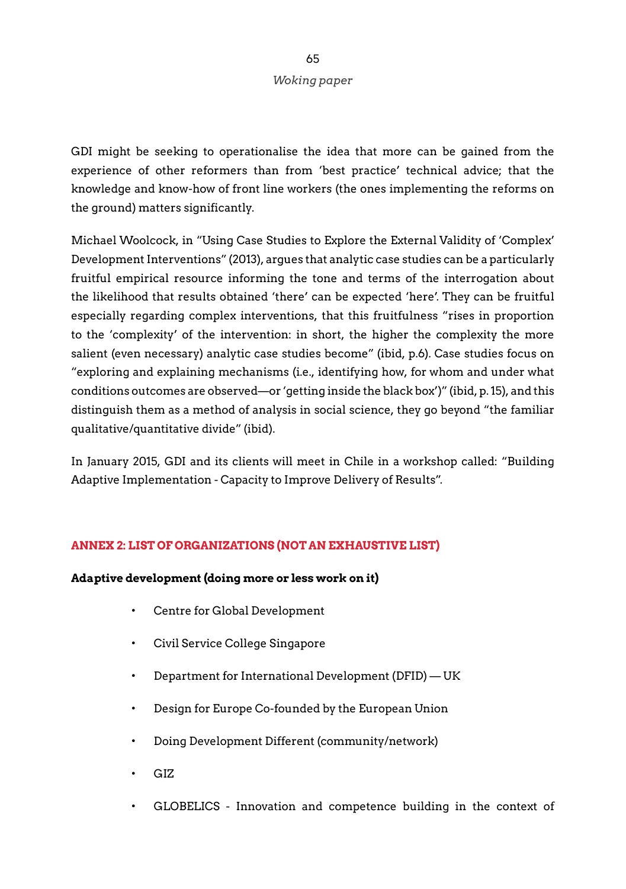GDI might be seeking to operationalise the idea that more can be gained from the experience of other reformers than from 'best practice' technical advice; that the knowledge and know-how of front line workers (the ones implementing the reforms on the ground) matters significantly.

Michael Woolcock, in "Using Case Studies to Explore the External Validity of 'Complex' Development Interventions" (2013), argues that analytic case studies can be a particularly fruitful empirical resource informing the tone and terms of the interrogation about the likelihood that results obtained 'there' can be expected 'here'. They can be fruitful especially regarding complex interventions, that this fruitfulness "rises in proportion to the 'complexity' of the intervention: in short, the higher the complexity the more salient (even necessary) analytic case studies become" (ibid, p.6). Case studies focus on "exploring and explaining mechanisms (i.e., identifying how, for whom and under what conditions outcomes are observed—or 'getting inside the black box')" (ibid, p. 15), and this distinguish them as a method of analysis in social science, they go beyond "the familiar qualitative/quantitative divide" (ibid).

In January 2015, GDI and its clients will meet in Chile in a workshop called: "Building Adaptive Implementation - Capacity to Improve Delivery of Results".

## **ANNEX 2: LIST OF ORGANIZATIONS (NOT AN EXHAUSTIVE LIST)**

## **Adaptive development (doing more or less work on it)**

- Centre for Global Development
- Civil Service College Singapore
- Department for International Development (DFID) UK
- Design for Europe Co-founded by the European Union
- Doing Development Different (community/network)
- GIZ
- GLOBELICS Innovation and competence building in the context of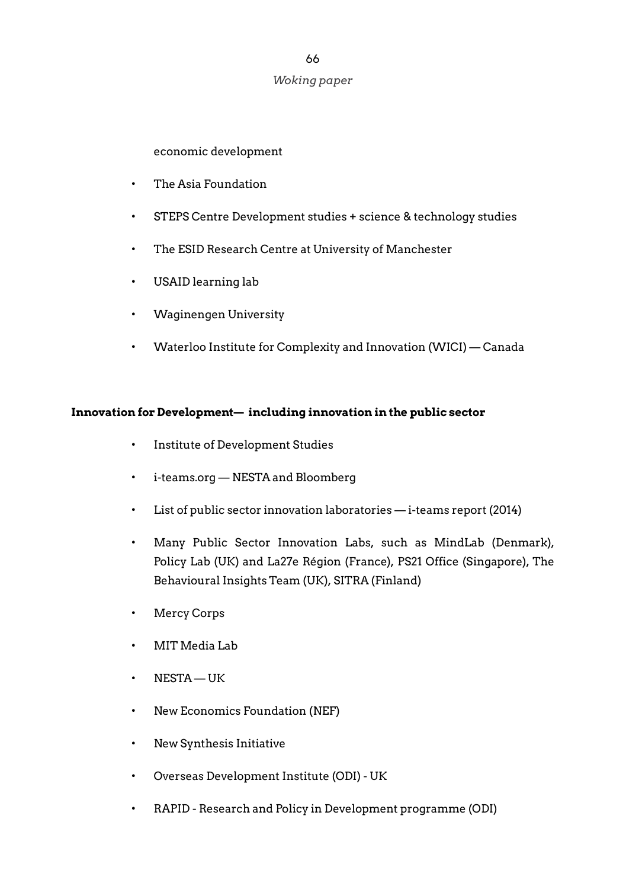### economic development

- The Asia Foundation
- STEPS Centre Development studies + science & technology studies
- The ESID Research Centre at University of Manchester
- USAID learning lab
- Waginengen University
- Waterloo Institute for Complexity and Innovation (WICI) Canada

#### **Innovation for Development— including innovation in the public sector**

- Institute of Development Studies
- i-teams.org NESTA and Bloomberg
- List of public sector innovation laboratories i-teams report (2014)
- Many Public Sector Innovation Labs, such as MindLab (Denmark), Policy Lab (UK) and La27e Région (France), PS21 Office (Singapore), The Behavioural Insights Team (UK), SITRA (Finland)
- Mercy Corps
- MIT Media Lab
- NESTA UK
- New Economics Foundation (NEF)
- New Synthesis Initiative
- Overseas Development Institute (ODI) UK
- RAPID Research and Policy in Development programme (ODI)

#### 66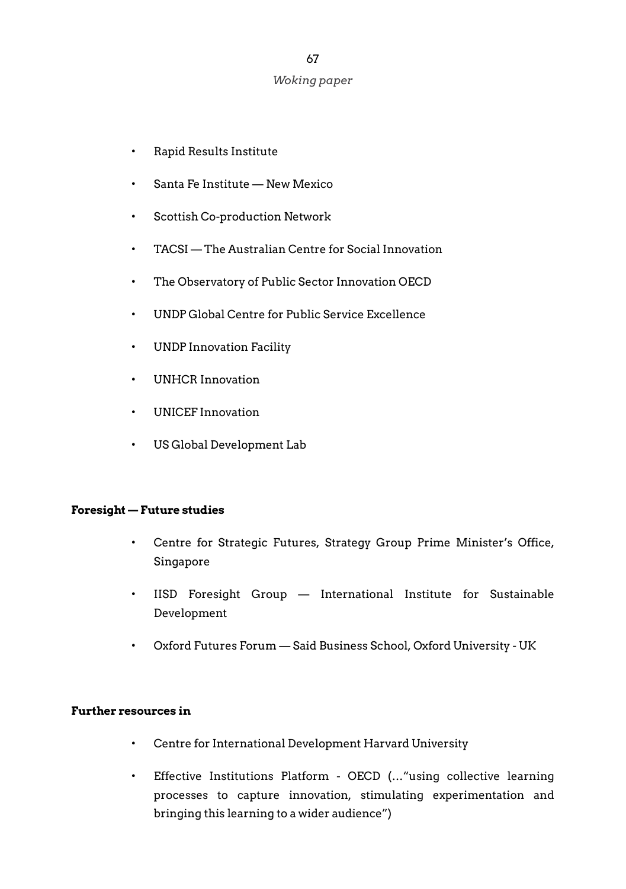- Rapid Results Institute
- Santa Fe Institute New Mexico
- Scottish Co-production Network
- TACSI The Australian Centre for Social Innovation
- The Observatory of Public Sector Innovation OECD
- UNDP Global Centre for Public Service Excellence
- UNDP Innovation Facility
- UNHCR Innovation
- UNICEF Innovation
- US Global Development Lab

#### **Foresight — Future studies**

- Centre for Strategic Futures, Strategy Group Prime Minister's Office, Singapore
- IISD Foresight Group International Institute for Sustainable Development
- Oxford Futures Forum Said Business School, Oxford University UK

#### **Further resources in**

- Centre for International Development Harvard University
- Effective Institutions Platform OECD (…"using collective learning processes to capture innovation, stimulating experimentation and bringing this learning to a wider audience")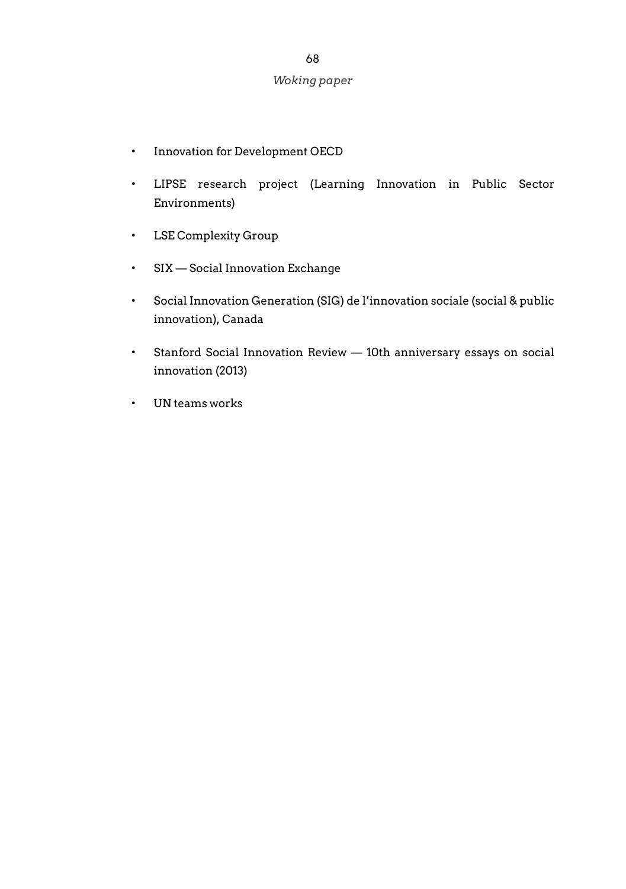- Innovation for Development OECD
- LIPSE research project (Learning Innovation in Public Sector Environments)
- LSE Complexity Group
- SIX Social Innovation Exchange
- Social Innovation Generation (SIG) de l'innovation sociale (social & public innovation), Canada
- Stanford Social Innovation Review 10th anniversary essays on social innovation (2013)
- UN teams works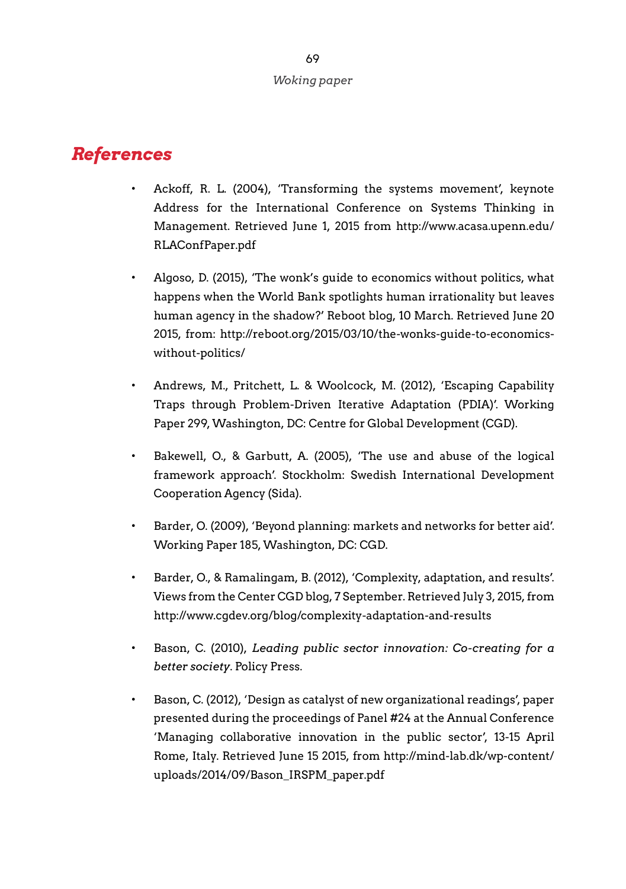# *References*

- Ackoff, R. L. (2004), 'Transforming the systems movement', keynote Address for the International Conference on Systems Thinking in Management. Retrieved June 1, 2015 from http://www.acasa.upenn.edu/ RLAConfPaper.pdf
- Algoso, D. (2015), 'The wonk's guide to economics without politics, what happens when the World Bank spotlights human irrationality but leaves human agency in the shadow?' Reboot blog, 10 March. Retrieved June 20 2015, from: http://reboot.org/2015/03/10/the-wonks-guide-to-economicswithout-politics/
- Andrews, M., Pritchett, L. & Woolcock, M. (2012), 'Escaping Capability Traps through Problem-Driven Iterative Adaptation (PDIA)'. Working Paper 299, Washington, DC: Centre for Global Development (CGD).
- Bakewell, O., & Garbutt, A. (2005), 'The use and abuse of the logical framework approach'. Stockholm: Swedish International Development Cooperation Agency (Sida).
- Barder, O. (2009), 'Beyond planning: markets and networks for better aid'. Working Paper 185, Washington, DC: CGD.
- Barder, O., & Ramalingam, B. (2012), 'Complexity, adaptation, and results'. Views from the Center CGD blog, 7 September. Retrieved July 3, 2015, from http://www.cgdev.org/blog/complexity-adaptation-and-results
- Bason, C. (2010), *Leading public sector innovation: Co-creating for a better society*. Policy Press.
- Bason, C. (2012), 'Design as catalyst of new organizational readings', paper presented during the proceedings of Panel #24 at the Annual Conference 'Managing collaborative innovation in the public sector', 13-15 April Rome, Italy. Retrieved June 15 2015, from http://mind-lab.dk/wp-content/ uploads/2014/09/Bason\_IRSPM\_paper.pdf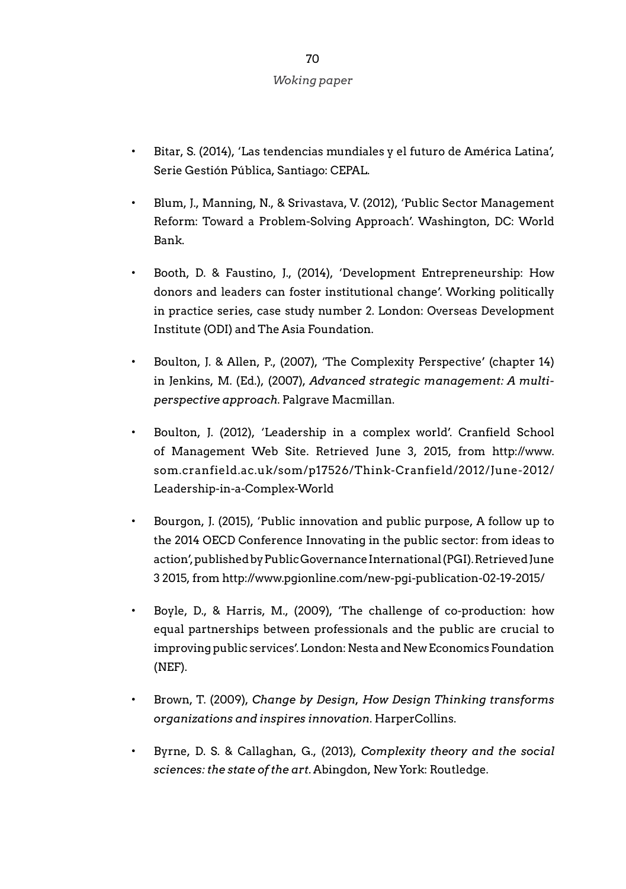- Bitar, S. (2014), 'Las tendencias mundiales y el futuro de América Latina', Serie Gestión Pública, Santiago: CEPAL.
- Blum, J., Manning, N., & Srivastava, V. (2012), 'Public Sector Management Reform: Toward a Problem-Solving Approach'. Washington, DC: World Bank.
- Booth, D. & Faustino, J., (2014), 'Development Entrepreneurship: How donors and leaders can foster institutional change'. Working politically in practice series, case study number 2. London: Overseas Development Institute (ODI) and The Asia Foundation.
- Boulton, J. & Allen, P., (2007), 'The Complexity Perspective' (chapter 14) in Jenkins, M. (Ed.), (2007), *Advanced strategic management: A multiperspective approach*. Palgrave Macmillan.
- Boulton, J. (2012), 'Leadership in a complex world'. Cranfield School of Management Web Site. Retrieved June 3, 2015, from http://www. som.cranfield.ac.uk/som/p17526/Think-Cranfield/2012/June-2012/ Leadership-in-a-Complex-World
- Bourgon, J. (2015), 'Public innovation and public purpose, A follow up to the 2014 OECD Conference Innovating in the public sector: from ideas to action', published by Public Governance International (PGI). Retrieved June 3 2015, from http://www.pgionline.com/new-pgi-publication-02-19-2015/
- Boyle, D., & Harris, M., (2009), 'The challenge of co-production: how equal partnerships between professionals and the public are crucial to improving public services'. London: Nesta and New Economics Foundation (NEF).
- Brown, T. (2009), *Change by Design, How Design Thinking transforms organizations and inspires innovation*. HarperCollins.
- Byrne, D. S. & Callaghan, G., (2013), *Complexity theory and the social sciences: the state of the art*. Abingdon, New York: Routledge.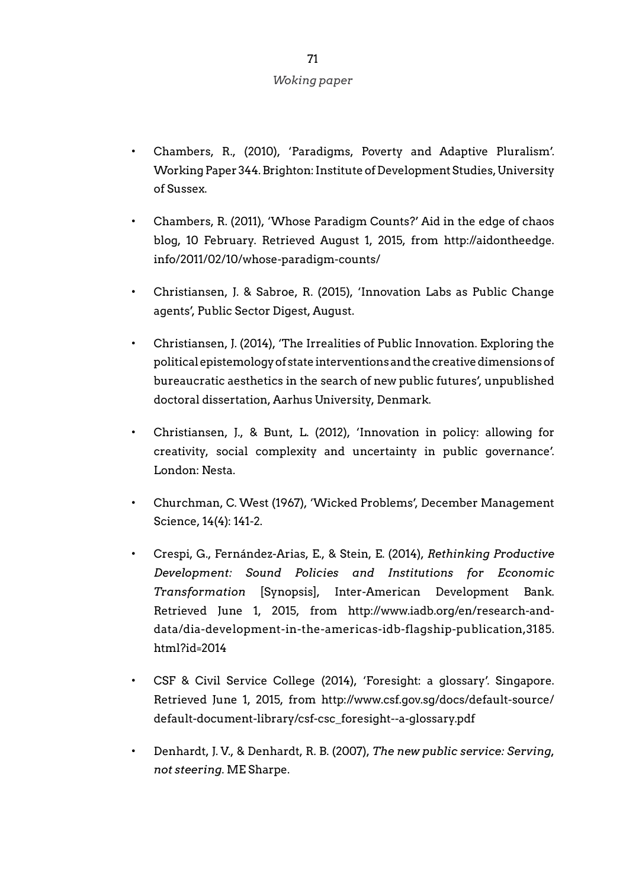- Chambers, R., (2010), 'Paradigms, Poverty and Adaptive Pluralism'. Working Paper 344. Brighton: Institute of Development Studies, University of Sussex.
- Chambers, R. (2011), 'Whose Paradigm Counts?' Aid in the edge of chaos blog, 10 February. Retrieved August 1, 2015, from http://aidontheedge. info/2011/02/10/whose-paradigm-counts/
- Christiansen, J. & Sabroe, R. (2015), 'Innovation Labs as Public Change agents', Public Sector Digest, August.
- Christiansen, J. (2014), 'The Irrealities of Public Innovation. Exploring the political epistemology of state interventions and the creative dimensions of bureaucratic aesthetics in the search of new public futures', unpublished doctoral dissertation, Aarhus University, Denmark.
- Christiansen, J., & Bunt, L. (2012), 'Innovation in policy: allowing for creativity, social complexity and uncertainty in public governance'. London: Nesta.
- Churchman, C. West (1967), 'Wicked Problems', December Management Science, 14(4): 141-2.
- Crespi, G., Fernández-Arias, E., & Stein, E. (2014), *Rethinking Productive Development: Sound Policies and Institutions for Economic Transformation* [Synopsis], Inter-American Development Bank. Retrieved June 1, 2015, from http://www.iadb.org/en/research-anddata/dia-development-in-the-americas-idb-flagship-publication,3185. html?id=2014
- CSF & Civil Service College (2014), 'Foresight: a glossary'. Singapore. Retrieved June 1, 2015, from http://www.csf.gov.sg/docs/default-source/ default-document-library/csf-csc\_foresight--a-glossary.pdf
- Denhardt, J. V., & Denhardt, R. B. (2007), *The new public service: Serving, not steering*. ME Sharpe.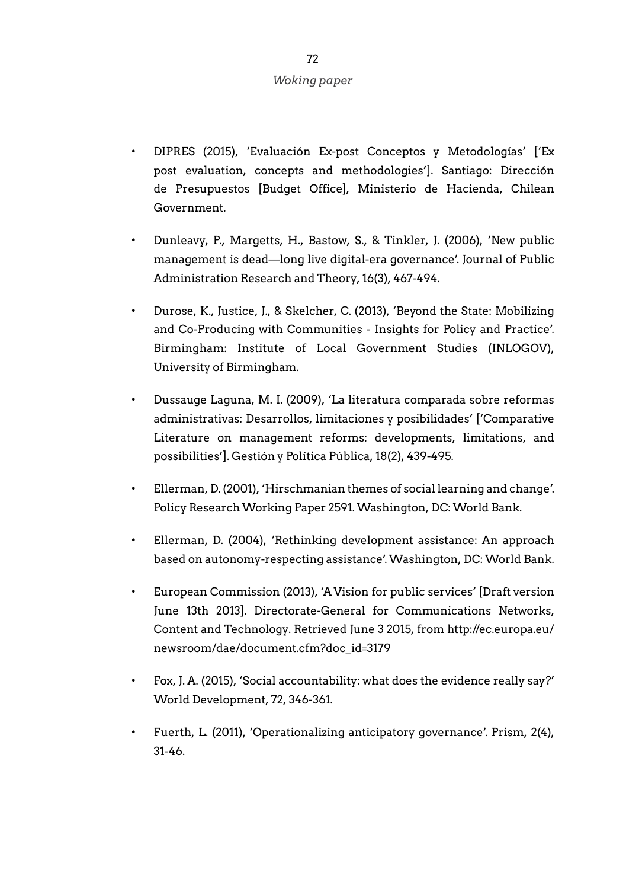- DIPRES (2015), 'Evaluación Ex-post Conceptos y Metodologías' ['Ex post evaluation, concepts and methodologies']. Santiago: Dirección de Presupuestos [Budget Office], Ministerio de Hacienda, Chilean Government.
- Dunleavy, P., Margetts, H., Bastow, S., & Tinkler, J. (2006), 'New public management is dead—long live digital-era governance'. Journal of Public Administration Research and Theory, 16(3), 467-494.
- Durose, K., Justice, J., & Skelcher, C. (2013), 'Beyond the State: Mobilizing and Co-Producing with Communities - Insights for Policy and Practice'. Birmingham: Institute of Local Government Studies (INLOGOV), University of Birmingham.
- Dussauge Laguna, M. I. (2009), 'La literatura comparada sobre reformas administrativas: Desarrollos, limitaciones y posibilidades' ['Comparative Literature on management reforms: developments, limitations, and possibilities']. Gestión y Política Pública, 18(2), 439-495.
- Ellerman, D. (2001), 'Hirschmanian themes of social learning and change'. Policy Research Working Paper 2591. Washington, DC: World Bank.
- Ellerman, D. (2004), 'Rethinking development assistance: An approach based on autonomy-respecting assistance'. Washington, DC: World Bank.
- European Commission (2013), 'A Vision for public services' [Draft version June 13th 2013]. Directorate-General for Communications Networks, Content and Technology. Retrieved June 3 2015, from http://ec.europa.eu/ newsroom/dae/document.cfm?doc\_id=3179
- Fox, J. A. (2015), 'Social accountability: what does the evidence really say?' World Development, 72, 346-361.
- Fuerth, L. (2011), 'Operationalizing anticipatory governance'. Prism, 2(4), 31-46.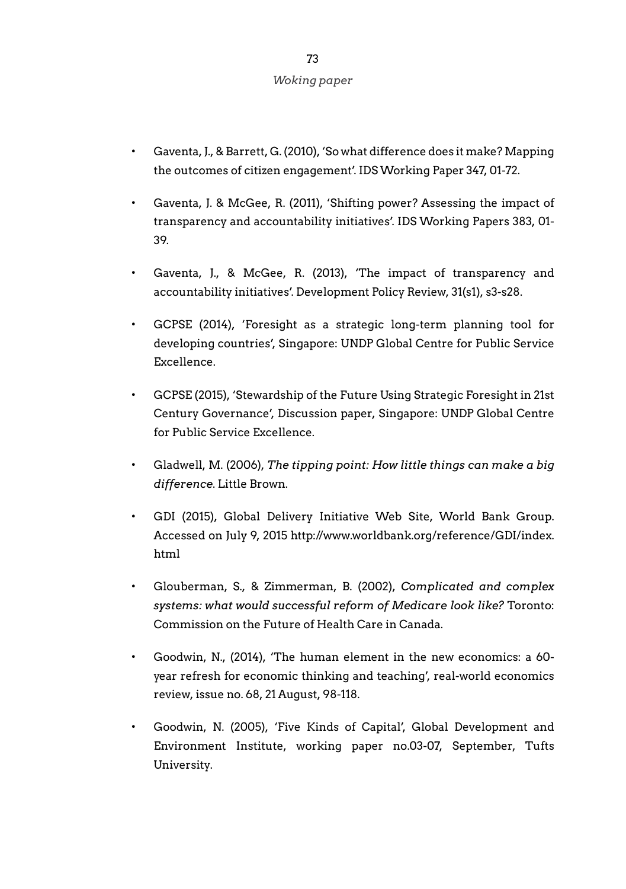- Gaventa, J., & Barrett, G. (2010), 'So what difference does it make? Mapping the outcomes of citizen engagement'. IDS Working Paper 347, 01-72.
- Gaventa, J. & McGee, R. (2011), 'Shifting power? Assessing the impact of transparency and accountability initiatives'. IDS Working Papers 383, 01- 39.
- Gaventa, J., & McGee, R. (2013), 'The impact of transparency and accountability initiatives'. Development Policy Review, 31(s1), s3-s28.
- GCPSE (2014), 'Foresight as a strategic long-term planning tool for developing countries', Singapore: UNDP Global Centre for Public Service Excellence.
- GCPSE (2015), 'Stewardship of the Future Using Strategic Foresight in 21st Century Governance', Discussion paper, Singapore: UNDP Global Centre for Public Service Excellence.
- Gladwell, M. (2006), *The tipping point: How little things can make a big difference*. Little Brown.
- GDI (2015), Global Delivery Initiative Web Site, World Bank Group. Accessed on July 9, 2015 http://www.worldbank.org/reference/GDI/index. html
- Glouberman, S., & Zimmerman, B. (2002), *Complicated and complex systems: what would successful reform of Medicare look like?* Toronto: Commission on the Future of Health Care in Canada.
- Goodwin, N., (2014), 'The human element in the new economics: a 60 year refresh for economic thinking and teaching', real-world economics review, issue no. 68, 21 August, 98-118.
- Goodwin, N. (2005), 'Five Kinds of Capital', Global Development and Environment Institute, working paper no.03-07, September, Tufts University.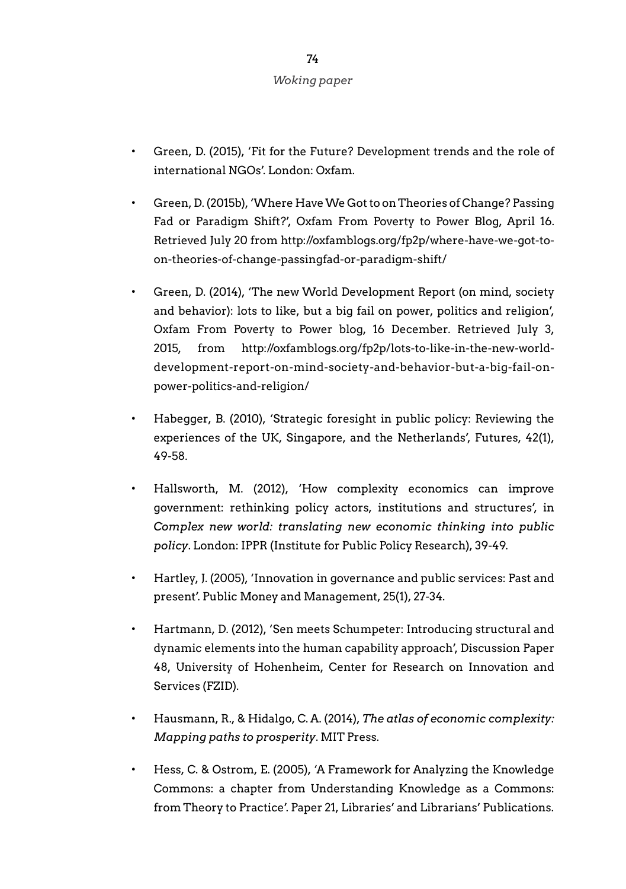- Green, D. (2015), 'Fit for the Future? Development trends and the role of international NGOs'. London: Oxfam.
- Green, D. (2015b), 'Where Have We Got to on Theories of Change? Passing Fad or Paradigm Shift?', Oxfam From Poverty to Power Blog, April 16. Retrieved July 20 from http://oxfamblogs.org/fp2p/where-have-we-got-toon-theories-of-change-passingfad-or-paradigm-shift/
- Green, D. (2014), 'The new World Development Report (on mind, society and behavior): lots to like, but a big fail on power, politics and religion', Oxfam From Poverty to Power blog, 16 December. Retrieved July 3, 2015, from http://oxfamblogs.org/fp2p/lots-to-like-in-the-new-worlddevelopment-report-on-mind-society-and-behavior-but-a-big-fail-onpower-politics-and-religion/
- Habegger, B. (2010), 'Strategic foresight in public policy: Reviewing the experiences of the UK, Singapore, and the Netherlands', Futures, 42(1), 49-58.
- Hallsworth, M. (2012), 'How complexity economics can improve government: rethinking policy actors, institutions and structures', in *Complex new world: translating new economic thinking into public policy*. London: IPPR (Institute for Public Policy Research), 39-49.
- Hartley, J. (2005), 'Innovation in governance and public services: Past and present'. Public Money and Management, 25(1), 27-34.
- Hartmann, D. (2012), 'Sen meets Schumpeter: Introducing structural and dynamic elements into the human capability approach', Discussion Paper 48, University of Hohenheim, Center for Research on Innovation and Services (FZID).
- Hausmann, R., & Hidalgo, C. A. (2014), *The atlas of economic complexity: Mapping paths to prosperity*. MIT Press.
- Hess, C. & Ostrom, E. (2005), 'A Framework for Analyzing the Knowledge Commons: a chapter from Understanding Knowledge as a Commons: from Theory to Practice'. Paper 21, Libraries' and Librarians' Publications.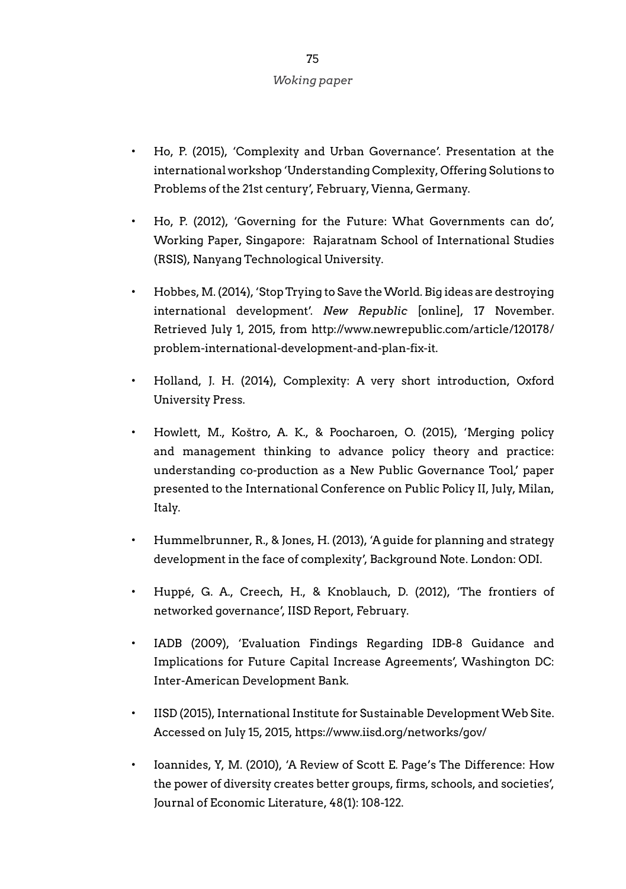- Ho, P. (2015), 'Complexity and Urban Governance'. Presentation at the international workshop 'Understanding Complexity, Offering Solutions to Problems of the 21st century', February, Vienna, Germany.
- Ho, P. (2012), 'Governing for the Future: What Governments can do', Working Paper, Singapore: Rajaratnam School of International Studies (RSIS), Nanyang Technological University.
- Hobbes, M. (2014), 'Stop Trying to Save the World. Big ideas are destroying international development'. *New Republic* [online], 17 November. Retrieved July 1, 2015, from http://www.newrepublic.com/article/120178/ problem-international-development-and-plan-fix-it.
- Holland, J. H. (2014), Complexity: A very short introduction, Oxford University Press.
- Howlett, M., Koštro, A. K., & Poocharoen, O. (2015), 'Merging policy and management thinking to advance policy theory and practice: understanding co-production as a New Public Governance Tool,' paper presented to the International Conference on Public Policy II, July, Milan, Italy.
- Hummelbrunner, R., & Jones, H. (2013), 'A guide for planning and strategy development in the face of complexity', Background Note. London: ODI.
- Huppé, G. A., Creech, H., & Knoblauch, D. (2012), 'The frontiers of networked governance', IISD Report, February.
- IADB (2009), 'Evaluation Findings Regarding IDB-8 Guidance and Implications for Future Capital Increase Agreements', Washington DC: Inter-American Development Bank.
- IISD (2015), International Institute for Sustainable Development Web Site. Accessed on July 15, 2015, https://www.iisd.org/networks/gov/
- Ioannides, Y, M. (2010), 'A Review of Scott E. Page's The Difference: How the power of diversity creates better groups, firms, schools, and societies', Journal of Economic Literature, 48(1): 108-122.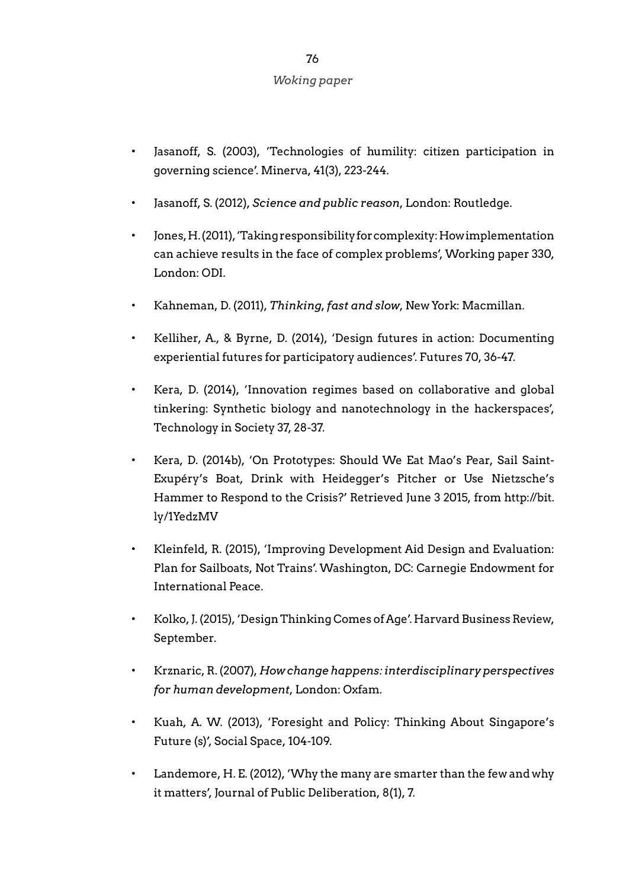- Jasanoff, S. (2003), 'Technologies of humility: citizen participation in governing science'. Minerva, 41(3), 223-244.
- Jasanoff, S. (2012), *Science and public reason*, London: Routledge.
- Jones, H. (2011), 'Taking responsibility for complexity: How implementation can achieve results in the face of complex problems', Working paper 330, London: ODI.
- Kahneman, D. (2011), *Thinking, fast and slow*, New York: Macmillan.
- Kelliher, A., & Byrne, D. (2014), 'Design futures in action: Documenting experiential futures for participatory audiences'. Futures 70, 36-47.
- Kera, D. (2014), 'Innovation regimes based on collaborative and global tinkering: Synthetic biology and nanotechnology in the hackerspaces', Technology in Society 37, 28-37.
- Kera, D. (2014b), 'On Prototypes: Should We Eat Mao's Pear, Sail Saint-Exupéry's Boat, Drink with Heidegger's Pitcher or Use Nietzsche's Hammer to Respond to the Crisis?' Retrieved June 3 2015, from http://bit. ly/1YedzMV
- Kleinfeld, R. (2015), 'Improving Development Aid Design and Evaluation: Plan for Sailboats, Not Trains'. Washington, DC: Carnegie Endowment for International Peace.
- Kolko, J. (2015), 'Design Thinking Comes of Age'. Harvard Business Review, September.
- Krznaric, R. (2007), *How change happens: interdisciplinary perspectives for human development*, London: Oxfam.
- Kuah, A. W. (2013), 'Foresight and Policy: Thinking About Singapore's Future (s)', Social Space, 104-109.
- Landemore, H. E. (2012), 'Why the many are smarter than the few and why it matters', Journal of Public Deliberation, 8(1), 7.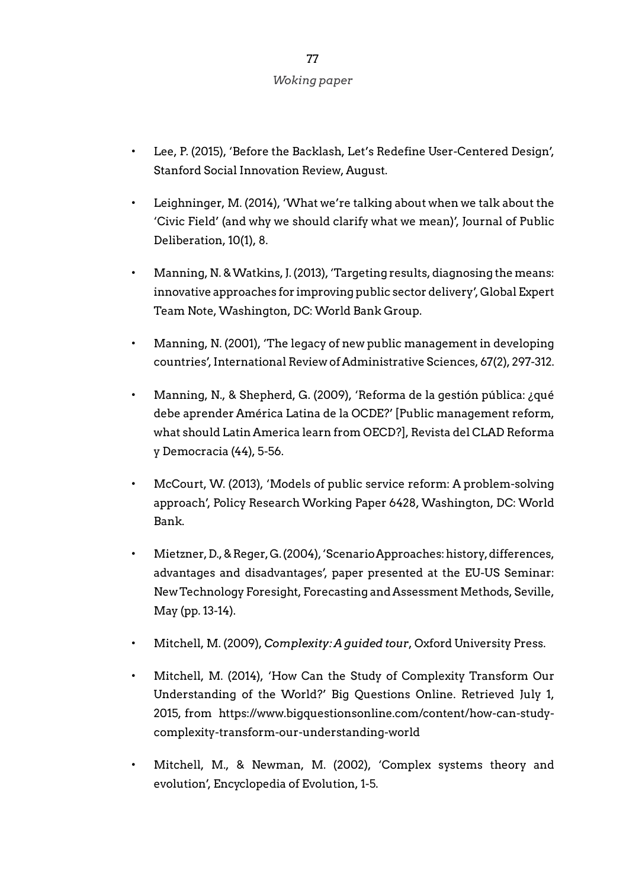- Lee, P. (2015), 'Before the Backlash, Let's Redefine User-Centered Design', Stanford Social Innovation Review, August.
- Leighninger, M. (2014), 'What we're talking about when we talk about the 'Civic Field' (and why we should clarify what we mean)', Journal of Public Deliberation, 10(1), 8.
- Manning, N. & Watkins, J. (2013), 'Targeting results, diagnosing the means: innovative approaches for improving public sector delivery', Global Expert Team Note, Washington, DC: World Bank Group.
- Manning, N. (2001), 'The legacy of new public management in developing countries', International Review of Administrative Sciences, 67(2), 297-312.
- Manning, N., & Shepherd, G. (2009), 'Reforma de la gestión pública: ¿qué debe aprender América Latina de la OCDE?' [Public management reform, what should Latin America learn from OECD?], Revista del CLAD Reforma y Democracia (44), 5-56.
- McCourt, W. (2013), 'Models of public service reform: A problem-solving approach', Policy Research Working Paper 6428, Washington, DC: World Bank.
- Mietzner, D., & Reger, G. (2004), 'Scenario Approaches: history, differences, advantages and disadvantages', paper presented at the EU-US Seminar: New Technology Foresight, Forecasting and Assessment Methods, Seville, May (pp. 13-14).
- Mitchell, M. (2009), *Complexity: A guided tour*, Oxford University Press.
- Mitchell, M. (2014), 'How Can the Study of Complexity Transform Our Understanding of the World?' Big Questions Online. Retrieved July 1, 2015, from https://www.bigquestionsonline.com/content/how-can-studycomplexity-transform-our-understanding-world
- Mitchell, M., & Newman, M. (2002), 'Complex systems theory and evolution', Encyclopedia of Evolution, 1-5.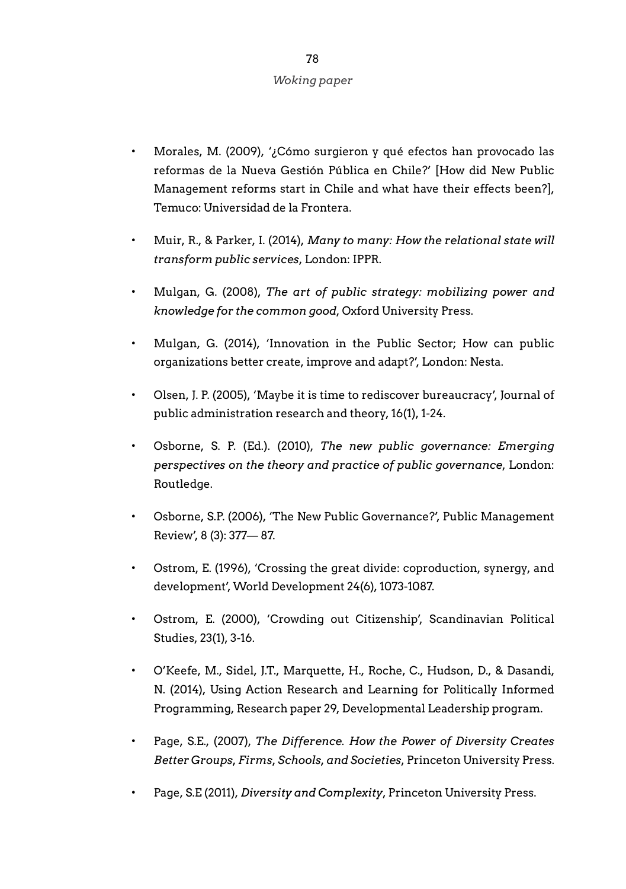- Morales, M. (2009), '¿Cómo surgieron y qué efectos han provocado las reformas de la Nueva Gestión Pública en Chile?' [How did New Public Management reforms start in Chile and what have their effects been?], Temuco: Universidad de la Frontera.
- Muir, R., & Parker, I. (2014), *Many to many: How the relational state will transform public services*, London: IPPR.
- Mulgan, G. (2008), *The art of public strategy: mobilizing power and knowledge for the common good*, Oxford University Press.
- Mulgan, G. (2014), 'Innovation in the Public Sector; How can public organizations better create, improve and adapt?', London: Nesta.
- Olsen, J. P. (2005), 'Maybe it is time to rediscover bureaucracy', Journal of public administration research and theory, 16(1), 1-24.
- Osborne, S. P. (Ed.). (2010), *The new public governance: Emerging perspectives on the theory and practice of public governance*, London: Routledge.
- Osborne, S.P. (2006), 'The New Public Governance?', Public Management Review', 8 (3): 377— 87.
- Ostrom, E. (1996), 'Crossing the great divide: coproduction, synergy, and development', World Development 24(6), 1073-1087.
- Ostrom, E. (2000), 'Crowding out Citizenship', Scandinavian Political Studies, 23(1), 3-16.
- O'Keefe, M., Sidel, J.T., Marquette, H., Roche, C., Hudson, D., & Dasandi, N. (2014), Using Action Research and Learning for Politically Informed Programming, Research paper 29, Developmental Leadership program.
- Page, S.E., (2007), *The Difference. How the Power of Diversity Creates Better Groups, Firms, Schools, and Societies*, Princeton University Press.
- Page, S.E (2011), *Diversity and Complexity*, Princeton University Press.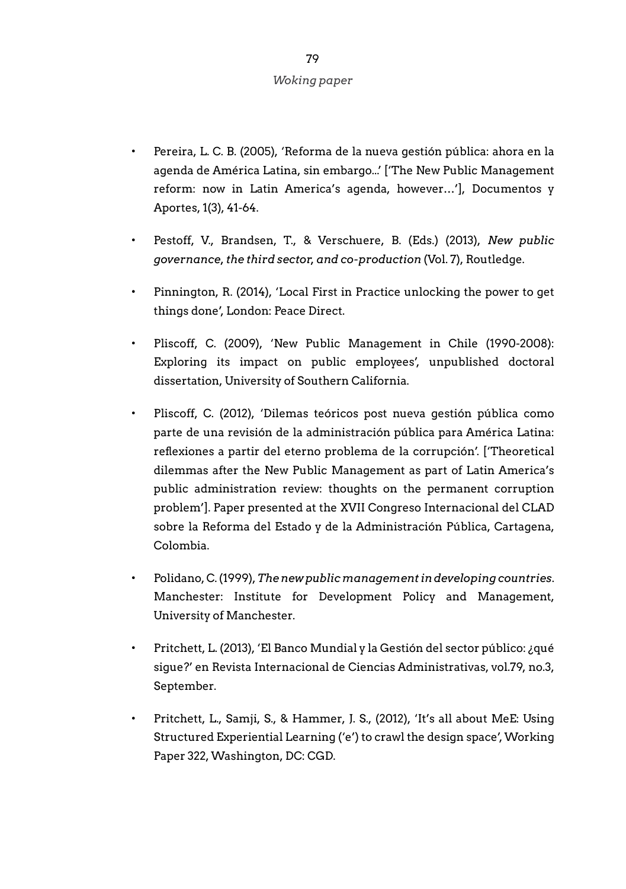- Pereira, L. C. B. (2005), 'Reforma de la nueva gestión pública: ahora en la agenda de América Latina, sin embargo...' ['The New Public Management reform: now in Latin America's agenda, however…'], Documentos y Aportes, 1(3), 41-64.
- Pestoff, V., Brandsen, T., & Verschuere, B. (Eds.) (2013), *New public governance, the third sector, and co-production* (Vol. 7), Routledge.
- Pinnington, R. (2014), 'Local First in Practice unlocking the power to get things done', London: Peace Direct.
- Pliscoff, C. (2009), 'New Public Management in Chile (1990-2008): Exploring its impact on public employees', unpublished doctoral dissertation, University of Southern California.
- Pliscoff, C. (2012), 'Dilemas teóricos post nueva gestión pública como parte de una revisión de la administración pública para América Latina: reflexiones a partir del eterno problema de la corrupción'. ['Theoretical dilemmas after the New Public Management as part of Latin America's public administration review: thoughts on the permanent corruption problem']. Paper presented at the XVII Congreso Internacional del CLAD sobre la Reforma del Estado y de la Administración Pública, Cartagena, Colombia.
- Polidano, C. (1999), *The new public management in developing countries*. Manchester: Institute for Development Policy and Management, University of Manchester.
- Pritchett, L. (2013), 'El Banco Mundial y la Gestión del sector público: ¿qué sigue?' en Revista Internacional de Ciencias Administrativas, vol.79, no.3, September.
- Pritchett, L., Samji, S., & Hammer, J. S., (2012), 'It's all about MeE: Using Structured Experiential Learning ('e') to crawl the design space', Working Paper 322, Washington, DC: CGD.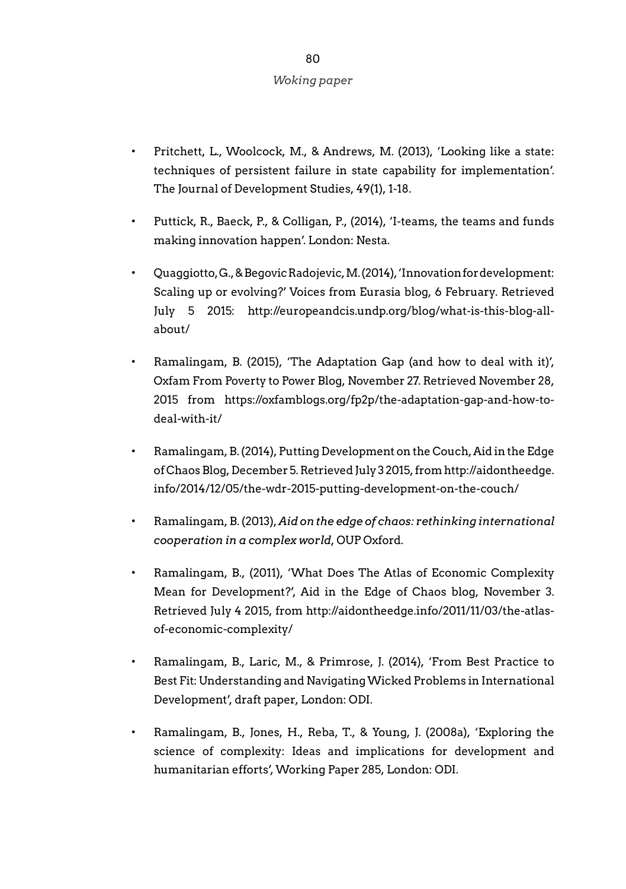- Pritchett, L., Woolcock, M., & Andrews, M. (2013), 'Looking like a state: techniques of persistent failure in state capability for implementation'. The Journal of Development Studies, 49(1), 1-18.
- Puttick, R., Baeck, P., & Colligan, P., (2014), 'I-teams, the teams and funds making innovation happen'. London: Nesta.
- Quaggiotto, G., & Begovic Radojevic, M. (2014), 'Innovation for development: Scaling up or evolving?' Voices from Eurasia blog, 6 February. Retrieved July 5 2015: http://europeandcis.undp.org/blog/what-is-this-blog-allabout/
- Ramalingam, B. (2015), 'The Adaptation Gap (and how to deal with it)', Oxfam From Poverty to Power Blog, November 27. Retrieved November 28, 2015 from https://oxfamblogs.org/fp2p/the-adaptation-gap-and-how-todeal-with-it/
- Ramalingam, B. (2014), Putting Development on the Couch, Aid in the Edge of Chaos Blog, December 5. Retrieved July 3 2015, from http://aidontheedge. info/2014/12/05/the-wdr-2015-putting-development-on-the-couch/
- Ramalingam, B. (2013), *Aid on the edge of chaos: rethinking international cooperation in a complex world*, OUP Oxford.
- Ramalingam, B., (2011), 'What Does The Atlas of Economic Complexity Mean for Development?', Aid in the Edge of Chaos blog, November 3. Retrieved July 4 2015, from http://aidontheedge.info/2011/11/03/the-atlasof-economic-complexity/
- Ramalingam, B., Laric, M., & Primrose, J. (2014), 'From Best Practice to Best Fit: Understanding and Navigating Wicked Problems in International Development', draft paper, London: ODI.
- Ramalingam, B., Jones, H., Reba, T., & Young, J. (2008a), 'Exploring the science of complexity: Ideas and implications for development and humanitarian efforts', Working Paper 285, London: ODI.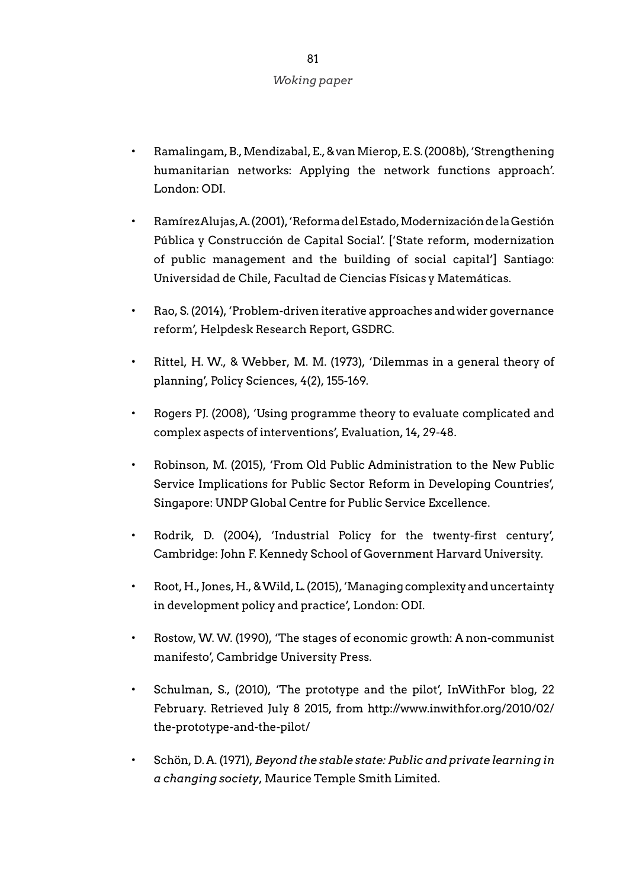- Ramalingam, B., Mendizabal, E., & van Mierop, E. S. (2008b), 'Strengthening humanitarian networks: Applying the network functions approach'. London: ODI.
- Ramírez Alujas, A. (2001), 'Reforma del Estado, Modernización de la Gestión Pública y Construcción de Capital Social'. ['State reform, modernization of public management and the building of social capital'] Santiago: Universidad de Chile, Facultad de Ciencias Físicas y Matemáticas.
- Rao, S. (2014), 'Problem-driven iterative approaches and wider governance reform', Helpdesk Research Report, GSDRC.
- Rittel, H. W., & Webber, M. M. (1973), 'Dilemmas in a general theory of planning', Policy Sciences, 4(2), 155-169.
- Rogers PJ. (2008), 'Using programme theory to evaluate complicated and complex aspects of interventions', Evaluation, 14, 29-48.
- Robinson, M. (2015), 'From Old Public Administration to the New Public Service Implications for Public Sector Reform in Developing Countries', Singapore: UNDP Global Centre for Public Service Excellence.
- Rodrik, D. (2004), 'Industrial Policy for the twenty-first century', Cambridge: John F. Kennedy School of Government Harvard University.
- Root, H., Jones, H., & Wild, L. (2015), 'Managing complexity and uncertainty in development policy and practice', London: ODI.
- Rostow, W. W. (1990), 'The stages of economic growth: A non-communist manifesto', Cambridge University Press.
- Schulman, S., (2010), 'The prototype and the pilot', InWithFor blog, 22 February. Retrieved July 8 2015, from http://www.inwithfor.org/2010/02/ the-prototype-and-the-pilot/
- Schön, D. A. (1971), *Beyond the stable state: Public and private learning in a changing society*, Maurice Temple Smith Limited.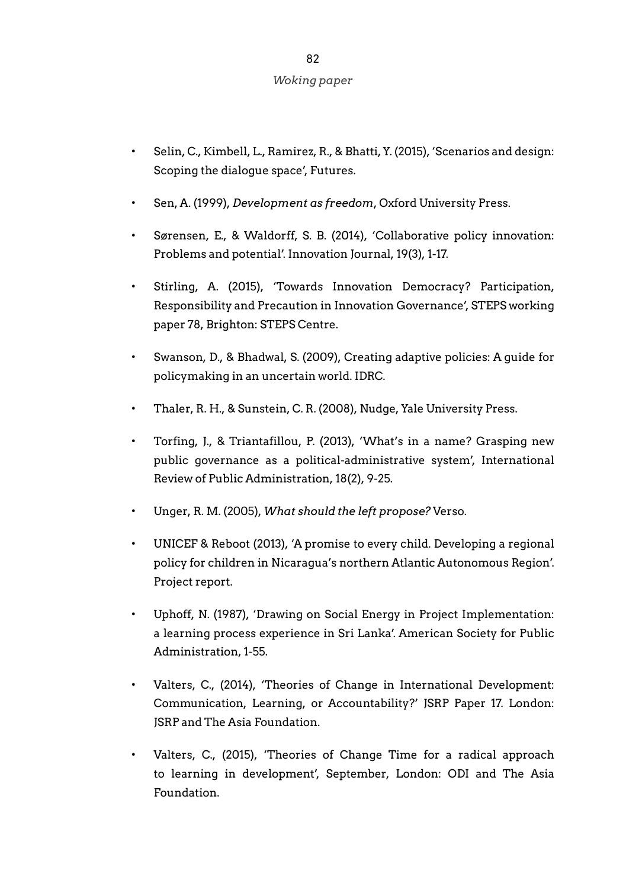- Selin, C., Kimbell, L., Ramirez, R., & Bhatti, Y. (2015), 'Scenarios and design: Scoping the dialogue space', Futures.
- Sen, A. (1999), *Development as freedom*, Oxford University Press.
- Sørensen, E., & Waldorff, S. B. (2014), 'Collaborative policy innovation: Problems and potential'. Innovation Journal, 19(3), 1-17.
- Stirling, A. (2015), 'Towards Innovation Democracy? Participation, Responsibility and Precaution in Innovation Governance', STEPS working paper 78, Brighton: STEPS Centre.
- Swanson, D., & Bhadwal, S. (2009), Creating adaptive policies: A guide for policymaking in an uncertain world. IDRC.
- Thaler, R. H., & Sunstein, C. R. (2008), Nudge, Yale University Press.
- Torfing, J., & Triantafillou, P. (2013), 'What's in a name? Grasping new public governance as a political-administrative system', International Review of Public Administration, 18(2), 9-25.
- Unger, R. M. (2005), *What should the left propose?* Verso.
- UNICEF & Reboot (2013), 'A promise to every child. Developing a regional policy for children in Nicaragua's northern Atlantic Autonomous Region'. Project report.
- Uphoff, N. (1987), 'Drawing on Social Energy in Project Implementation: a learning process experience in Sri Lanka'. American Society for Public Administration, 1-55.
- Valters, C., (2014), 'Theories of Change in International Development: Communication, Learning, or Accountability?' JSRP Paper 17. London: JSRP and The Asia Foundation.
- Valters, C., (2015), 'Theories of Change Time for a radical approach to learning in development', September, London: ODI and The Asia Foundation.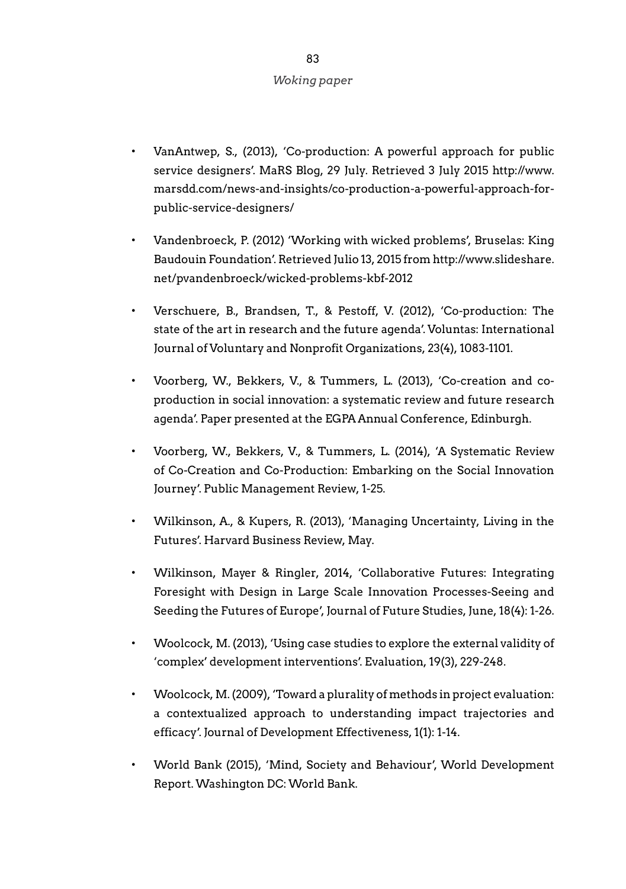- VanAntwep, S., (2013), 'Co-production: A powerful approach for public service designers'. MaRS Blog, 29 July. Retrieved 3 July 2015 http://www. marsdd.com/news-and-insights/co-production-a-powerful-approach-forpublic-service-designers/
- Vandenbroeck, P. (2012) 'Working with wicked problems', Bruselas: King Baudouin Foundation'. Retrieved Julio 13, 2015 from http://www.slideshare. net/pvandenbroeck/wicked-problems-kbf-2012
- Verschuere, B., Brandsen, T., & Pestoff, V. (2012), 'Co-production: The state of the art in research and the future agenda'. Voluntas: International Journal of Voluntary and Nonprofit Organizations, 23(4), 1083-1101.
- Voorberg, W., Bekkers, V., & Tummers, L. (2013), 'Co-creation and coproduction in social innovation: a systematic review and future research agenda'. Paper presented at the EGPA Annual Conference, Edinburgh.
- Voorberg, W., Bekkers, V., & Tummers, L. (2014), 'A Systematic Review of Co-Creation and Co-Production: Embarking on the Social Innovation Journey'. Public Management Review, 1-25.
- Wilkinson, A., & Kupers, R. (2013), 'Managing Uncertainty, Living in the Futures'. Harvard Business Review, May.
- Wilkinson, Mayer & Ringler, 2014, 'Collaborative Futures: Integrating Foresight with Design in Large Scale Innovation Processes-Seeing and Seeding the Futures of Europe', Journal of Future Studies, June, 18(4): 1-26.
- Woolcock, M. (2013), 'Using case studies to explore the external validity of 'complex' development interventions'. Evaluation, 19(3), 229-248.
- Woolcock, M. (2009), 'Toward a plurality of methods in project evaluation: a contextualized approach to understanding impact trajectories and efficacy'. Journal of Development Effectiveness, 1(1): 1-14.
- World Bank (2015), 'Mind, Society and Behaviour', World Development Report. Washington DC: World Bank.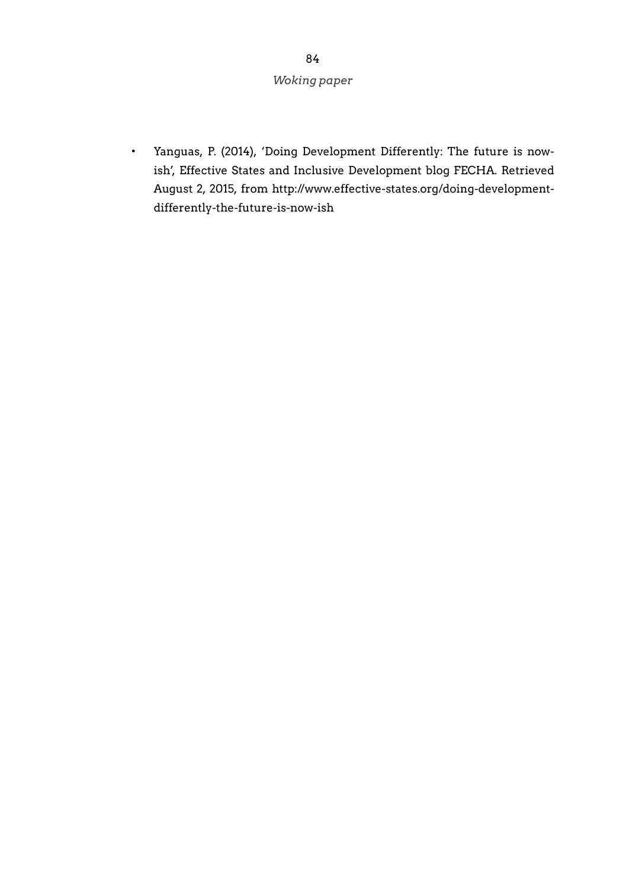• Yanguas, P. (2014), 'Doing Development Differently: The future is nowish', Effective States and Inclusive Development blog FECHA. Retrieved August 2, 2015, from http://www.effective-states.org/doing-developmentdifferently-the-future-is-now-ish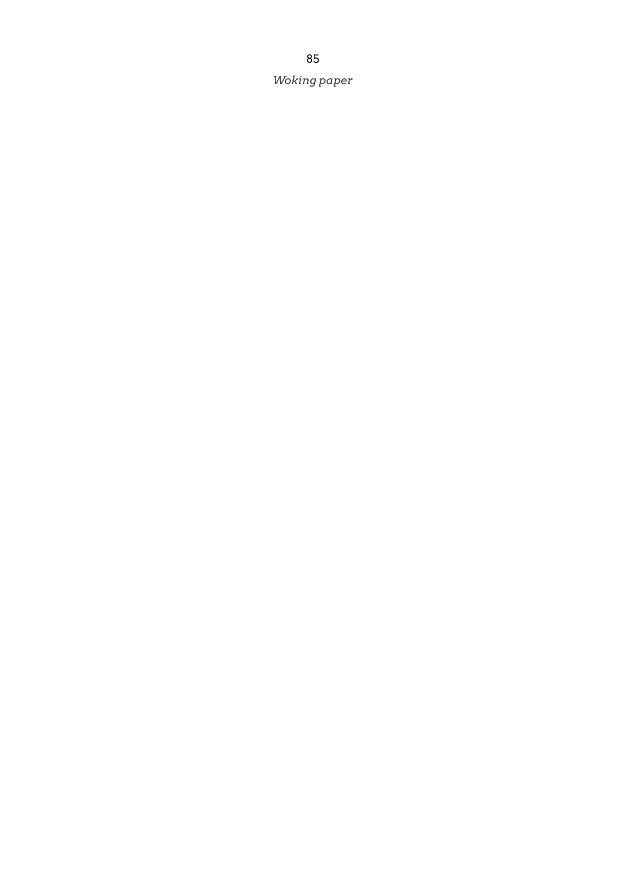# 85